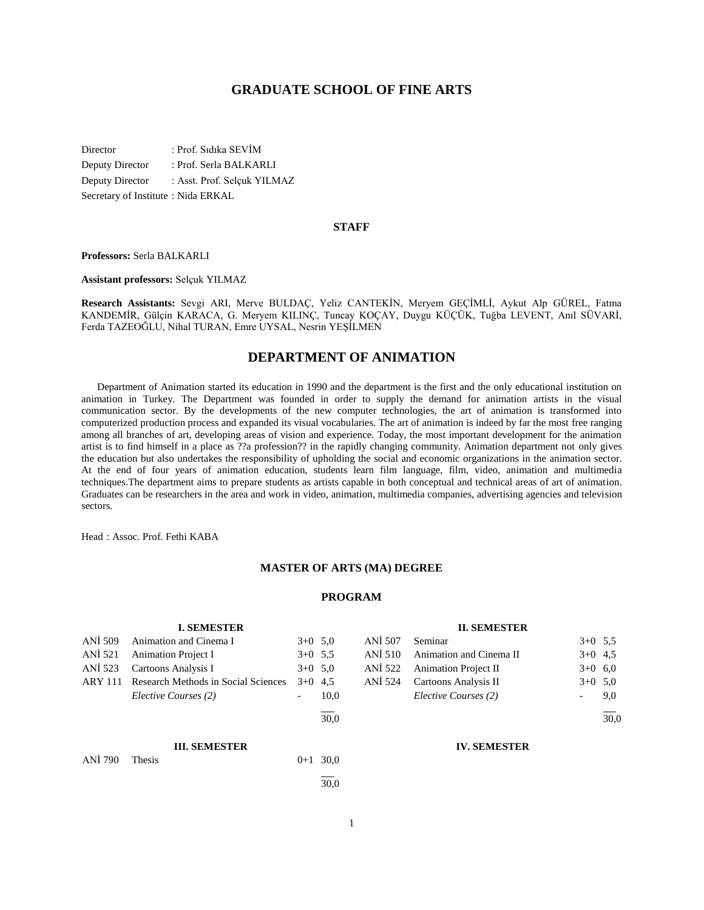## **GRADUATE SCHOOL OF FINE ARTS**

Director : Prof. Sıdıka SEVİM Deputy Director : Prof. Serla BALKARLI Deputy Director : Asst. Prof. Selçuk YILMAZ Secretary of Institute : Nida ERKAL

#### **STAFF**

**Professors:** Serla BALKARLI

**Assistant professors:** Selçuk YILMAZ

**Research Assistants:** Sevgi ARI, Merve BULDAÇ, Yeliz CANTEKİN, Meryem GEÇİMLİ, Aykut Alp GÜREL, Fatma KANDEMİR, Gülçin KARACA, G. Meryem KILINÇ, Tuncay KOÇAY, Duygu KÜÇÜK, Tuğba LEVENT, Anıl SÜVARİ, Ferda TAZEOĞLU, Nihal TURAN, Emre UYSAL, Nesrin YEŞİLMEN

## **DEPARTMENT OF ANIMATION**

 Department of Animation started its education in 1990 and the department is the first and the only educational institution on animation in Turkey. The Department was founded in order to supply the demand for animation artists in the visual communication sector. By the developments of the new computer technologies, the art of animation is transformed into computerized production process and expanded its visual vocabularies. The art of animation is indeed by far the most free ranging among all branches of art, developing areas of vision and experience. Today, the most important development for the animation artist is to find himself in a place as ??a profession?? in the rapidly changing community. Animation department not only gives the education but also undertakes the responsibility of upholding the social and economic organizations in the animation sector. At the end of four years of animation education, students learn film language, film, video, animation and multimedia techniques.The department aims to prepare students as artists capable in both conceptual and technical areas of art of animation. Graduates can be researchers in the area and work in video, animation, multimedia companies, advertising agencies and television sectors.

Head : Assoc. Prof. Fethi KABA

#### **MASTER OF ARTS (MA) DEGREE**

#### **PROGRAM**

|                | <b>I. SEMESTER</b>                  |           |      |
|----------------|-------------------------------------|-----------|------|
| ANI 509        | Animation and Cinema I              | $3+0$ 5.0 |      |
| ANI 521        | <b>Animation Project I</b>          | $3+0$ 5.5 |      |
| ANI 523        | Cartoons Analysis I                 | $3+0$ 5.0 |      |
| <b>ARY 111</b> | Research Methods in Social Sciences | $3+0$     | 4.5  |
|                | Elective Courses (2)                |           | 10,0 |
|                |                                     |           | 30.0 |
|                | <b>III. SEMESTER</b>                |           |      |
| <b>ANİ 790</b> | <b>Thesis</b>                       | $0 + 1$   | 30,0 |
|                |                                     |           |      |

#### **II. SEMESTER**

| ANİ 507 Seminar |                                 | $3+0$ 5.5 |     |
|-----------------|---------------------------------|-----------|-----|
|                 | ANİ 510 Animation and Cinema II | $3+0$ 4.5 |     |
|                 | ANİ 522 Animation Project II    | $3+0$ 6.0 |     |
|                 | ANİ 524 Cartoons Analysis II    | $3+0$ 5.0 |     |
|                 | Elective Courses (2)            |           | 9.0 |
|                 |                                 |           |     |

30,0

#### **IV. SEMESTER**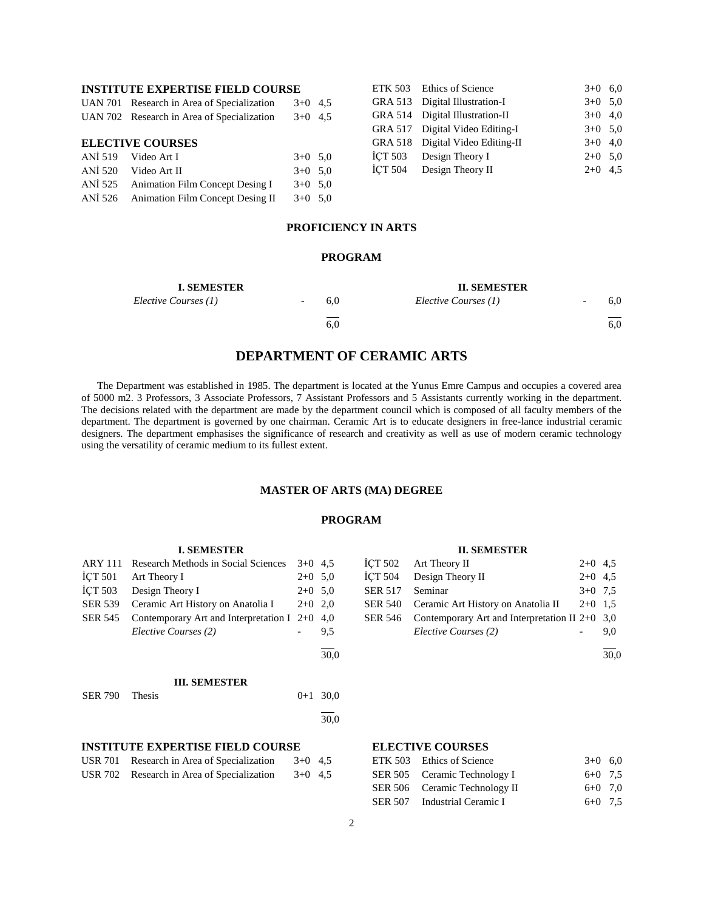## **INSTITUTE EXPERTISE FIELD COURSE**

| <b>ELECTIVE COURSES</b> |                                            |           |  |  |  |  |  |  |
|-------------------------|--------------------------------------------|-----------|--|--|--|--|--|--|
|                         | UAN 702 Research in Area of Specialization | $3+0$ 4.5 |  |  |  |  |  |  |
|                         | UAN 701 Research in Area of Specialization | $3+0$ 4.5 |  |  |  |  |  |  |

|         | ANİ 519 Video Art I                      | $3+0$ 5.0 |  |
|---------|------------------------------------------|-----------|--|
| ANI 520 | Video Art II                             | $3+0$ 5.0 |  |
|         | ANİ 525 Animation Film Concept Desing I  | $3+0$ 5.0 |  |
|         | ANİ 526 Animation Film Concept Desing II | $3+0$ 5.0 |  |
|         |                                          |           |  |

|  | ETK 503 Ethics of Science        | $3+0$ 6.0 |  |
|--|----------------------------------|-----------|--|
|  | GRA 513 Digital Illustration-I   | $3+0$ 5.0 |  |
|  | GRA 514 Digital Illustration-II  | $3+0$ 4.0 |  |
|  | GRA 517 Digital Video Editing-I  | $3+0$ 5.0 |  |
|  | GRA 518 Digital Video Editing-II | $3+0$ 4.0 |  |
|  | ICT 503 Design Theory I          | $2+0$ 5.0 |  |
|  | İÇT 504 Design Theory II         | $2+0$ 4.5 |  |
|  |                                  |           |  |

## **PROFICIENCY IN ARTS**

#### **PROGRAM**

| <b>I. SEMESTER</b>   |                          |     | <b>II. SEMESTER</b>  |                                 |
|----------------------|--------------------------|-----|----------------------|---------------------------------|
| Elective Courses (1) | $\overline{\phantom{0}}$ | 6.0 | Elective Courses (1) | 6,0                             |
|                      |                          | 6.0 |                      | $\overline{\phantom{0}}$<br>6,0 |

## **DEPARTMENT OF CERAMIC ARTS**

 The Department was established in 1985. The department is located at the Yunus Emre Campus and occupies a covered area of 5000 m2. 3 Professors, 3 Associate Professors, 7 Assistant Professors and 5 Assistants currently working in the department. The decisions related with the department are made by the department council which is composed of all faculty members of the department. The department is governed by one chairman. Ceramic Art is to educate designers in free-lance industrial ceramic designers. The department emphasises the significance of research and creativity as well as use of modern ceramic technology using the versatility of ceramic medium to its fullest extent.

#### **MASTER OF ARTS (MA) DEGREE**

#### **PROGRAM**

## **I. SEMESTER** ARY 111 Research Methods in Social Sciences 3+0 4,5  $\text{I}$ CT 501 Art Theory I 2+0 5,0  $\text{I}$ CT 503 Design Theory I 2+0 5,0 SER 539 Ceramic Art History on Anatolia I 2+0 2,0 SER 545 Contemporary Art and Interpretation I 2+0 4,0 *Elective Courses (2)* - 9,5 l  $\frac{1}{30.0}$ **III. SEMESTER** SER 790 Thesis 0+1 30,0  $\overline{a}$ 30,0

## **INSTITUTE EXPERTISE FIELD COURSE**

| USR 701 Research in Area of Specialization | $3+0$ 4.5 |  |
|--------------------------------------------|-----------|--|
| USR 702 Research in Area of Specialization | $3+0$ 4.5 |  |

#### **II. SEMESTER**

|                 | İÇT 502 Art Theory II                                    | $2+0$ 4.5 |     |
|-----------------|----------------------------------------------------------|-----------|-----|
|                 | İÇT 504 Design Theory II                                 | $2+0$ 4.5 |     |
| SER 517 Seminar |                                                          | $3+0$ 7.5 |     |
|                 | SER 540 Ceramic Art History on Anatolia II               | $2+0$ 1.5 |     |
|                 | SER 546 Contemporary Art and Interpretation II $2+0$ 3,0 |           |     |
|                 | Elective Courses (2)                                     |           | 9.0 |
|                 |                                                          |           |     |

 $\frac{1}{30.0}$ 

## **ELECTIVE COURSES**

| ETK 503 Ethics of Science     | $3+0$ 6.0 |  |
|-------------------------------|-----------|--|
| SER 505 Ceramic Technology I  | $6+0$ 7.5 |  |
| SER 506 Ceramic Technology II | $6+0$ 7.0 |  |
| SER 507 Industrial Ceramic I  | $6+0$ 7.5 |  |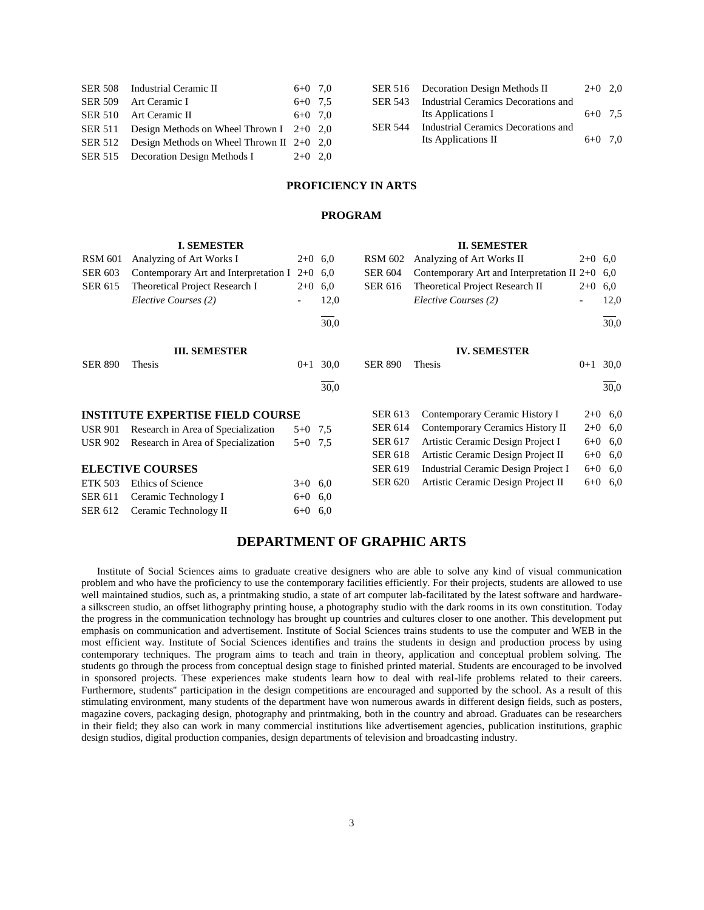| SER 508 Industrial Ceramic II                       | $6+0$ 7.0 | SF |
|-----------------------------------------------------|-----------|----|
| SER 509 Art Ceramic I                               | $6+0$ 7.5 | SF |
| SER 510 Art Ceramic II                              | $6+0$ 7.0 |    |
| SER 511 Design Methods on Wheel Thrown I $2+0$ 2,0  |           | SF |
| SER 512 Design Methods on Wheel Thrown II $2+0$ 2,0 |           |    |
| SER 515 Decoration Design Methods I                 | $2+0$ 2.0 |    |

|                | SER 516 Decoration Design Methods II        | $2+0$ 2.0 |  |
|----------------|---------------------------------------------|-----------|--|
|                | SER 543 Industrial Ceramics Decorations and |           |  |
|                | Its Applications I                          | $6+0$ 7.5 |  |
| <b>SER 544</b> | Industrial Ceramics Decorations and         |           |  |
|                | Its Applications II                         | $6+0$ 7.0 |  |
|                |                                             |           |  |

## **PROFICIENCY IN ARTS**

## **PROGRAM**

|                | <b>I. SEMESTER</b>                      |           |           |                | <b>II. SEMESTER</b>                              |           |           |
|----------------|-----------------------------------------|-----------|-----------|----------------|--------------------------------------------------|-----------|-----------|
| <b>RSM 601</b> | Analyzing of Art Works I                |           | $2+0$ 6.0 | <b>RSM 602</b> | Analyzing of Art Works II                        | $2+0$ 6,0 |           |
| <b>SER 603</b> | Contemporary Art and Interpretation I   | $2+0$ 6.0 |           | <b>SER 604</b> | Contemporary Art and Interpretation II $2+0$ 6,0 |           |           |
| <b>SER 615</b> | Theoretical Project Research I          | $2+0$     | 6,0       | <b>SER 616</b> | Theoretical Project Research II                  | $2+0$ 6,0 |           |
|                | Elective Courses (2)                    |           | 12,0      |                | Elective Courses (2)                             |           | 12,0      |
|                |                                         |           | 30,0      |                |                                                  |           | 30,0      |
|                | <b>III. SEMESTER</b>                    |           |           |                | <b>IV. SEMESTER</b>                              |           |           |
| <b>SER 890</b> | Thesis                                  | $0 + 1$   | 30,0      | <b>SER 890</b> | Thesis                                           | $0 + 1$   | 30,0      |
|                |                                         |           | 30,0      |                |                                                  |           | 30,0      |
|                | <b>INSTITUTE EXPERTISE FIELD COURSE</b> |           |           | <b>SER 613</b> | Contemporary Ceramic History I                   |           | $2+0$ 6,0 |
| <b>USR 901</b> | Research in Area of Specialization      | $5+0$ 7,5 |           | <b>SER 614</b> | Contemporary Ceramics History II                 |           | $2+0$ 6,0 |
| <b>USR 902</b> | Research in Area of Specialization      | $5+0$ 7.5 |           | <b>SER 617</b> | Artistic Ceramic Design Project I                | $6 + 0$   | 6,0       |
|                |                                         |           |           | <b>SER 618</b> | Artistic Ceramic Design Project II               |           | $6+0$ 6,0 |
|                | <b>ELECTIVE COURSES</b>                 |           |           | <b>SER 619</b> | Industrial Ceramic Design Project I              |           | $6+0$ 6,0 |
| <b>ETK 503</b> | Ethics of Science                       | $3+0$ 6.0 |           | <b>SER 620</b> | Artistic Ceramic Design Project II               | $6 + 0$   | 6,0       |
| <b>SER 611</b> | Ceramic Technology I                    | $6 + 0$   | 6,0       |                |                                                  |           |           |
| SER 612        | Ceramic Technology II                   | $6+0$ 6.0 |           |                |                                                  |           |           |

## **DEPARTMENT OF GRAPHIC ARTS**

 Institute of Social Sciences aims to graduate creative designers who are able to solve any kind of visual communication problem and who have the proficiency to use the contemporary facilities efficiently. For their projects, students are allowed to use well maintained studios, such as, a printmaking studio, a state of art computer lab-facilitated by the latest software and hardwarea silkscreen studio, an offset lithography printing house, a photography studio with the dark rooms in its own constitution. Today the progress in the communication technology has brought up countries and cultures closer to one another. This development put emphasis on communication and advertisement. Institute of Social Sciences trains students to use the computer and WEB in the most efficient way. Institute of Social Sciences identifies and trains the students in design and production process by using contemporary techniques. The program aims to teach and train in theory, application and conceptual problem solving. The students go through the process from conceptual design stage to finished printed material. Students are encouraged to be involved in sponsored projects. These experiences make students learn how to deal with real-life problems related to their careers. Furthermore, students'' participation in the design competitions are encouraged and supported by the school. As a result of this stimulating environment, many students of the department have won numerous awards in different design fields, such as posters, magazine covers, packaging design, photography and printmaking, both in the country and abroad. Graduates can be researchers in their field; they also can work in many commercial institutions like advertisement agencies, publication institutions, graphic design studios, digital production companies, design departments of television and broadcasting industry.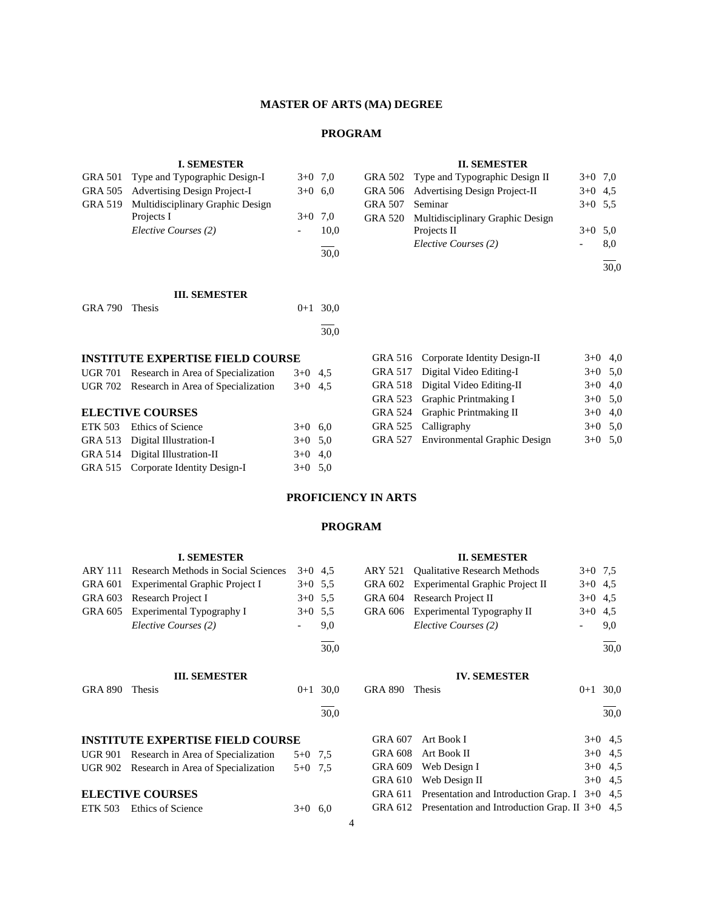## **MASTER OF ARTS (MA) DEGREE**

## **PROGRAM**

l 30,0

## **I. SEMESTER** GRA 501 Type and Typographic Design-I  $3+0$  7,0

GRA 505 Advertising Design Project-I 3+0 6,0

Projects I  $3+0$  7,0 *Elective Courses (2)* - 10,0

GRA 519 Multidisciplinary Graphic Design

| <b>II. SEMESTER</b> |
|---------------------|
|---------------------|

|         | GRA 502 Type and Typographic Design II   | $3+0$ 7.0 |     |
|---------|------------------------------------------|-----------|-----|
|         | GRA 506 Advertising Design Project-II    | $3+0$ 4.5 |     |
| GRA 507 | Seminar                                  | $3+0$ 5.5 |     |
|         | GRA 520 Multidisciplinary Graphic Design |           |     |
|         | Projects II                              | $3+0$ 5.0 |     |
|         | Elective Courses (2)                     |           | 8.0 |
|         |                                          |           |     |
|         |                                          |           |     |

#### **III. SEMESTER**

| GRA 790 Thesis |  | $0+1$ 30.0 |
|----------------|--|------------|
|                |  | 30,0       |

#### **INSTITUTE EXPERTISE FIELD COURSE**

| UGR 701 Research in Area of Specialization<br>UGR 702 Research in Area of Specialization | $3+0$ 4.5<br>$3+0$ 4.5 |  |
|------------------------------------------------------------------------------------------|------------------------|--|
| <b>ELECTIVE COURSES</b>                                                                  |                        |  |
| ETK 503 Ethics of Science                                                                | $3+0$ 6.0              |  |
| GRA 513 Digital Illustration-I                                                           | $3+0$ 5.0              |  |
| GRA 514 Digital Illustration-II                                                          | $3+0$ 4.0              |  |
| GRA 515 Corporate Identity Design-I                                                      | $3+0$ 5.0              |  |

| GRA 516 Corporate Identity Design-II | $3+0$ 4,0 |  |
|--------------------------------------|-----------|--|
| GRA 517 Digital Video Editing-I      | $3+0$ 5,0 |  |
| GRA 518 Digital Video Editing-II     | $3+0$ 4,0 |  |
| GRA 523 Graphic Printmaking I        | $3+0$ 5.0 |  |
| GRA 524 Graphic Printmaking II       | $3+0$ 4,0 |  |
| GRA 525 Calligraphy                  | $3+0$ 5.0 |  |
| GRA 527 Environmental Graphic Design | $3+0$ 5,0 |  |

#### **PROFICIENCY IN ARTS**

#### **PROGRAM**

# **I. SEMESTER** ARY 111 Research Methods in Social Sciences 3+0 4,5 GRA 601 Experimental Graphic Project I 3+0 5,5 GRA 603 Research Project I 3+0 5,5<br>GRA 605 Experimental Typography I 3+0 5,5 GRA 605 Experimental Typography I *Elective Courses (2)*  $\qquad \qquad -9.0$ l 30,0 **III. SEMESTER** GRA 890 Thesis  $0+1$  30,0  $\overline{a}$ 30,0 **INSTITUTE EXPERTISE FIELD COURSE**

| UGR 901 Research in Area of Specialization           | $5+0$ 7.5 |  |
|------------------------------------------------------|-----------|--|
| UGR 902 Research in Area of Specialization $5+0$ 7.5 |           |  |
|                                                      |           |  |

## **ELECTIVE COURSES**

|  | ETK 503 Ethics of Science | $3+0$ 6,0 |  |
|--|---------------------------|-----------|--|
|--|---------------------------|-----------|--|

## **II. SEMESTER**

| ARY 521 Qualitative Research Methods    | $3+0$ 7.5 |
|-----------------------------------------|-----------|
| GRA 602 Experimental Graphic Project II | $3+0$ 4.5 |
| GRA 604 Research Project II             | $3+0$ 4.5 |
| GRA 606 Experimental Typography II      | $3+0$ 4.5 |
| Elective Courses (2)                    | 9.0       |

l 30,0

## **IV. SEMESTER**

GRA 890 Thesis 0+1 30,0

 $\overline{a}$ 30,0

| GRA 607 Art Book I                                       | $3+0$ 4.5 |  |
|----------------------------------------------------------|-----------|--|
| GRA 608 Art Book II                                      | $3+0$ 4.5 |  |
| GRA 609 Web Design I                                     | $3+0$ 4.5 |  |
| GRA 610 Web Design II                                    | $3+0$ 4.5 |  |
| GRA 611 Presentation and Introduction Grap. I $3+0$ 4.5  |           |  |
| GRA 612 Presentation and Introduction Grap. II $3+0$ 4.5 |           |  |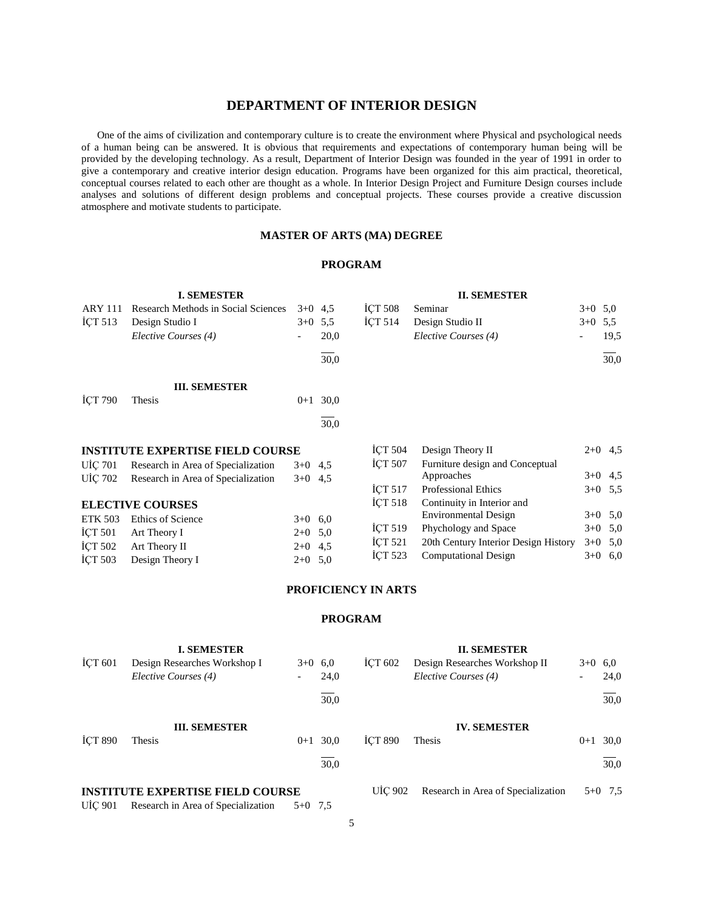## **DEPARTMENT OF INTERIOR DESIGN**

 One of the aims of civilization and contemporary culture is to create the environment where Physical and psychological needs of a human being can be answered. It is obvious that requirements and expectations of contemporary human being will be provided by the developing technology. As a result, Department of Interior Design was founded in the year of 1991 in order to give a contemporary and creative interior design education. Programs have been organized for this aim practical, theoretical, conceptual courses related to each other are thought as a whole. In Interior Design Project and Furniture Design courses include analyses and solutions of different design problems and conceptual projects. These courses provide a creative discussion atmosphere and motivate students to participate.

## **MASTER OF ARTS (MA) DEGREE**

## **PROGRAM**

|                | <b>I. SEMESTER</b>                      |           |      |                    | <b>II. SEMESTER</b>                  |           |           |
|----------------|-----------------------------------------|-----------|------|--------------------|--------------------------------------|-----------|-----------|
| <b>ARY 111</b> | Research Methods in Social Sciences     | $3+0$ 4.5 |      | <b>ICT 508</b>     | Seminar                              | $3+0$ 5,0 |           |
| ICT 513        | Design Studio I                         | $3+0$ 5,5 |      | ICT <sub>514</sub> | Design Studio II                     | $3+0$ 5.5 |           |
|                | Elective Courses (4)                    |           | 20,0 |                    | Elective Courses (4)                 |           | 19,5      |
|                |                                         |           | 30,0 |                    |                                      |           | 30,0      |
|                | <b>III. SEMESTER</b>                    |           |      |                    |                                      |           |           |
| <b>ICT 790</b> | Thesis                                  | $0 + 1$   | 30,0 |                    |                                      |           |           |
|                |                                         |           | 30,0 |                    |                                      |           |           |
|                | <b>INSTITUTE EXPERTISE FIELD COURSE</b> |           |      | <b>ICT 504</b>     | Design Theory II                     |           | $2+0$ 4.5 |
| UIÇ 701        | Research in Area of Specialization      | $3+0$ 4,5 |      | <b>ICT 507</b>     | Furniture design and Conceptual      |           |           |
| UIÇ 702        | Research in Area of Specialization      | $3+0$ 4.5 |      |                    | Approaches                           |           | $3+0$ 4,5 |
|                |                                         |           |      | <b>ICT 517</b>     | <b>Professional Ethics</b>           |           | $3+0$ 5,5 |
|                | <b>ELECTIVE COURSES</b>                 |           |      | <b>İCT 518</b>     | Continuity in Interior and           |           |           |
| <b>ETK 503</b> | <b>Ethics of Science</b>                | $3+0$     | 6,0  |                    | Environmental Design                 |           | $3+0$ 5,0 |
| <b>ICT 501</b> | Art Theory I                            | $2+0$ 5,0 |      | <b>ICT 519</b>     | Phychology and Space                 |           | $3+0$ 5,0 |
| ICT 502        | Art Theory II                           | $2+0$ 4.5 |      | ICT 521            | 20th Century Interior Design History | $3+0$     | 5,0       |
| İÇT 503        | Design Theory I                         | $2+0$ 5,0 |      | İÇT 523            | <b>Computational Design</b>          | $3+0$     | 6,0       |

## **PROFICIENCY IN ARTS**

## **PROGRAM**

|                    | <b>I. SEMESTER</b>                      |           |      |                | <b>II. SEMESTER</b>                |           |           |
|--------------------|-----------------------------------------|-----------|------|----------------|------------------------------------|-----------|-----------|
| ICT <sub>601</sub> | Design Researches Workshop I            | $3+0$ 6.0 |      | <b>ICT 602</b> | Design Researches Workshop II      | $3+0$ 6.0 |           |
|                    | Elective Courses (4)                    |           | 24,0 |                | Elective Courses (4)               |           | 24,0      |
|                    |                                         |           | 30,0 |                |                                    |           | 30,0      |
|                    | <b>III. SEMESTER</b>                    |           |      |                | <b>IV. SEMESTER</b>                |           |           |
| <b>ICT 890</b>     | Thesis                                  | $0 + 1$   | 30.0 | <b>ICT 890</b> | Thesis                             | $0 + 1$   | 30,0      |
|                    |                                         |           | 30,0 |                |                                    |           | 30,0      |
|                    | <b>INSTITUTE EXPERTISE FIELD COURSE</b> |           |      | <b>UIC 902</b> | Research in Area of Specialization |           | $5+0$ 7.5 |
| <b>UIC 901</b>     | Research in Area of Specialization      | $5+0$ 7.5 |      |                |                                    |           |           |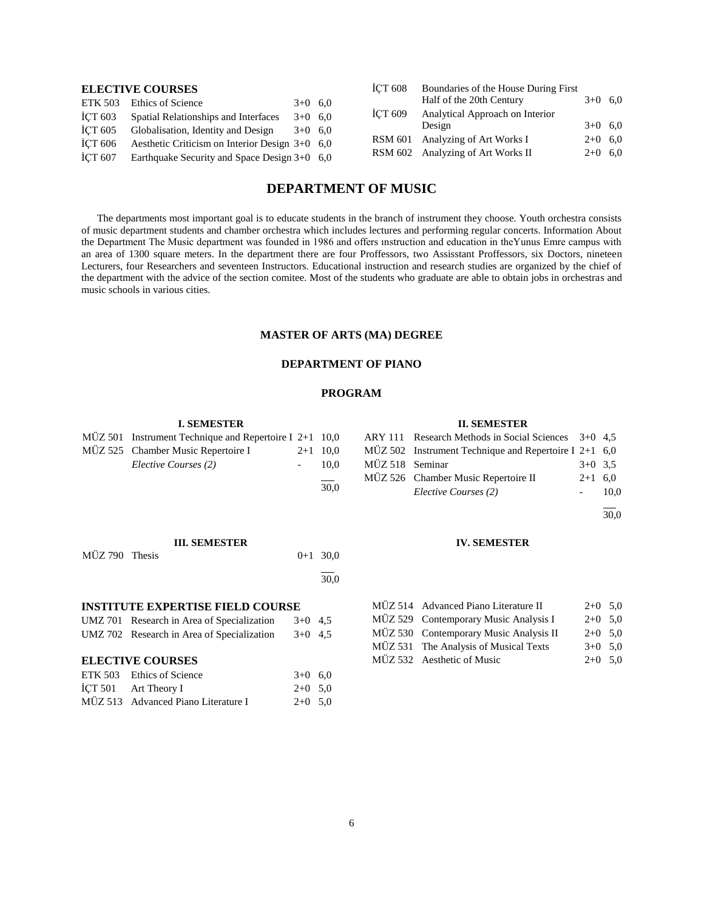## **ELECTIVE COURSES**

| <b>ETK 503</b> | Ethics of Science                                | $3+0$ 6.0 |  |
|----------------|--------------------------------------------------|-----------|--|
| <b>İCT 603</b> | Spatial Relationships and Interfaces             | $3+0$ 6.0 |  |
| İCT 605        | Globalisation, Identity and Design               | $3+0$ 6.0 |  |
| <b>İCT 606</b> | Aesthetic Criticism on Interior Design $3+0$ 6.0 |           |  |
| İCT 607        | Earthquake Security and Space Design $3+0$ 6,0   |           |  |

| İÇT 608 | Boundaries of the House During First |           |  |
|---------|--------------------------------------|-----------|--|
|         | Half of the 20th Century             | $3+0$ 6.0 |  |
| İÇT 609 | Analytical Approach on Interior      |           |  |
|         | Design                               | $3+0$ 6.0 |  |
|         | RSM 601 Analyzing of Art Works I     | $2+0$ 6.0 |  |
|         | RSM 602 Analyzing of Art Works II    | $2+0$ 6.0 |  |
|         |                                      |           |  |

## **DEPARTMENT OF MUSIC**

 The departments most important goal is to educate students in the branch of instrument they choose. Youth orchestra consists of music department students and chamber orchestra which includes lectures and performing regular concerts. Information About the Department The Music department was founded in 1986 and offers ınstruction and education in theYunus Emre campus with an area of 1300 square meters. In the department there are four Proffessors, two Assisstant Proffessors, six Doctors, nineteen Lecturers, four Researchers and seventeen Instructors. Educational instruction and research studies are organized by the chief of the department with the advice of the section comitee. Most of the students who graduate are able to obtain jobs in orchestras and music schools in various cities.

## **MASTER OF ARTS (MA) DEGREE**

## **DEPARTMENT OF PIANO**

## **PROGRAM**

|                  | <b>I. SEMESTER</b>                               |           |            |                  | <b>II. SEMESTER</b>                             |           |           |
|------------------|--------------------------------------------------|-----------|------------|------------------|-------------------------------------------------|-----------|-----------|
| MUZ 501          | Instrument Technique and Repertoire I $2+1$ 10,0 |           |            | <b>ARY 111</b>   | Research Methods in Social Sciences             | $3+0$ 4.5 |           |
| MÜZ 525          | Chamber Music Repertoire I                       | $2 + 1$   | 10,0       | MÜZ 502          | Instrument Technique and Repertoire I $2+1$ 6,0 |           |           |
|                  | Elective Courses (2)                             |           | 10,0       | $M\ddot{U}Z$ 518 | Seminar                                         | $3+0$ 3.5 |           |
|                  |                                                  |           |            | MÜZ 526          | Chamber Music Repertoire II                     | $2 + 1$   | 6,0       |
|                  |                                                  |           | 30,0       |                  | Elective Courses (2)                            |           | 10,0      |
|                  |                                                  |           |            |                  |                                                 |           | 30,0      |
|                  | <b>III. SEMESTER</b>                             |           |            |                  | <b>IV. SEMESTER</b>                             |           |           |
| MÜZ 790 Thesis   |                                                  |           | $0+1$ 30,0 |                  |                                                 |           |           |
|                  |                                                  |           | 30,0       |                  |                                                 |           |           |
|                  | <b>INSTITUTE EXPERTISE FIELD COURSE</b>          |           |            | $MUZ$ 514        | Advanced Piano Literature II                    |           | $2+0$ 5,0 |
|                  | UMZ 701 Research in Area of Specialization       | $3+0$ 4.5 |            |                  | MUZ 529 Contemporary Music Analysis I           |           | $2+0$ 5,0 |
|                  | UMZ 702 Research in Area of Specialization       | $3+0$ 4.5 |            | MUZ 530          | Contemporary Music Analysis II                  |           | $2+0$ 5,0 |
|                  |                                                  |           |            | MÜZ 531          | The Analysis of Musical Texts                   |           | $3+0$ 5,0 |
|                  | <b>ELECTIVE COURSES</b>                          |           |            |                  | MÜZ 532 Aesthetic of Music                      |           | $2+0$ 5,0 |
| <b>ETK 503</b>   | Ethics of Science                                | $3+0$ 6.0 |            |                  |                                                 |           |           |
| <b>ICT 501</b>   | Art Theory I                                     | $2+0$ 5,0 |            |                  |                                                 |           |           |
| $M\ddot{U}Z$ 513 | Advanced Piano Literature I                      | $2+0$ 5.0 |            |                  |                                                 |           |           |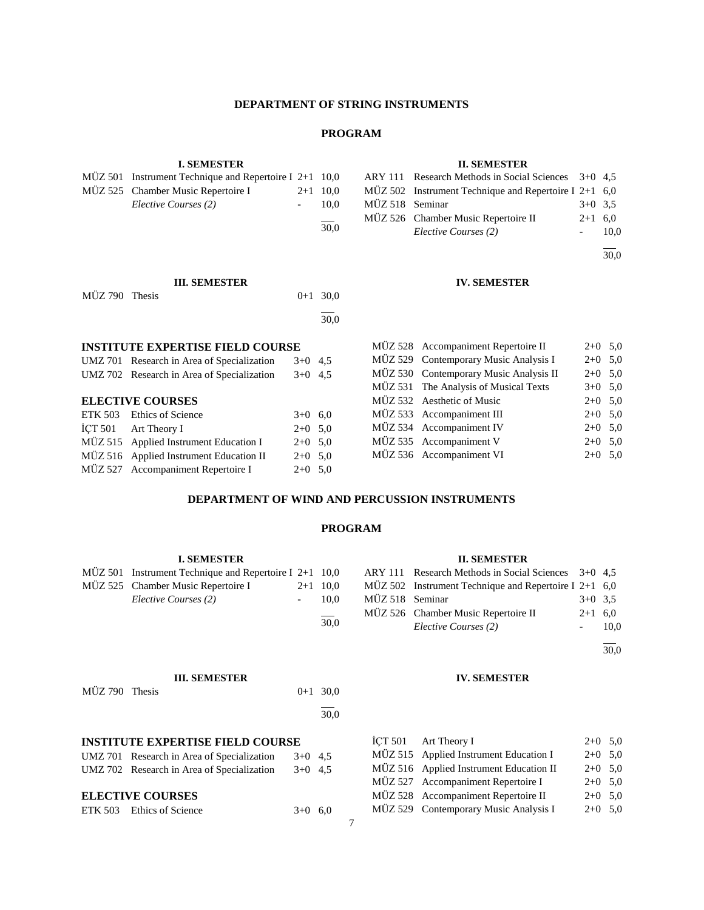## **DEPARTMENT OF STRING INSTRUMENTS**

#### **PROGRAM**

l  $\overline{30.0}$ 

## **I. SEMESTER**

| $M\ddot{U}Z$ 501 Instrument Technique and Repertoire I 2+1 10,0 |            |  |
|-----------------------------------------------------------------|------------|--|
| MÜZ 525 Chamber Music Repertoire I                              | $2+1$ 10.0 |  |
| Elective Courses (2)                                            | 10.0       |  |
|                                                                 | 30.0       |  |

**III. SEMESTER** MÜZ 790 Thesis 0+1 30,0

#### **II. SEMESTER**

|                 | ARY 111 Research Methods in Social Sciences 3+0 4,5     |           |      |
|-----------------|---------------------------------------------------------|-----------|------|
|                 | MÜZ 502 Instrument Technique and Repertoire I 2+1 $6,0$ |           |      |
| MÜZ 518 Seminar |                                                         | $3+0$ 3.5 |      |
|                 | MUZ 526 Chamber Music Repertoire II                     | $2+1$ 6.0 |      |
|                 | Elective Courses (2)                                    |           | 10.0 |
|                 |                                                         |           |      |

30,0

## **IV. SEMESTER**

| <b>INSTITUTE EXPERTISE FIELD COURSE</b> |                                            |           |  | MÜZ 528 Accompaniment Repertoire II    | $2+0$ 5,0 |  |
|-----------------------------------------|--------------------------------------------|-----------|--|----------------------------------------|-----------|--|
|                                         | UMZ 701 Research in Area of Specialization | $3+0$ 4.5 |  | MÜZ 529 Contemporary Music Analysis I  | $2+0$ 5.0 |  |
|                                         | UMZ 702 Research in Area of Specialization | $3+0$ 4.5 |  | MÜZ 530 Contemporary Music Analysis II | $2+0$ 5,0 |  |
|                                         |                                            |           |  | MÜZ 531 The Analysis of Musical Texts  | $3+0$ 5.0 |  |
|                                         | <b>ELECTIVE COURSES</b>                    |           |  | MÜZ 532 Aesthetic of Music             | $2+0$ 5,0 |  |
|                                         | ETK 503 Ethics of Science                  | $3+0$ 6.0 |  | MÜZ 533 Accompaniment III              | $2+0$ 5,0 |  |
|                                         | İCT 501 Art Theory I                       | $2+0$ 5.0 |  | MÜZ 534 Accompaniment IV               | $2+0$ 5.0 |  |
|                                         | MÜZ 515 Applied Instrument Education I     | $2+0$ 5.0 |  | MÜZ 535 Accompaniment V                | $2+0$ 5,0 |  |
|                                         | MÜZ 516 Applied Instrument Education II    | $2+0$ 5.0 |  | MÜZ 536 Accompaniment VI               | $2+0$ 5.0 |  |
|                                         | MÜZ 527 Accompaniment Repertoire I         | $2+0$ 5.0 |  |                                        |           |  |

| $\mathbf{N}$ $\mathbf{C}$ $\mathbf{L}$ $\mathbf{C}$ $\mathbf{C}$ $\mathbf{C}$ $\mathbf{C}$ $\mathbf{C}$ $\mathbf{M}$ $\mathbf{C}$ $\mathbf{C}$ $\mathbf{C}$ $\mathbf{C}$ $\mathbf{C}$ $\mathbf{C}$ $\mathbf{C}$ $\mathbf{C}$ $\mathbf{C}$ $\mathbf{C}$ $\mathbf{C}$ $\mathbf{C}$ $\mathbf{C}$ $\mathbf{C}$ $\mathbf{C}$ $\mathbf{C}$ $\mathbf{C}$ $\mathbf{C}$ $\mathbf$ | $2 + 0$ , $0 + 2$ |  |
|--------------------------------------------------------------------------------------------------------------------------------------------------------------------------------------------------------------------------------------------------------------------------------------------------------------------------------------------------------------------------|-------------------|--|
| MÜZ 529 Contemporary Music Analysis I                                                                                                                                                                                                                                                                                                                                    | $2+0$ 5,0         |  |
| MÜZ 530 Contemporary Music Analysis II                                                                                                                                                                                                                                                                                                                                   | $2+0$ 5.0         |  |
| MÜZ 531 The Analysis of Musical Texts                                                                                                                                                                                                                                                                                                                                    | $3+0$ 5,0         |  |
| MÜZ 532 Aesthetic of Music                                                                                                                                                                                                                                                                                                                                               | $2+0$ 5.0         |  |
| MÜZ 533 Accompaniment III                                                                                                                                                                                                                                                                                                                                                | $2+0$ 5.0         |  |
| MÜZ 534 Accompaniment IV                                                                                                                                                                                                                                                                                                                                                 | $2+0$ 5,0         |  |
| MÜZ 535 Accompaniment V                                                                                                                                                                                                                                                                                                                                                  | $2+0$ 5,0         |  |
| MÜZ 536 Accompaniment VI                                                                                                                                                                                                                                                                                                                                                 | $2+0$ 5,0         |  |

## **DEPARTMENT OF WIND AND PERCUSSION INSTRUMENTS**

## **PROGRAM**

#### **I. SEMESTER** MÜZ 501 Instrument Technique and Repertoire I 2+1 10,0 MÜZ 525 Chamber Music Repertoire I 2+1 10,0 *Elective Courses (2)* - 10,0 l  $\overline{30.0}$ **II. SEMESTER** ARY 111 Research Methods in Social Sciences 3+0 4,5 MÜZ 502 Instrument Technique and Repertoire I 2+1 6,0 MÜZ 518 Seminar 3+0 3,5 MÜZ 526 Chamber Music Repertoire II 2+1 6,0 *Elective Courses (2)* - 10,0 l 30,0 **III. SEMESTER**  $MÜZ 790$  Thesis  $0+1$  30,0 l 30,0 **IV. SEMESTER INSTITUTE EXPERTISE FIELD COURSE** UMZ 701 Research in Area of Specialization 3+0 4,5 UMZ 702 Research in Area of Specialization 3+0 4,5 **ELECTIVE COURSES** ETK 503 Ethics of Science  $3+0$  6,0  $\text{I}$ CT 501 Art Theory I 2+0 5,0 MÜZ 515 Applied Instrument Education I  $2+0$  5,0 MÜZ 516 Applied Instrument Education II 2+0 5,0 MÜZ 527 Accompaniment Repertoire I 2+0 5,0 MÜZ 528 Accompaniment Repertoire II 2+0 5,0 MÜZ 529 Contemporary Music Analysis I 2+0 5,0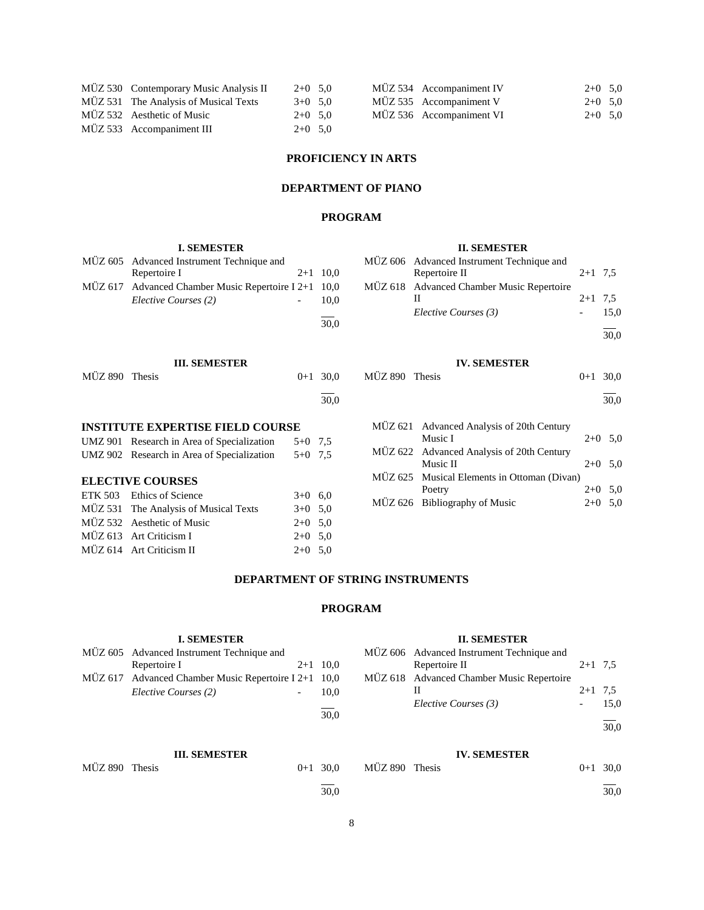| MÜZ 530 Contemporary Music Analysis II | $2+0$ 5.0 |  | MÜZ 534 Accompaniment IV | $2+0$ 5.0 |  |
|----------------------------------------|-----------|--|--------------------------|-----------|--|
| MÜZ 531 The Analysis of Musical Texts  | $3+0$ 5.0 |  | MÜZ 535 Accompaniment V  | $2+0$ 5.0 |  |
| MÜZ 532 Aesthetic of Music             | $2+0$ 5.0 |  | MÜZ 536 Accompaniment VI | $2+0$ 5.0 |  |
| MÜZ 533 Accompaniment III              | $2+0$ 5.0 |  |                          |           |  |

## **PROFICIENCY IN ARTS**

## **DEPARTMENT OF PIANO**

## **PROGRAM**

|                | <b>I. SEMESTER</b>                         |           |            |                | <b>II. SEMESTER</b>                       |            |           |
|----------------|--------------------------------------------|-----------|------------|----------------|-------------------------------------------|------------|-----------|
| MÜZ 605        | Advanced Instrument Technique and          |           |            |                | MÜZ 606 Advanced Instrument Technique and |            |           |
|                | Repertoire I                               |           | $2+1$ 10,0 |                | Repertoire II                             | $2+1$ 7.5  |           |
| MÜZ 617        | Advanced Chamber Music Repertoire I 2+1    |           | 10,0       |                | MUZ 618 Advanced Chamber Music Repertoire |            |           |
|                | Elective Courses (2)                       |           | 10,0       |                | П                                         | $2+1$ 7,5  |           |
|                |                                            |           |            |                | Elective Courses (3)                      |            | 15,0      |
|                |                                            |           | 30,0       |                |                                           |            |           |
|                |                                            |           |            |                |                                           |            | 30,0      |
|                | <b>III. SEMESTER</b>                       |           |            |                | <b>IV. SEMESTER</b>                       |            |           |
| MÜZ 890 Thesis |                                            | $0+1$     | 30,0       | MÜZ 890 Thesis |                                           | $0+1$ 30.0 |           |
|                |                                            |           |            |                |                                           |            |           |
|                |                                            |           | 30,0       |                |                                           |            | 30,0      |
|                | <b>INSTITUTE EXPERTISE FIELD COURSE</b>    |           |            | MÜZ 621        | Advanced Analysis of 20th Century         |            |           |
|                | UMZ 901 Research in Area of Specialization | $5+0$ 7.5 |            |                | Music I                                   |            | $2+0$ 5,0 |
|                | UMZ 902 Research in Area of Specialization | $5+0$ 7.5 |            | MUZ 622        | Advanced Analysis of 20th Century         |            |           |
|                |                                            |           |            |                | Music II                                  |            | $2+0$ 5.0 |
|                | <b>ELECTIVE COURSES</b>                    |           |            | MÜZ 625        | Musical Elements in Ottoman (Divan)       |            |           |
| ETK 503        | <b>Ethics of Science</b>                   | $3+0$ 6.0 |            |                | Poetry                                    |            | $2+0$ 5,0 |
|                | MÜZ 531 The Analysis of Musical Texts      | $3+0$ 5.0 |            | MÜZ 626        | <b>Bibliography of Music</b>              | $2+0$      | 5,0       |
|                | MÜZ 532 Aesthetic of Music                 | $2 + 0$   | 5,0        |                |                                           |            |           |
|                | MÜZ 613 Art Criticism I                    | $2+0$ 5,0 |            |                |                                           |            |           |
|                | MÜZ 614 Art Criticism II                   | $2+0$ 5.0 |            |                |                                           |            |           |
|                |                                            |           |            |                |                                           |            |           |

## **DEPARTMENT OF STRING INSTRUMENTS**

## **PROGRAM**

|                |              | <b>I. SEMESTER</b>                                   |         |      |                 |
|----------------|--------------|------------------------------------------------------|---------|------|-----------------|
|                |              | MÜZ 605 Advanced Instrument Technique and            |         |      | MUZ 60          |
|                | Repertoire I |                                                      | $2+1$   | 10.0 |                 |
|                |              | MÜZ 617 Advanced Chamber Music Repertoire I 2+1 10,0 |         |      | $M\ddot{U}Z$ 61 |
|                |              | Elective Courses (2)                                 |         | 10,0 |                 |
|                |              |                                                      |         | 30,0 |                 |
|                |              | <b>III. SEMESTER</b>                                 |         |      |                 |
| MÜZ 890 Thesis |              |                                                      | $0 + 1$ | 30.0 | <b>MÜZ 890</b>  |
|                |              |                                                      |         | 30.0 |                 |

#### **II. SEMESTER**

| MÜZ 606 Advanced Instrument Technique and |           |      |
|-------------------------------------------|-----------|------|
| Repertoire II                             | $2+1$ 7.5 |      |
| MÜZ 618 Advanced Chamber Music Repertoire |           |      |
|                                           | $2+1$ 7.5 |      |
| Elective Courses (3)                      |           | 15.0 |
|                                           |           | 30,0 |

## **IV. SEMESTER**

| 0 Thesis | $0+1$ 30.0 |
|----------|------------|
|          | 30.0       |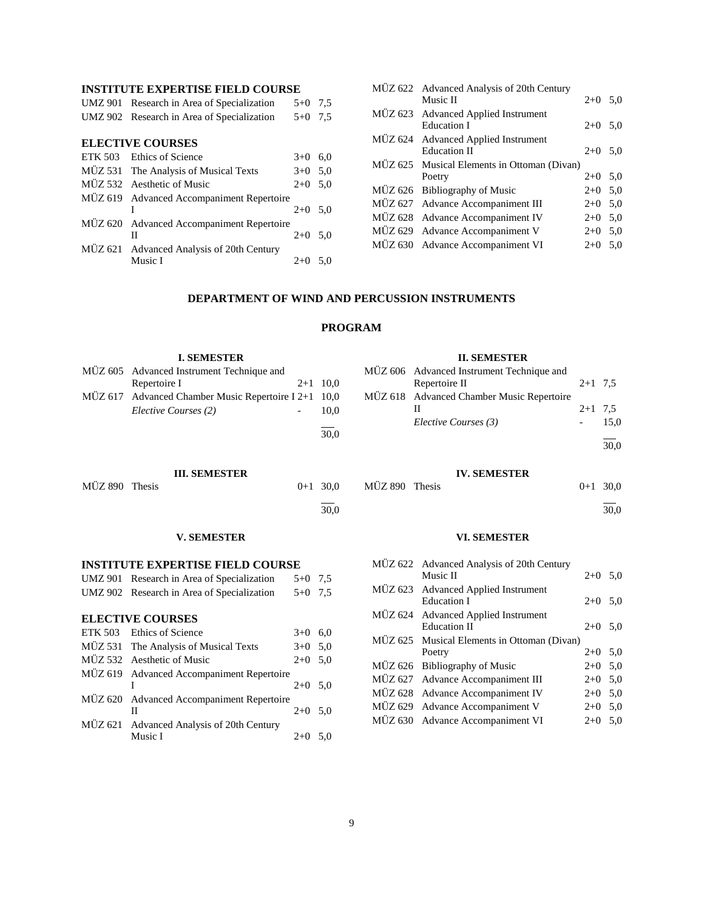## **INSTITUTE EXPERTISE FIELD COURSE**

| UMZ 901 Research in Area of Specialization | $5+0$ 7.5 |  |
|--------------------------------------------|-----------|--|
| UMZ 902 Research in Area of Specialization | $5+0$ 7.5 |  |
|                                            |           |  |

| <b>ELECTIVE COURSES</b> |                                           |           |     |  |  |  |
|-------------------------|-------------------------------------------|-----------|-----|--|--|--|
|                         | ETK 503 Ethics of Science                 | $3+0$     | 6,0 |  |  |  |
|                         | MÜZ 531 The Analysis of Musical Texts     | $3+0$ 5.0 |     |  |  |  |
|                         | MÜZ 532 Aesthetic of Music                | $2+0$ 5,0 |     |  |  |  |
|                         | MÜZ 619 Advanced Accompaniment Repertoire |           |     |  |  |  |
|                         |                                           | $2+0$ 5.0 |     |  |  |  |
|                         | MÜZ 620 Advanced Accompaniment Repertoire |           |     |  |  |  |
|                         | Н                                         | $2+0$ 5.0 |     |  |  |  |
|                         | MÜZ 621 Advanced Analysis of 20th Century |           |     |  |  |  |
|                         | Music I                                   | $2+0$     | 5.0 |  |  |  |
|                         |                                           |           |     |  |  |  |

 $1 \t2+0 \t5.0$ 

II  $2+0$  5,0

MÜZ 620 Advanced Accompaniment Repertoire

MÜZ 621 Advanced Analysis of 20th Century

| MÜZ 622 Advanced Analysis of 20th Century   |           |     |
|---------------------------------------------|-----------|-----|
| Music II                                    | $2+0$ 5.0 |     |
| MÜZ 623 Advanced Applied Instrument         |           |     |
| <b>Education I</b>                          | $2+0$ 5.0 |     |
| MÜZ 624 Advanced Applied Instrument         |           |     |
| <b>Education II</b>                         | $2+0$ 5.0 |     |
| MÜZ 625 Musical Elements in Ottoman (Divan) |           |     |
| Poetry                                      | $2+0$ 5.0 |     |
| MÜZ 626 Bibliography of Music               | $2+0$ 5.0 |     |
| MÜZ 627 Advance Accompaniment III           | $2+0$ 5.0 |     |
| MÜZ 628 Advance Accompaniment IV            | $2+0$     | 5,0 |
| MÜZ 629 Advance Accompaniment V             | $2+0$     | 5,0 |
| MÜZ 630 Advance Accompaniment VI            | $2+0$     | 5.0 |
|                                             |           |     |

MÜZ 627 Advance Accompaniment III 2+0 5,0 MÜZ 628 Advance Accompaniment IV 2+0 5,0 MÜZ 629 Advance Accompaniment V 2+0 5,0 MÜZ 630 Advance Accompaniment VI 2+0 5,0

## **DEPARTMENT OF WIND AND PERCUSSION INSTRUMENTS**

## **PROGRAM**

|                | <b>I. SEMESTER</b>                                              |           |                      |                | <b>II. SEMESTER</b>                                                         |           |              |
|----------------|-----------------------------------------------------------------|-----------|----------------------|----------------|-----------------------------------------------------------------------------|-----------|--------------|
| <b>MÜZ 605</b> | Advanced Instrument Technique and<br>Repertoire I               |           | $2+1$ 10,0           | MÜZ 606        | Advanced Instrument Technique and<br>Repertoire II                          | $2+1$ 7.5 |              |
| MUZ 617        | Advanced Chamber Music Repertoire I 2+1<br>Elective Courses (2) |           | 10.0<br>10,0<br>30,0 | MUZ 618        | Advanced Chamber Music Repertoire<br>H<br>Elective Courses (3)              | $2+1$ 7,5 | 15,0<br>30,0 |
|                | <b>III. SEMESTER</b>                                            |           |                      |                | <b>IV. SEMESTER</b>                                                         |           |              |
| MÜZ 890 Thesis |                                                                 | $0+1$     | 30.0                 | MÜZ 890 Thesis |                                                                             | $0 + 1$   | 30,0         |
|                |                                                                 |           | 30,0                 |                |                                                                             |           | 30,0         |
|                | <b>V. SEMESTER</b>                                              |           |                      |                | <b>VI. SEMESTER</b>                                                         |           |              |
|                | <b>INSTITUTE EXPERTISE FIELD COURSE</b>                         |           |                      | MUZ 622        | <b>Advanced Analysis of 20th Century</b>                                    |           |              |
|                | UMZ 901 Research in Area of Specialization                      | $5+0$ 7,5 |                      |                | Music II                                                                    |           | $2+0$ 5,0    |
|                | UMZ 902 Research in Area of Specialization                      | $5+0$ 7,5 |                      | MUZ 623        | <b>Advanced Applied Instrument</b><br><b>Education I</b>                    |           | $2+0$ 5,0    |
|                | <b>ELECTIVE COURSES</b>                                         |           |                      | MUZ 624        | <b>Advanced Applied Instrument</b>                                          |           |              |
| <b>ETK 503</b> | Ethics of Science                                               | $3+0$ 6,0 |                      |                | <b>Education II</b>                                                         |           | $2+0$ 5,0    |
| MÜZ 531        | The Analysis of Musical Texts                                   | $3+0$ 5,0 |                      | MÜZ 625        | Musical Elements in Ottoman (Divan)                                         |           |              |
|                | MÜZ 532 Aesthetic of Music                                      | $2+0$ 5.0 |                      |                | Poetry                                                                      |           | $2+0$ 5,0    |
| MÜZ 619        | <b>Advanced Accompaniment Repertoire</b>                        |           |                      |                | $\overline{M}$ $\overline{17}$ 627 A dyanaa A aasymanimant $\overline{III}$ |           | 2.0.50       |
|                |                                                                 |           |                      |                | MÜZ 626 Bibliography of Music                                               |           | $2+0$ 5,0    |

 $2+0$  5,0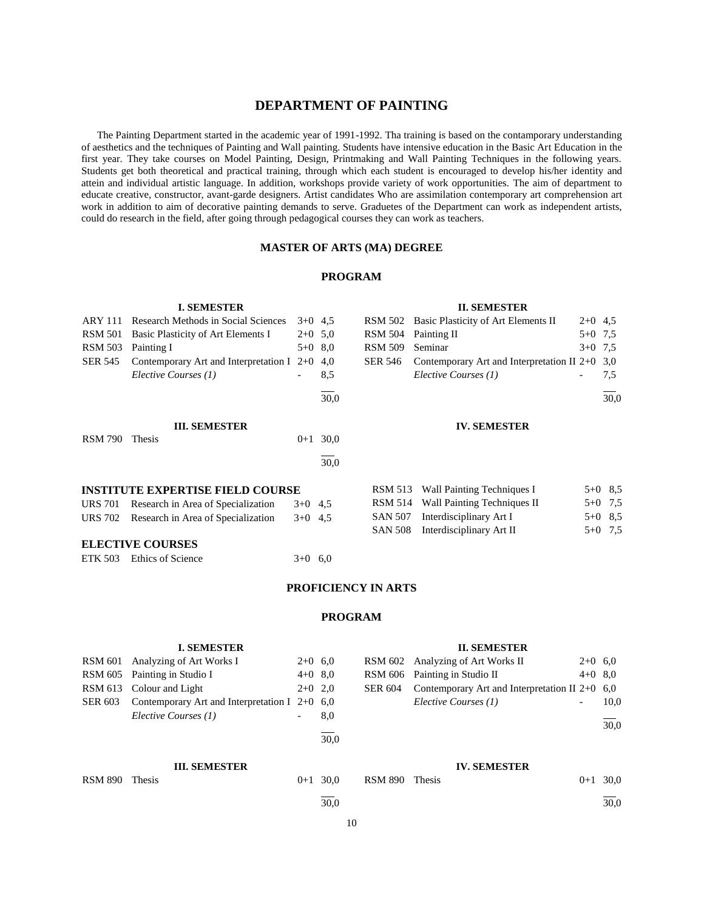## **DEPARTMENT OF PAINTING**

 The Painting Department started in the academic year of 1991-1992. Tha training is based on the contamporary understanding of aesthetics and the techniques of Painting and Wall painting. Students have intensive education in the Basic Art Education in the first year. They take courses on Model Painting, Design, Printmaking and Wall Painting Techniques in the following years. Students get both theoretical and practical training, through which each student is encouraged to develop his/her identity and attein and individual artistic language. In addition, workshops provide variety of work opportunities. The aim of department to educate creative, constructor, avant-garde designers. Artist candidates Who are assimilation contemporary art comprehension art work in addition to aim of decorative painting demands to serve. Graduetes of the Department can work as independent artists, could do research in the field, after going through pedagogical courses they can work as teachers.

#### **MASTER OF ARTS (MA) DEGREE**

#### **PROGRAM**

#### **II. SEMESTER** RSM 502 Basic Plasticity of Art Elements II 2+0 4,5

RSM 504 Painting II 5+0 7,5 RSM 509 Seminar 3+0 7,5 SER 546 Contemporary Art and Interpretation II 2+0 3,0

**IV. SEMESTER**

RSM 513 Wall Painting Techniques I 5+0 8,5 RSM 514 Wall Painting Techniques II 5+0 7,5 SAN 507 Interdisciplinary Art I 5+0 8,5 SAN 508 Interdisciplinary Art II 5+0 7,5

*Elective Courses (1)* - 7,5

l  $\frac{1}{30.0}$ 

|                | rescaren memoas in boena belehees           |           |      |
|----------------|---------------------------------------------|-----------|------|
| RSM 501        | Basic Plasticity of Art Elements I          | $2+0$ 5.0 |      |
| <b>RSM 503</b> | Painting I                                  | $5+0$     | 8,0  |
| <b>SER 545</b> | Contemporary Art and Interpretation I $2+0$ |           | 4,0  |
|                | Elective Courses (1)                        |           | 8,5  |
|                |                                             |           | 30.0 |
|                | <b>III. SEMESTER</b>                        |           |      |
| <b>RSM 790</b> | <b>Thesis</b>                               | $0 + 1$   | 30.0 |
|                |                                             |           | 30.0 |
|                |                                             |           |      |

**I. SEMESTER** ARY 111 Research Methods in Social Sciences  $3+0$  4.5

#### **INSTITUTE EXPERTISE FIELD COURSE**

| URS 701 Research in Area of Specialization | $3+0$ 4.5 |  |
|--------------------------------------------|-----------|--|
| URS 702 Research in Area of Specialization | $3+0$ 4.5 |  |

#### **ELECTIVE COURSES**

ETK 503 Ethics of Science  $3+0$  6.0

## **PROFICIENCY IN ARTS**

#### **PROGRAM**

|                | <b>I. SEMESTER</b>                              |           |            |                | <b>II. SEMESTER</b>                              |           |      |
|----------------|-------------------------------------------------|-----------|------------|----------------|--------------------------------------------------|-----------|------|
| <b>RSM 601</b> | Analyzing of Art Works I                        | $2+0$ 6.0 |            | <b>RSM 602</b> | Analyzing of Art Works II                        | $2+0$ 6.0 |      |
| RSM 605        | Painting in Studio I                            | $4+0$ 8,0 |            | <b>RSM 606</b> | Painting in Studio II                            | $4+0$ 8.0 |      |
| <b>RSM 613</b> | Colour and Light                                | $2+0$ 2,0 |            | <b>SER 604</b> | Contemporary Art and Interpretation II $2+0$ 6,0 |           |      |
| <b>SER 603</b> | Contemporary Art and Interpretation I $2+0$ 6,0 |           |            |                | Elective Courses (1)                             |           | 10,0 |
|                | Elective Courses (1)                            | -         | 8,0        |                |                                                  |           | 30,0 |
|                |                                                 |           | 30.0       |                |                                                  |           |      |
|                | <b>III. SEMESTER</b>                            |           |            |                | <b>IV. SEMESTER</b>                              |           |      |
| <b>RSM 890</b> | Thesis                                          |           | $0+1$ 30.0 | <b>RSM 890</b> | <b>Thesis</b>                                    | $0 + 1$   | 30,0 |
|                |                                                 |           | 30.0       |                |                                                  |           | 30.0 |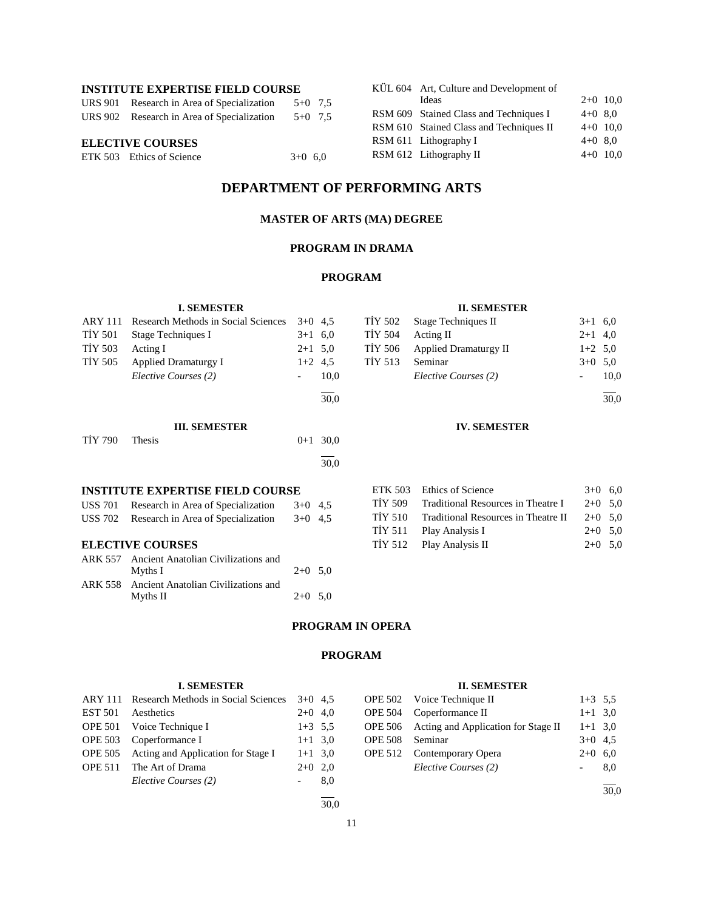## **INSTITUTE EXPERTISE FIELD COURSE**

| <b>ELECTIVE COURSES</b> |                                            |           |  |  |  |  |
|-------------------------|--------------------------------------------|-----------|--|--|--|--|
|                         | URS 902 Research in Area of Specialization | $5+0$ 7.5 |  |  |  |  |
|                         | URS 901 Research in Area of Specialization | $5+0$ 7.5 |  |  |  |  |

| ETK 503 Ethics of Science | $3+0$ 6.0 |  |
|---------------------------|-----------|--|

**I. SEMESTER** ARY 111 Research Methods in Social Sciences 3+0 4,5 TİY 501 Stage Techniques I 3+1 6,0 TİY 503 Acting I  $2+1$  5,0 TİY 505 Applied Dramaturgy I  $1+2$  4,5

**III. SEMESTER**  $TiY 790$  Thesis  $0+1 30,0$ 

**INSTITUTE EXPERTISE FIELD COURSE** USS 701 Research in Area of Specialization 3+0 4,5 USS 702 Research in Area of Specialization 3+0 4,5

ARK 557 Ancient Anatolian Civilizations and<br>Myths I

ARK 558 Ancient Anatolian Civilizations and

**ELECTIVE COURSES**

*Elective Courses (2)* - 10,0

Myths II  $2+0$  5,0

| KÜL 604 Art, Culture and Development of |           |            |
|-----------------------------------------|-----------|------------|
| Ideas                                   |           | $2+0$ 10.0 |
| RSM 609 Stained Class and Techniques I  | $4+0$ 8.0 |            |
| RSM 610 Stained Class and Techniques II |           | $4+0$ 10,0 |
| RSM 611 Lithography I                   | $4+0$ 8.0 |            |
| RSM 612 Lithography II                  |           | $4+0$ 10,0 |

## **DEPARTMENT OF PERFORMING ARTS**

## **MASTER OF ARTS (MA) DEGREE**

## **PROGRAM IN DRAMA**

#### **PROGRAM**

l 30,0

 $\overline{a}$ 30,0

 $2+0$  5,0

#### **II. SEMESTER**

|         | TİY 502 Stage Techniques II   | $3+1$ 6.0 |      |
|---------|-------------------------------|-----------|------|
| TİY 504 | Acting II                     | $2+1$ 4,0 |      |
|         | TİY 506 Applied Dramaturgy II | $1+2$ 5.0 |      |
| TİY 513 | Seminar                       | $3+0$ 5.0 |      |
|         | Elective Courses (2)          |           | 10.0 |
|         |                               |           |      |

 $\frac{1}{30,0}$ 

## **IV. SEMESTER**

|  | ETK 503 Ethics of Science                   | $3+0$ 6.0 |  |
|--|---------------------------------------------|-----------|--|
|  | TIY 509 Traditional Resources in Theatre I  | $2+0$ 5.0 |  |
|  | TIY 510 Traditional Resources in Theatre II | $2+0$ 5.0 |  |
|  | TIY 511 Play Analysis I                     | $2+0$ 5.0 |  |
|  | TIY 512 Play Analysis II                    | $2+0$ 5.0 |  |

## **PROGRAM IN OPERA**

#### **PROGRAM**

#### **I. SEMESTER** ARY 111 Research Methods in Social Sciences 3+0 4,5 EST 501 Aesthetics 2+0 4,0 OPE 501 Voice Technique I 1+3 5,5 OPE 503 Coperformance I 1+1 3,0 OPE 505 Acting and Application for Stage I 1+1 3,0 OPE 511 The Art of Drama 2+0 2,0 *Elective Courses (2)* - 8,0 l  $\frac{1}{30.0}$ **II. SEMESTER** OPE 502 Voice Technique II 1+3 5,5 OPE 504 Coperformance II  $1+1$  3,0 OPE 506 Acting and Application for Stage II  $1+1$  3,0 OPE 508 Seminar 3+0 4,5 OPE 512 Contemporary Opera 2+0 6,0 *Elective Courses (2)* - 8,0 l 30,0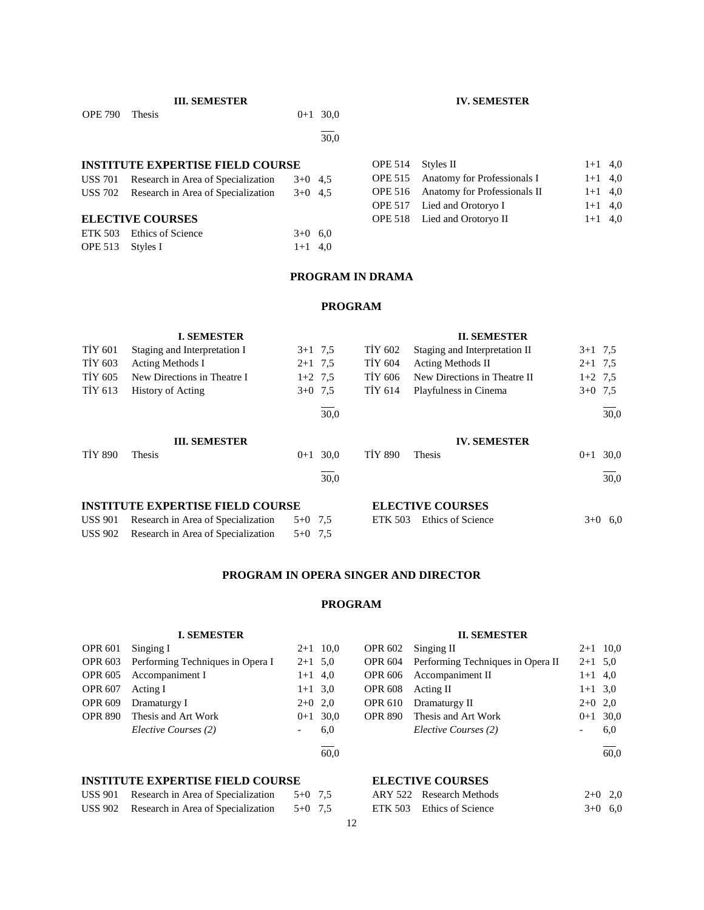| <b>OPE</b> 790 | Thesis                                     |           | $0+1$ $50,0$   |                              |                                      |
|----------------|--------------------------------------------|-----------|----------------|------------------------------|--------------------------------------|
|                |                                            |           | 30,0           |                              |                                      |
|                | <b>INSTITUTE EXPERTISE FIELD COURSE</b>    |           | <b>OPE 514</b> | Styles II                    |                                      |
|                | USS 701 Research in Area of Specialization | $3+0$ 4.5 |                |                              | OPE 515 Anatomy for Professionals I  |
|                | USS 702 Research in Area of Specialization | $3+0$ 4.5 |                |                              | OPE 516 Anatomy for Professionals II |
|                |                                            |           |                |                              | OPE 517 Lied and Orotoryo I          |
|                | <b>ELECTIVE COURSES</b>                    |           |                | OPE 518 Lied and Orotoryo II |                                      |
|                | ETK 503 Ethics of Science                  | $3+0$ 6.0 |                |                              |                                      |
|                |                                            |           |                |                              |                                      |

#### **PROGRAM IN DRAMA**

#### **PROGRAM**

|                                         | <b>I. SEMESTER</b>           |           |      |                | <b>II. SEMESTER</b>           |           |      |
|-----------------------------------------|------------------------------|-----------|------|----------------|-------------------------------|-----------|------|
| <b>TIY 601</b>                          | Staging and Interpretation I | $3+1$ 7.5 |      | TIY 602        | Staging and Interpretation II | $3+1$ 7.5 |      |
| TIY 603                                 | <b>Acting Methods I</b>      | $2+1$ 7.5 |      | <b>TIY 604</b> | <b>Acting Methods II</b>      | $2+1$ 7.5 |      |
| TIY 605                                 | New Directions in Theatre I  | $1+2$ 7.5 |      | TIY 606        | New Directions in Theatre II  | $1+2$ 7.5 |      |
| TİY 613                                 | <b>History of Acting</b>     | $3+0$ 7.5 |      | TIY 614        | Playfulness in Cinema         | $3+0$ 7.5 |      |
|                                         |                              |           | 30,0 |                |                               |           | 30,0 |
|                                         | <b>III. SEMESTER</b>         |           |      |                | <b>IV. SEMESTER</b>           |           |      |
| <b>TIY 890</b>                          | <b>Thesis</b>                | $0+1$     | 30.0 | <b>TIY 890</b> | Thesis                        | $0 + 1$   | 30,0 |
|                                         |                              |           | 30,0 |                |                               |           | 30,0 |
| <b>INSTITUTE EXPERTISE FIELD COURSE</b> |                              |           |      |                | <b>ELECTIVE COURSES</b>       |           |      |

| USS 901 Research in Area of Specialization $5+0$ 7,5 |  | ETK 503 Ethics of Science | $3+0$ 6.0 |
|------------------------------------------------------|--|---------------------------|-----------|
| USS 902 Research in Area of Specialization $5+0$ 7,5 |  |                           |           |

## **PROGRAM IN OPERA SINGER AND DIRECTOR**

## **PROGRAM**

#### **I. SEMESTER** OPR 601 Singing I 2+1 10,0 OPR 603 Performing Techniques in Opera I  $2+1$  5,0 OPR  $605$  Accompaniment I  $1+1$  4,0 OPR 607 Acting I  $1+1$  3,0 OPR 609 Dramaturgy I 2+0 2,0 OPR 890 Thesis and Art Work 0+1 30,0 *Elective Courses (2)* - 6,0 l 60,0 **II. SEMESTER** OPR 602 Singing II 2+1 10,0 OPR 604 Performing Techniques in Opera II  $2+1$  5,0 OPR 606 Accompaniment II  $1+1$  4,0 OPR 608 Acting II  $1+1$  3,0 OPR 610 Dramaturgy II  $2+0$  2,0 OPR 890 Thesis and Art Work  $0+1$  30,0 *Elective Courses (2)* - 6,0 l 60,0 **INSTITUTE EXPERTISE FIELD COURSE ELECTIVE COURSES**

| USS 901 Research in Area of Specialization | $5+0$ 7.5 |  |
|--------------------------------------------|-----------|--|
| USS 902 Research in Area of Specialization | $5+0$ 7.5 |  |

| ARY 522 Research Methods  | $2+0$ 2,0 |  |
|---------------------------|-----------|--|
| ETK 503 Ethics of Science | $3+0$ 6.0 |  |

#### **IV. SEMESTER**

 $1+1$  4,0  $1+1$  4,0  $1+1$  4,0  $1+1$  4,0  $1+1$  4,0

**III. SEMESTER**  $\mathbf{m}$ , SENESTER 0.1.200

OPE 513 Styles I 1+1 4,0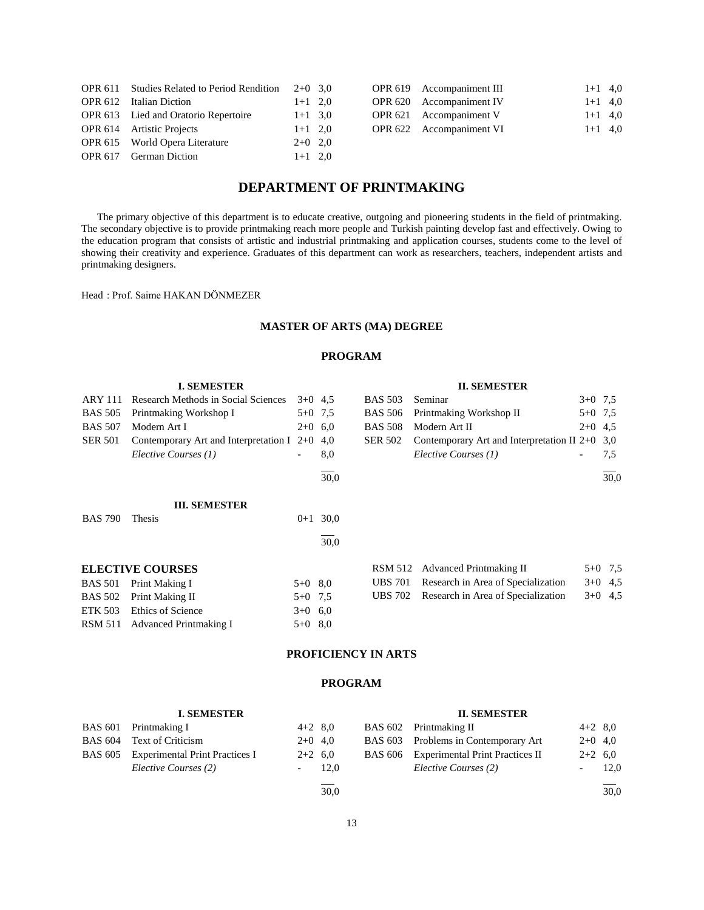| <b>OPR 611</b> Studies Related to Period Rendition | $2+0$ 3.0 |  | OPR 619 Accompaniment III | $1+1$ 4,0 |
|----------------------------------------------------|-----------|--|---------------------------|-----------|
| OPR 612 Italian Diction                            | $1+1$ 2,0 |  | OPR 620 Accompaniment IV  | $1+1$ 4,0 |
| OPR 613 Lied and Oratorio Repertoire               | $1+1$ 3,0 |  | OPR 621 Accompaniment V   | $1+1$ 4,0 |
| OPR 614 Artistic Projects                          | $1+1$ 2,0 |  | OPR 622 Accompaniment VI  | $1+1$ 4,0 |
| OPR 615 World Opera Literature                     | $2+0$ 2,0 |  |                           |           |
| OPR 617 German Diction                             | $1+1$ 2,0 |  |                           |           |

## **DEPARTMENT OF PRINTMAKING**

 The primary objective of this department is to educate creative, outgoing and pioneering students in the field of printmaking. The secondary objective is to provide printmaking reach more people and Turkish painting develop fast and effectively. Owing to the education program that consists of artistic and industrial printmaking and application courses, students come to the level of showing their creativity and experience. Graduates of this department can work as researchers, teachers, independent artists and printmaking designers.

Head : Prof. Saime HAKAN DÖNMEZER

#### **MASTER OF ARTS (MA) DEGREE**

#### **PROGRAM**

|                | <b>I. SEMESTER</b>                          |           |      |                | <b>II. SEMESTER</b>                              |           |      |
|----------------|---------------------------------------------|-----------|------|----------------|--------------------------------------------------|-----------|------|
| <b>ARY 111</b> | Research Methods in Social Sciences         | $3+0$ 4.5 |      | <b>BAS 503</b> | Seminar                                          | $3+0$ 7.5 |      |
| <b>BAS 505</b> | Printmaking Workshop I                      | $5+0$ 7.5 |      | <b>BAS 506</b> | Printmaking Workshop II                          | $5+0$ 7.5 |      |
| <b>BAS 507</b> | Modern Art I                                | $2+0$     | 6.0  | <b>BAS 508</b> | Modern Art II                                    | $2+0$ 4.5 |      |
| <b>SER 501</b> | Contemporary Art and Interpretation I $2+0$ |           | 4,0  | <b>SER 502</b> | Contemporary Art and Interpretation II $2+0$ 3,0 |           |      |
|                | Elective Courses (1)                        |           | 8,0  |                | Elective Courses (1)                             |           | 7,5  |
|                |                                             |           | 30,0 |                |                                                  |           | 30,0 |
|                | <b>III. SEMESTER</b>                        |           |      |                |                                                  |           |      |
| <b>BAS 790</b> | Thesis                                      | $0 + 1$   | 30,0 |                |                                                  |           |      |
|                |                                             |           | 30,0 |                |                                                  |           |      |
|                | <b>ELECTIVE COURSES</b>                     |           |      | <b>RSM 512</b> | <b>Advanced Printmaking II</b>                   | $5 + 0$   | 7,5  |
| <b>BAS 501</b> | Print Making I                              | $5+0$ 8.0 |      | <b>UBS</b> 701 | Research in Area of Specialization               | $3+0$     | 4,5  |
| <b>BAS 502</b> | Print Making II                             | $5+0$ 7.5 |      | <b>UBS</b> 702 | Research in Area of Specialization               | $3+0$     | 4,5  |
| <b>ETK 503</b> | Ethics of Science                           | $3+0$ 6.0 |      |                |                                                  |           |      |
| <b>RSM 511</b> | Advanced Printmaking I                      | $5+0$ 8.0 |      |                |                                                  |           |      |

## **PROFICIENCY IN ARTS**

## **PROGRAM**

#### **I. SEMESTER** BAS 601 Printmaking I 4+2 8,0 BAS 604 Text of Criticism 2+0 4,0 BAS 605 Experimental Print Practices I 2+2 6,0 *Elective Courses (2)* - 12,0 l 30,0 **II. SEMESTER** BAS 602 Printmaking II 4+2 8,0 BAS 603 Problems in Contemporary Art 2+0 4,0 BAS 606 Experimental Print Practices II 2+2 6,0 *Elective Courses (2)* - 12,0 l  $\frac{1}{30,0}$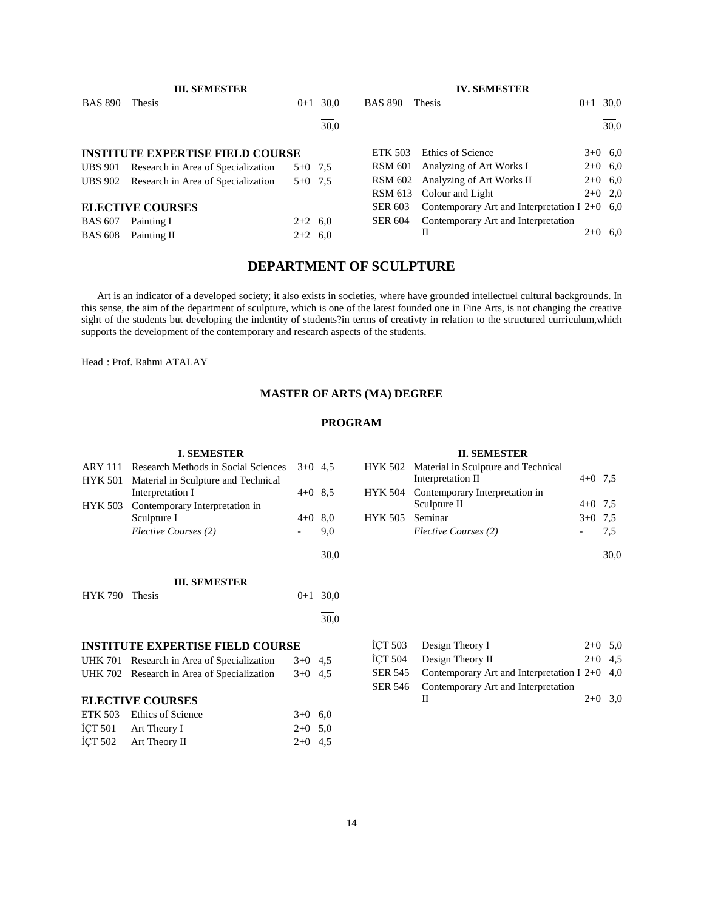|                | <b>III. SEMESTER</b>                       |           |      |                | <b>IV. SEMESTER</b>                             |            |
|----------------|--------------------------------------------|-----------|------|----------------|-------------------------------------------------|------------|
| <b>BAS 890</b> | <b>Thesis</b>                              | $0+1$     | 30.0 | <b>BAS 890</b> | <b>Thesis</b>                                   | $0+1$ 30,0 |
|                |                                            |           | 30.0 |                |                                                 | 30,0       |
|                | <b>INSTITUTE EXPERTISE FIELD COURSE</b>    |           |      | <b>ETK 503</b> | Ethics of Science                               | $3+0$ 6.0  |
| <b>UBS 901</b> | Research in Area of Specialization         | $5+0$ 7.5 |      | RSM 601        | Analyzing of Art Works I                        | $2+0$ 6,0  |
|                | UBS 902 Research in Area of Specialization | $5+0$ 7.5 |      | <b>RSM 602</b> | Analyzing of Art Works II                       | $2+0$ 6,0  |
|                |                                            |           |      | RSM 613        | Colour and Light                                | $2+0$ 2,0  |
|                | <b>ELECTIVE COURSES</b>                    |           |      | <b>SER 603</b> | Contemporary Art and Interpretation I $2+0$ 6,0 |            |
| <b>BAS 607</b> | Painting I                                 | $2+2$ 6.0 |      | <b>SER 604</b> | Contemporary Art and Interpretation             |            |
| <b>BAS 608</b> | Painting II                                | $2+2$ 6.0 |      |                | Н                                               | $2+0$ 6.0  |

## **DEPARTMENT OF SCULPTURE**

 Art is an indicator of a developed society; it also exists in societies, where have grounded intellectuel cultural backgrounds. In this sense, the aim of the department of sculpture, which is one of the latest founded one in Fine Arts, is not changing the creative sight of the students but developing the indentity of students?in terms of creativty in relation to the structured curriculum, which supports the development of the contemporary and research aspects of the students.

Head : Prof. Rahmi ATALAY

#### **MASTER OF ARTS (MA) DEGREE**

## **PROGRAM**

## **I. SEMESTER** ARY 111 Research Methods in Social Sciences 3+0 4,5 HYK 501 Material in Sculpture and Technical Interpretation I 4+0 8,5 HYK 503 Contemporary Interpretation in Sculpture I  $4+0$  8,0 *Elective Courses (2)* - 9,0 l 30,0 **III. SEMESTER** HYK 790 Thesis 0+1 30,0 l 30,0 **INSTITUTE EXPERTISE FIELD COURSE** UHK 701 Research in Area of Specialization 3+0 4,5 UHK 702 Research in Area of Specialization 3+0 4,5 **ELECTIVE COURSES** ETK 503 Ethics of Science  $3+0$  6,0  $\text{ICT } 501$  Art Theory I 2+0 5,0

 $\text{I}$ CT 502 Art Theory II 2+0 4,5

| ICT 503 Design Theory I                                 | $2+0$ 5.0 |  |
|---------------------------------------------------------|-----------|--|
| ICT 504 Design Theory II                                | $2+0$ 4.5 |  |
| SER 545 Contemporary Art and Interpretation I 2+0 $4,0$ |           |  |
| SER 546 Contemporary Art and Interpretation             |           |  |
|                                                         | $2+0$ 3.0 |  |

## **II. SEMESTER**

| п. эелеэ ня |                 |                                             |           |     |  |  |  |  |
|-------------|-----------------|---------------------------------------------|-----------|-----|--|--|--|--|
|             |                 | HYK 502 Material in Sculpture and Technical |           |     |  |  |  |  |
|             |                 | Interpretation II                           | $4+0$ 7.5 |     |  |  |  |  |
|             |                 | HYK 504 Contemporary Interpretation in      |           |     |  |  |  |  |
|             |                 | Sculpture II                                | $4+0$ 7.5 |     |  |  |  |  |
|             | HYK 505 Seminar |                                             | $3+0$ 7.5 |     |  |  |  |  |
|             |                 | Elective Courses (2)                        |           | 7.5 |  |  |  |  |
|             |                 |                                             |           |     |  |  |  |  |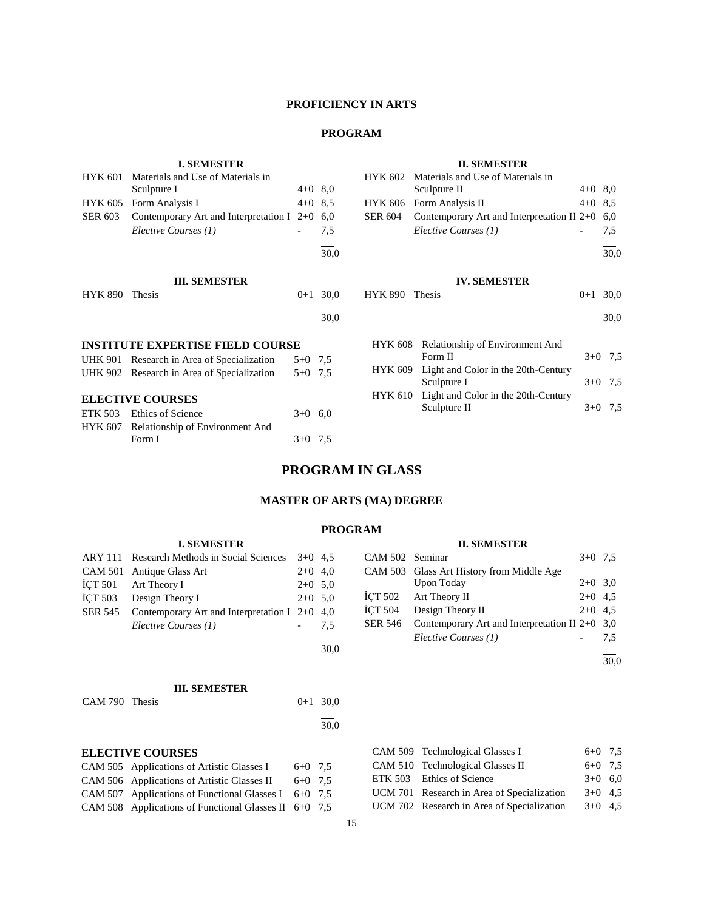## **PROFICIENCY IN ARTS**

## **PROGRAM**

## **II. SEMESTER**

|                         | <b>I. SEMESTER</b>                          |                          |      |                | <b>II. SEMESTER</b>                          |           |           |
|-------------------------|---------------------------------------------|--------------------------|------|----------------|----------------------------------------------|-----------|-----------|
| <b>HYK 601</b>          | Materials and Use of Materials in           |                          |      | <b>HYK 602</b> | Materials and Use of Materials in            |           |           |
|                         | Sculpture I                                 | $4+0$ 8,0                |      |                | Sculpture II                                 | $4+0$ 8,0 |           |
| <b>HYK 605</b>          | Form Analysis I                             | $4+0$ 8.5                |      | <b>HYK 606</b> | Form Analysis II                             | $4+0$ 8.5 |           |
| <b>SER 603</b>          | Contemporary Art and Interpretation I $2+0$ |                          | 6,0  | <b>SER 604</b> | Contemporary Art and Interpretation II $2+0$ |           | 6,0       |
|                         | Elective Courses (1)                        | $\overline{\phantom{a}}$ | 7.5  |                | Elective Courses (1)                         |           | 7,5       |
|                         |                                             |                          | 30,0 |                |                                              |           | 30,0      |
|                         | <b>III. SEMESTER</b>                        |                          |      |                | <b>IV. SEMESTER</b>                          |           |           |
| <b>HYK 890</b>          | Thesis                                      | $0+1$                    | 30,0 | <b>HYK 890</b> | Thesis                                       | $0 + 1$   | 30,0      |
|                         |                                             |                          | 30,0 |                |                                              |           | 30.0      |
|                         | <b>INSTITUTE EXPERTISE FIELD COURSE</b>     |                          |      | <b>HYK 608</b> | Relationship of Environment And              |           |           |
|                         | UHK 901 Research in Area of Specialization  | $5+0$ 7,5                |      |                | Form II                                      |           | $3+0$ 7,5 |
|                         | UHK 902 Research in Area of Specialization  | $5+0$ 7.5                |      | <b>HYK 609</b> | Light and Color in the 20th-Century          |           |           |
|                         |                                             |                          |      |                | Sculpture I                                  | $3+0$     | 7,5       |
| <b>ELECTIVE COURSES</b> |                                             |                          |      | <b>HYK 610</b> | Light and Color in the 20th-Century          |           |           |
| <b>ETK 503</b>          | Ethics of Science                           | $3+0$ 6.0                |      |                | Sculpture II                                 | $3+0$     | 7.5       |
|                         | HYK 607 Relationship of Environment And     |                          |      |                |                                              |           |           |
|                         | Form I                                      | $3+0$                    | 7,5  |                |                                              |           |           |
|                         |                                             |                          |      |                |                                              |           |           |

## **PROGRAM IN GLASS**

## **MASTER OF ARTS (MA) DEGREE**

#### **PROGRAM**

l 30,0

#### **II. SEMESTER**

| CAM 502 Seminar |                                                  | $3+0$ 7.5 |     |
|-----------------|--------------------------------------------------|-----------|-----|
|                 | CAM 503 Glass Art History from Middle Age        |           |     |
|                 | Upon Today                                       | $2+0$ 3.0 |     |
|                 | İÇT 502 Art Theory II                            | $2+0$ 4.5 |     |
| <b>İCT 504</b>  | Design Theory II                                 | $2+0$ 4.5 |     |
| <b>SER 546</b>  | Contemporary Art and Interpretation II $2+0$ 3,0 |           |     |
|                 | Elective Courses (1)                             |           | 7.5 |
|                 |                                                  |           |     |
|                 |                                                  |           |     |

#### **III. SEMESTER**

**I. SEMESTER** ARY 111 Research Methods in Social Sciences 3+0 4,5 CAM 501 Antique Glass Art 2+0 4,0  $\text{I}$ CT 501 Art Theory I 2+0 5,0  $\text{I}$ CT 503 Design Theory I 2+0 5,0 SER 545 Contemporary Art and Interpretation I 2+0 4,0

*Elective Courses (1)* - 7,5

CAM 790 Thesis 0+1 30,0 l 30,0

### **ELECTIVE COURSES**

| CAM 505 Applications of Artistic Glasses I              | $6+0$ 7.5 |  |
|---------------------------------------------------------|-----------|--|
| CAM 506 Applications of Artistic Glasses II             | $6+0$ 7.5 |  |
| CAM 507 Applications of Functional Glasses I $6+0$ 7.5  |           |  |
| CAM 508 Applications of Functional Glasses II $6+0$ 7.5 |           |  |

| CAM 509 Technological Glasses I            | $6+0$ 7.5 |  |
|--------------------------------------------|-----------|--|
| CAM 510 Technological Glasses II           | $6+0$ 7.5 |  |
| ETK 503 Ethics of Science                  | $3+0$ 6,0 |  |
| UCM 701 Research in Area of Specialization | $3+0$ 4.5 |  |
| UCM 702 Research in Area of Specialization | $3+0$ 4.5 |  |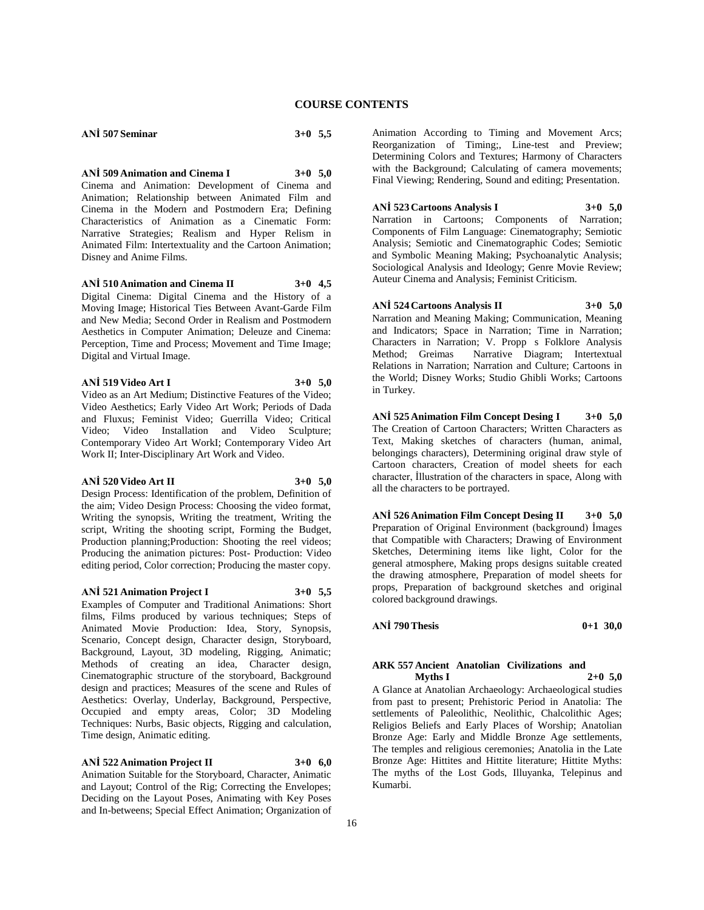**ANİ 507 Seminar 3+0 5,5**

**ANİ 509 Animation and Cinema I 3+0 5,0** Cinema and Animation: Development of Cinema and Animation; Relationship between Animated Film and Cinema in the Modern and Postmodern Era; Defining Characteristics of Animation as a Cinematic Form: Narrative Strategies; Realism and Hyper Relism in Animated Film: Intertextuality and the Cartoon Animation; Disney and Anime Films.

**ANİ 510 Animation and Cinema II 3+0 4,5** Digital Cinema: Digital Cinema and the History of a Moving Image; Historical Ties Between Avant-Garde Film and New Media; Second Order in Realism and Postmodern Aesthetics in Computer Animation; Deleuze and Cinema: Perception, Time and Process; Movement and Time Image; Digital and Virtual Image.

#### **ANİ 519 Video Art I 3+0 5,0**

Video as an Art Medium; Distinctive Features of the Video; Video Aesthetics; Early Video Art Work; Periods of Dada and Fluxus; Feminist Video; Guerrilla Video; Critical Video; Video Installation and Video Sculpture; Contemporary Video Art WorkI; Contemporary Video Art Work II; Inter-Disciplinary Art Work and Video.

## **ANİ 520 Video Art II 3+0 5,0**

Design Process: Identification of the problem, Definition of the aim; Video Design Process: Choosing the video format, Writing the synopsis, Writing the treatment, Writing the script, Writing the shooting script, Forming the Budget, Production planning;Production: Shooting the reel videos; Producing the animation pictures: Post- Production: Video editing period, Color correction; Producing the master copy.

#### **ANİ 521 Animation Project I 3+0 5,5**

Examples of Computer and Traditional Animations: Short films, Films produced by various techniques; Steps of Animated Movie Production: Idea, Story, Synopsis, Scenario, Concept design, Character design, Storyboard, Background, Layout, 3D modeling, Rigging, Animatic; Methods of creating an idea, Character design, Cinematographic structure of the storyboard, Background design and practices; Measures of the scene and Rules of Aesthetics: Overlay, Underlay, Background, Perspective, Occupied and empty areas, Color; 3D Modeling Techniques: Nurbs, Basic objects, Rigging and calculation, Time design, Animatic editing.

## **ANİ 522 Animation Project II 3+0 6,0**

Animation Suitable for the Storyboard, Character, Animatic and Layout; Control of the Rig; Correcting the Envelopes; Deciding on the Layout Poses, Animating with Key Poses and In-betweens; Special Effect Animation; Organization of

Animation According to Timing and Movement Arcs; Reorganization of Timing;, Line-test and Preview; Determining Colors and Textures; Harmony of Characters with the Background; Calculating of camera movements; Final Viewing; Rendering, Sound and editing; Presentation.

## **ANİ 523 Cartoons Analysis I 3+0 5,0**

Narration in Cartoons; Components of Narration; Components of Film Language: Cinematography; Semiotic Analysis; Semiotic and Cinematographic Codes; Semiotic and Symbolic Meaning Making; Psychoanalytic Analysis; Sociological Analysis and Ideology; Genre Movie Review; Auteur Cinema and Analysis; Feminist Criticism.

## **ANİ 524 Cartoons Analysis II 3+0 5,0**

Narration and Meaning Making; Communication, Meaning and Indicators; Space in Narration; Time in Narration; Characters in Narration; V. Propp s Folklore Analysis Method; Greimas Narrative Diagram; Intertextual Relations in Narration; Narration and Culture; Cartoons in the World; Disney Works; Studio Ghibli Works; Cartoons in Turkey.

**ANİ 525 Animation Film Concept Desing I 3+0 5,0** The Creation of Cartoon Characters; Written Characters as Text, Making sketches of characters (human, animal, belongings characters), Determining original draw style of Cartoon characters, Creation of model sheets for each character, İllustration of the characters in space, Along with all the characters to be portrayed.

**ANİ 526 Animation Film Concept Desing II 3+0 5,0** Preparation of Original Environment (background) İmages that Compatible with Characters; Drawing of Environment Sketches, Determining items like light, Color for the general atmosphere, Making props designs suitable created the drawing atmosphere, Preparation of model sheets for props, Preparation of background sketches and original colored background drawings.

## **ANİ 790 Thesis 0+1 30,0**

#### **ARK 557 Ancient Anatolian Civilizations and Myths I 2+0 5,0**

A Glance at Anatolian Archaeology: Archaeological studies from past to present; Prehistoric Period in Anatolia: The settlements of Paleolithic, Neolithic, Chalcolithic Ages; Religios Beliefs and Early Places of Worship; Anatolian Bronze Age: Early and Middle Bronze Age settlements, The temples and religious ceremonies; Anatolia in the Late Bronze Age: Hittites and Hittite literature; Hittite Myths: The myths of the Lost Gods, Illuyanka, Telepinus and Kumarbi.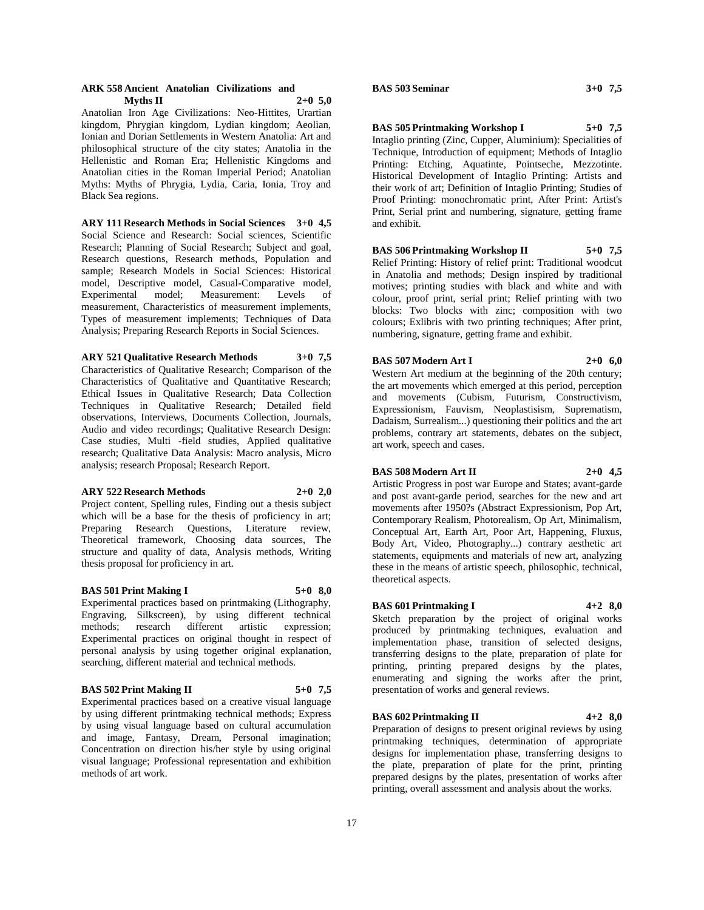#### **ARK 558 Ancient Anatolian Civilizations and Myths II 2+0 5,0**

Anatolian Iron Age Civilizations: Neo-Hittites, Urartian kingdom, Phrygian kingdom, Lydian kingdom; Aeolian, Ionian and Dorian Settlements in Western Anatolia: Art and philosophical structure of the city states; Anatolia in the Hellenistic and Roman Era; Hellenistic Kingdoms and Anatolian cities in the Roman Imperial Period; Anatolian Myths: Myths of Phrygia, Lydia, Caria, Ionia, Troy and Black Sea regions.

**ARY 111 Research Methods in Social Sciences 3+0 4,5** Social Science and Research: Social sciences, Scientific Research; Planning of Social Research; Subject and goal, Research questions, Research methods, Population and sample; Research Models in Social Sciences: Historical model, Descriptive model, Casual-Comparative model, Experimental model; Measurement: Levels of measurement, Characteristics of measurement implements, Types of measurement implements; Techniques of Data Analysis; Preparing Research Reports in Social Sciences.

#### **ARY 521 Qualitative Research Methods 3+0 7,5**

Characteristics of Qualitative Research; Comparison of the Characteristics of Qualitative and Quantitative Research; Ethical Issues in Qualitative Research; Data Collection Techniques in Qualitative Research; Detailed field observations, Interviews, Documents Collection, Journals, Audio and video recordings; Qualitative Research Design: Case studies, Multi -field studies, Applied qualitative research; Qualitative Data Analysis: Macro analysis, Micro analysis; research Proposal; Research Report.

#### **ARY 522 Research Methods 2+0 2,0**

Project content, Spelling rules, Finding out a thesis subject which will be a base for the thesis of proficiency in art; Preparing Research Questions, Literature review, Theoretical framework, Choosing data sources, The structure and quality of data, Analysis methods, Writing thesis proposal for proficiency in art.

#### **BAS 501 Print Making I 5+0 8,0**

Experimental practices based on printmaking (Lithography, Engraving, Silkscreen), by using different technical methods; research different artistic expression; Experimental practices on original thought in respect of personal analysis by using together original explanation, searching, different material and technical methods.

#### **BAS 502 Print Making II 5+0 7,5**

Experimental practices based on a creative visual language by using different printmaking technical methods; Express by using visual language based on cultural accumulation and image, Fantasy, Dream, Personal imagination; Concentration on direction his/her style by using original visual language; Professional representation and exhibition methods of art work.

## **BAS 503 Seminar 3+0 7,5**

### **BAS 505 Printmaking Workshop I 5+0 7,5**

Intaglio printing (Zinc, Cupper, Aluminium): Specialities of Technique, Introduction of equipment; Methods of Intaglio Printing: Etching, Aquatinte, Pointseche, Mezzotinte. Historical Development of Intaglio Printing: Artists and their work of art; Definition of Intaglio Printing; Studies of Proof Printing: monochromatic print, After Print: Artist's Print, Serial print and numbering, signature, getting frame and exhibit.

#### **BAS 506 Printmaking Workshop II 5+0 7,5**

Relief Printing: History of relief print: Traditional woodcut in Anatolia and methods; Design inspired by traditional motives; printing studies with black and white and with colour, proof print, serial print; Relief printing with two blocks: Two blocks with zinc; composition with two colours; Exlibris with two printing techniques; After print, numbering, signature, getting frame and exhibit.

#### **BAS 507 Modern Art I 2+0 6,0**

Western Art medium at the beginning of the 20th century; the art movements which emerged at this period, perception and movements (Cubism, Futurism, Constructivism, Expressionism, Fauvism, Neoplastisism, Suprematism, Dadaism, Surrealism...) questioning their politics and the art problems, contrary art statements, debates on the subject, art work, speech and cases.

#### **BAS 508 Modern Art II 2+0 4,5**

Artistic Progress in post war Europe and States; avant-garde and post avant-garde period, searches for the new and art movements after 1950?s (Abstract Expressionism, Pop Art, Contemporary Realism, Photorealism, Op Art, Minimalism, Conceptual Art, Earth Art, Poor Art, Happening, Fluxus, Body Art, Video, Photography...) contrary aesthetic art statements, equipments and materials of new art, analyzing these in the means of artistic speech, philosophic, technical, theoretical aspects.

#### **BAS 601 Printmaking I 4+2 8,0**

Sketch preparation by the project of original works produced by printmaking techniques, evaluation and implementation phase, transition of selected designs, transferring designs to the plate, preparation of plate for printing, printing prepared designs by the plates, enumerating and signing the works after the print, presentation of works and general reviews.

## **BAS 602 Printmaking II 4+2 8,0**

Preparation of designs to present original reviews by using printmaking techniques, determination of appropriate designs for implementation phase, transferring designs to the plate, preparation of plate for the print, printing prepared designs by the plates, presentation of works after printing, overall assessment and analysis about the works.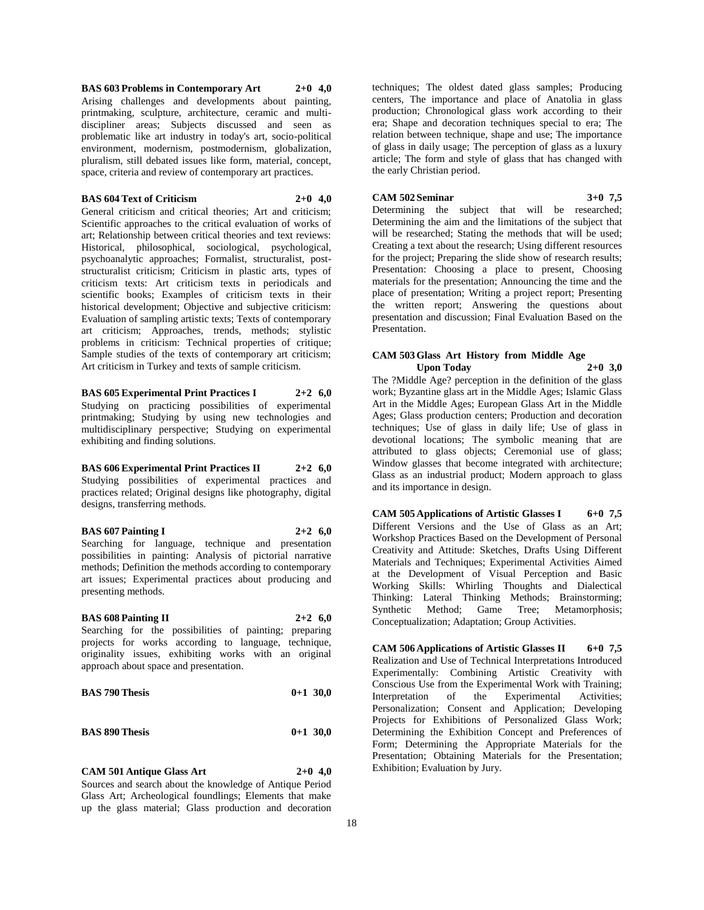**BAS 603 Problems in Contemporary Art 2+0 4,0** Arising challenges and developments about painting, printmaking, sculpture, architecture, ceramic and multidiscipliner areas; Subjects discussed and seen as problematic like art industry in today's art, socio-political environment, modernism, postmodernism, globalization, pluralism, still debated issues like form, material, concept, space, criteria and review of contemporary art practices.

## **BAS 604 Text of Criticism 2+0 4,0**

General criticism and critical theories; Art and criticism; Scientific approaches to the critical evaluation of works of art; Relationship between critical theories and text reviews: Historical, philosophical, sociological, psychological, psychoanalytic approaches; Formalist, structuralist, poststructuralist criticism; Criticism in plastic arts, types of criticism texts: Art criticism texts in periodicals and scientific books; Examples of criticism texts in their historical development; Objective and subjective criticism: Evaluation of sampling artistic texts; Texts of contemporary art criticism; Approaches, trends, methods; stylistic problems in criticism: Technical properties of critique; Sample studies of the texts of contemporary art criticism; Art criticism in Turkey and texts of sample criticism.

**BAS 605 Experimental Print Practices I 2+2 6,0** Studying on practicing possibilities of experimental printmaking; Studying by using new technologies and multidisciplinary perspective; Studying on experimental exhibiting and finding solutions.

**BAS 606 Experimental Print Practices II 2+2 6,0** Studying possibilities of experimental practices and practices related; Original designs like photography, digital designs, transferring methods.

**BAS 607 Painting I 2+2 6,0**

Searching for language, technique and presentation possibilities in painting: Analysis of pictorial narrative methods; Definition the methods according to contemporary art issues; Experimental practices about producing and presenting methods.

#### **BAS 608 Painting II 2+2 6,0**

Searching for the possibilities of painting; preparing projects for works according to language, technique, originality issues, exhibiting works with an original approach about space and presentation.

| <b>BAS 790 Thesis</b> |  | $0+1$ 30,0 |
|-----------------------|--|------------|
|-----------------------|--|------------|

#### **BAS 890 Thesis 0+1 30,0**

**CAM 501 Antique Glass Art 2+0 4,0**

Sources and search about the knowledge of Antique Period Glass Art; Archeological foundlings; Elements that make up the glass material; Glass production and decoration

techniques; The oldest dated glass samples; Producing centers, The importance and place of Anatolia in glass production; Chronological glass work according to their era; Shape and decoration techniques special to era; The relation between technique, shape and use; The importance of glass in daily usage; The perception of glass as a luxury article; The form and style of glass that has changed with the early Christian period.

#### **CAM 502 Seminar 3+0 7,5**

Determining the subject that will be researched; Determining the aim and the limitations of the subject that will be researched; Stating the methods that will be used; Creating a text about the research; Using different resources for the project; Preparing the slide show of research results; Presentation: Choosing a place to present, Choosing materials for the presentation; Announcing the time and the place of presentation; Writing a project report; Presenting the written report; Answering the questions about presentation and discussion; Final Evaluation Based on the Presentation.

#### **CAM 503 Glass Art History from Middle Age Upon Today 2+0 3,0**

The ?Middle Age? perception in the definition of the glass work; Byzantine glass art in the Middle Ages; Islamic Glass Art in the Middle Ages; European Glass Art in the Middle Ages; Glass production centers; Production and decoration techniques; Use of glass in daily life; Use of glass in devotional locations; The symbolic meaning that are attributed to glass objects; Ceremonial use of glass; Window glasses that become integrated with architecture; Glass as an industrial product; Modern approach to glass and its importance in design.

**CAM 505 Applications of Artistic Glasses I 6+0 7,5** Different Versions and the Use of Glass as an Art; Workshop Practices Based on the Development of Personal Creativity and Attitude: Sketches, Drafts Using Different Materials and Techniques; Experimental Activities Aimed at the Development of Visual Perception and Basic Working Skills: Whirling Thoughts and Dialectical Thinking: Lateral Thinking Methods; Brainstorming; Synthetic Method; Game Tree; Metamorphosis; Conceptualization; Adaptation; Group Activities.

**CAM 506 Applications of Artistic Glasses II 6+0 7,5** Realization and Use of Technical Interpretations Introduced Experimentally: Combining Artistic Creativity with Conscious Use from the Experimental Work with Training; Interpretation of the Experimental Activities; Personalization; Consent and Application; Developing Projects for Exhibitions of Personalized Glass Work; Determining the Exhibition Concept and Preferences of Form; Determining the Appropriate Materials for the Presentation; Obtaining Materials for the Presentation; Exhibition; Evaluation by Jury.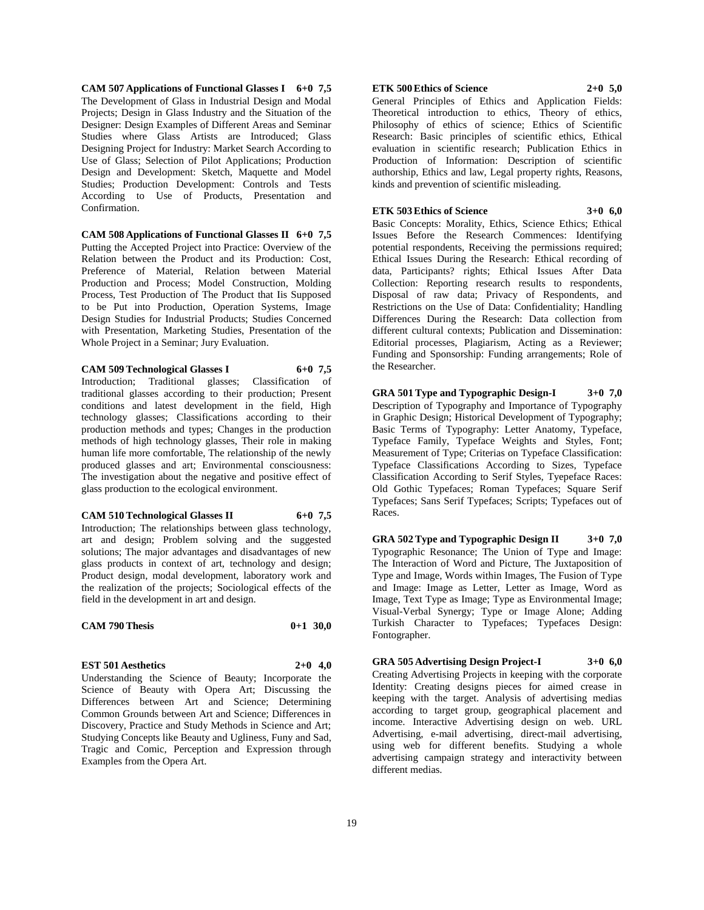**CAM 507 Applications of Functional Glasses I 6+0 7,5** The Development of Glass in Industrial Design and Modal Projects; Design in Glass Industry and the Situation of the Designer: Design Examples of Different Areas and Seminar Studies where Glass Artists are Introduced; Glass Designing Project for Industry: Market Search According to Use of Glass; Selection of Pilot Applications; Production Design and Development: Sketch, Maquette and Model Studies; Production Development: Controls and Tests According to Use of Products, Presentation and Confirmation.

**CAM 508 Applications of Functional Glasses II 6+0 7,5** Putting the Accepted Project into Practice: Overview of the Relation between the Product and its Production: Cost, Preference of Material, Relation between Material Production and Process; Model Construction, Molding Process, Test Production of The Product that Iis Supposed to be Put into Production, Operation Systems, Image Design Studies for Industrial Products; Studies Concerned with Presentation, Marketing Studies, Presentation of the Whole Project in a Seminar; Jury Evaluation.

#### **CAM 509 Technological Glasses I 6+0 7,5**

Introduction; Traditional glasses; Classification of traditional glasses according to their production; Present conditions and latest development in the field, High technology glasses; Classifications according to their production methods and types; Changes in the production methods of high technology glasses, Their role in making human life more comfortable, The relationship of the newly produced glasses and art; Environmental consciousness: The investigation about the negative and positive effect of glass production to the ecological environment.

#### **CAM 510 Technological Glasses II 6+0 7,5**

Introduction; The relationships between glass technology, art and design; Problem solving and the suggested solutions; The major advantages and disadvantages of new glass products in context of art, technology and design; Product design, modal development, laboratory work and the realization of the projects; Sociological effects of the field in the development in art and design.

#### **CAM 790 Thesis 0+1 30,0**

# **EST 501 Aesthetics 2+0 4,0**

Understanding the Science of Beauty; Incorporate the Science of Beauty with Opera Art; Discussing the Differences between Art and Science; Determining Common Grounds between Art and Science; Differences in Discovery, Practice and Study Methods in Science and Art; Studying Concepts like Beauty and Ugliness, Funy and Sad, Tragic and Comic, Perception and Expression through Examples from the Opera Art.

#### **ETK 500 Ethics of Science 2+0 5,0**

General Principles of Ethics and Application Fields: Theoretical introduction to ethics, Theory of ethics, Philosophy of ethics of science; Ethics of Scientific Research: Basic principles of scientific ethics, Ethical evaluation in scientific research; Publication Ethics in Production of Information: Description of scientific authorship, Ethics and law, Legal property rights, Reasons, kinds and prevention of scientific misleading.

#### **ETK 503 Ethics of Science 3+0 6,0**

Basic Concepts: Morality, Ethics, Science Ethics; Ethical Issues Before the Research Commences: Identifying potential respondents, Receiving the permissions required; Ethical Issues During the Research: Ethical recording of data, Participants? rights; Ethical Issues After Data Collection: Reporting research results to respondents, Disposal of raw data; Privacy of Respondents, and Restrictions on the Use of Data: Confidentiality; Handling Differences During the Research: Data collection from different cultural contexts; Publication and Dissemination: Editorial processes, Plagiarism, Acting as a Reviewer; Funding and Sponsorship: Funding arrangements; Role of the Researcher.

**GRA 501 Type and Typographic Design-I 3+0 7,0** Description of Typography and Importance of Typography in Graphic Design; Historical Development of Typography; Basic Terms of Typography: Letter Anatomy, Typeface, Typeface Family, Typeface Weights and Styles, Font; Measurement of Type; Criterias on Typeface Classification: Typeface Classifications According to Sizes, Typeface Classification According to Serif Styles, Tyepeface Races: Old Gothic Typefaces; Roman Typefaces; Square Serif Typefaces; Sans Serif Typefaces; Scripts; Typefaces out of Races.

**GRA 502 Type and Typographic Design II 3+0 7,0** Typographic Resonance; The Union of Type and Image: The Interaction of Word and Picture, The Juxtaposition of Type and Image, Words within Images, The Fusion of Type and Image: Image as Letter, Letter as Image, Word as Image, Text Type as Image; Type as Environmental Image; Visual-Verbal Synergy; Type or Image Alone; Adding Turkish Character to Typefaces; Typefaces Design: Fontographer.

**GRA 505 Advertising Design Project-I 3+0 6,0**

Creating Advertising Projects in keeping with the corporate Identity: Creating designs pieces for aimed crease in keeping with the target. Analysis of advertising medias according to target group, geographical placement and income. Interactive Advertising design on web. URL Advertising, e-mail advertising, direct-mail advertising, using web for different benefits. Studying a whole advertising campaign strategy and interactivity between different medias.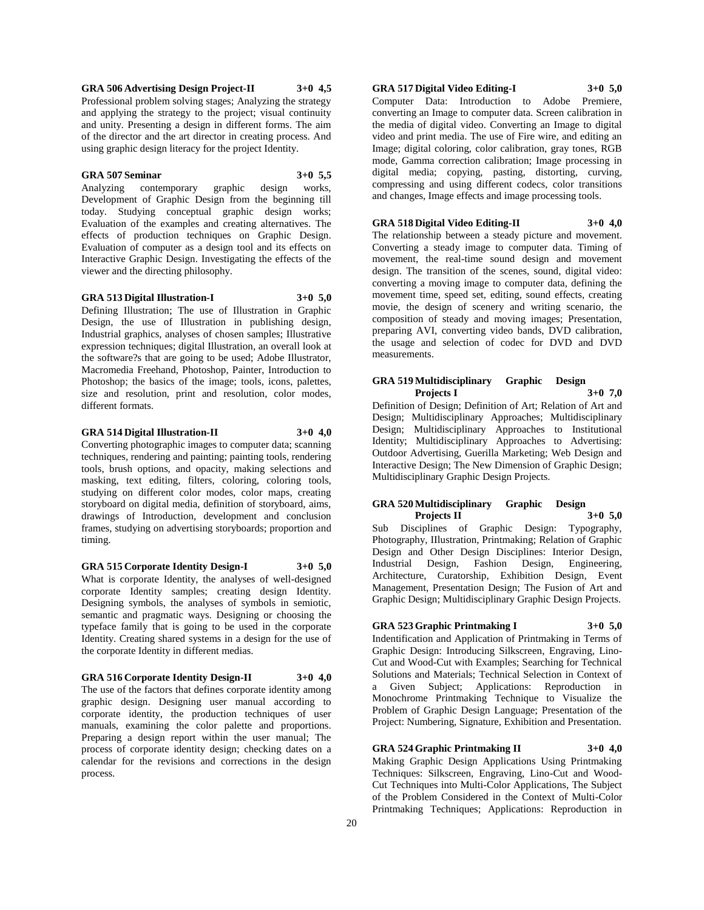### **GRA 506 Advertising Design Project-II 3+0 4,5**

Professional problem solving stages; Analyzing the strategy and applying the strategy to the project; visual continuity and unity. Presenting a design in different forms. The aim of the director and the art director in creating process. And using graphic design literacy for the project Identity.

#### **GRA 507 Seminar 3+0 5,5**

Analyzing contemporary graphic design works, Development of Graphic Design from the beginning till today. Studying conceptual graphic design works; Evaluation of the examples and creating alternatives. The effects of production techniques on Graphic Design. Evaluation of computer as a design tool and its effects on Interactive Graphic Design. Investigating the effects of the viewer and the directing philosophy.

#### **GRA 513 Digital Illustration-I 3+0 5,0**

Defining Illustration; The use of Illustration in Graphic Design, the use of Illustration in publishing design, Industrial graphics, analyses of chosen samples; Illustrative expression techniques; digital Illustration, an overall look at the software?s that are going to be used; Adobe Illustrator, Macromedia Freehand, Photoshop, Painter, Introduction to Photoshop; the basics of the image; tools, icons, palettes, size and resolution, print and resolution, color modes, different formats.

#### **GRA 514 Digital Illustration-II 3+0 4,0**

Converting photographic images to computer data; scanning techniques, rendering and painting; painting tools, rendering tools, brush options, and opacity, making selections and masking, text editing, filters, coloring, coloring tools, studying on different color modes, color maps, creating storyboard on digital media, definition of storyboard, aims, drawings of Introduction, development and conclusion frames, studying on advertising storyboards; proportion and timing.

**GRA 515 Corporate Identity Design-I 3+0 5,0** What is corporate Identity, the analyses of well-designed corporate Identity samples; creating design Identity. Designing symbols, the analyses of symbols in semiotic, semantic and pragmatic ways. Designing or choosing the typeface family that is going to be used in the corporate Identity. Creating shared systems in a design for the use of the corporate Identity in different medias.

#### **GRA 516 Corporate Identity Design-II 3+0 4,0**

The use of the factors that defines corporate identity among graphic design. Designing user manual according to corporate identity, the production techniques of user manuals, examining the color palette and proportions. Preparing a design report within the user manual; The process of corporate identity design; checking dates on a calendar for the revisions and corrections in the design process.

#### **GRA 517 Digital Video Editing-I 3+0 5,0**

Computer Data: Introduction to Adobe Premiere, converting an Image to computer data. Screen calibration in the media of digital video. Converting an Image to digital video and print media. The use of Fire wire, and editing an Image; digital coloring, color calibration, gray tones, RGB mode, Gamma correction calibration; Image processing in digital media; copying, pasting, distorting, curving, compressing and using different codecs, color transitions and changes, Image effects and image processing tools.

#### **GRA 518 Digital Video Editing-II 3+0 4,0**

The relationship between a steady picture and movement. Converting a steady image to computer data. Timing of movement, the real-time sound design and movement design. The transition of the scenes, sound, digital video: converting a moving image to computer data, defining the movement time, speed set, editing, sound effects, creating movie, the design of scenery and writing scenario, the composition of steady and moving images; Presentation, preparing AVI, converting video bands, DVD calibration, the usage and selection of codec for DVD and DVD measurements.

#### **GRA 519 Multidisciplinary Graphic Design Projects I 3+0 7,0**

Definition of Design; Definition of Art; Relation of Art and Design; Multidisciplinary Approaches; Multidisciplinary Design; Multidisciplinary Approaches to Institutional Identity; Multidisciplinary Approaches to Advertising: Outdoor Advertising, Guerilla Marketing; Web Design and Interactive Design; The New Dimension of Graphic Design; Multidisciplinary Graphic Design Projects.

#### **GRA 520 Multidisciplinary Graphic Design Projects II 3+0 5,0**

Sub Disciplines of Graphic Design: Typography, Photography, IIlustration, Printmaking; Relation of Graphic Design and Other Design Disciplines: Interior Design, Industrial Design, Fashion Design, Engineering, Architecture, Curatorship, Exhibition Design, Event Management, Presentation Design; The Fusion of Art and Graphic Design; Multidisciplinary Graphic Design Projects.

#### **GRA 523 Graphic Printmaking I 3+0 5,0**

Indentification and Application of Printmaking in Terms of Graphic Design: Introducing Silkscreen, Engraving, Lino-Cut and Wood-Cut with Examples; Searching for Technical Solutions and Materials; Technical Selection in Context of a Given Subject; Applications: Reproduction in Monochrome Printmaking Technique to Visualize the Problem of Graphic Design Language; Presentation of the Project: Numbering, Signature, Exhibition and Presentation.

#### **GRA 524 Graphic Printmaking II 3+0 4,0**

Making Graphic Design Applications Using Printmaking Techniques: Silkscreen, Engraving, Lino-Cut and Wood-Cut Techniques into Multi-Color Applications, The Subject of the Problem Considered in the Context of Multi-Color Printmaking Techniques; Applications: Reproduction in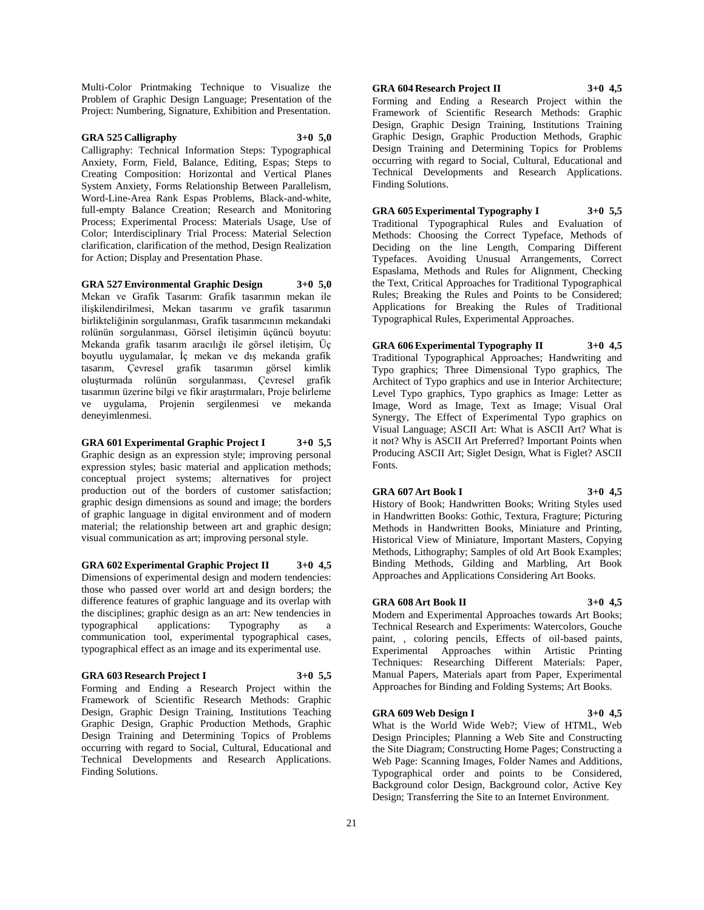Multi-Color Printmaking Technique to Visualize the Problem of Graphic Design Language; Presentation of the Project: Numbering, Signature, Exhibition and Presentation.

## **GRA 525 Calligraphy 3+0 5,0**

Calligraphy: Technical Information Steps: Typographical Anxiety, Form, Field, Balance, Editing, Espas; Steps to Creating Composition: Horizontal and Vertical Planes System Anxiety, Forms Relationship Between Parallelism, Word-Line-Area Rank Espas Problems, Black-and-white, full-empty Balance Creation; Research and Monitoring Process; Experimental Process: Materials Usage, Use of Color; Interdisciplinary Trial Process: Material Selection clarification, clarification of the method, Design Realization for Action; Display and Presentation Phase.

**GRA 527 Environmental Graphic Design 3+0 5,0** Mekan ve Grafik Tasarım: Grafik tasarımın mekan ile ilişkilendirilmesi, Mekan tasarımı ve grafik tasarımın birlikteliğinin sorgulanması, Grafik tasarımcının mekandaki rolünün sorgulanması, Görsel iletişimin üçüncü boyutu: Mekanda grafik tasarım aracılığı ile görsel iletişim, Üç boyutlu uygulamalar, İç mekan ve dış mekanda grafik tasarım, Çevresel grafik tasarımın görsel kimlik oluşturmada rolünün sorgulanması, Çevresel grafik tasarımın üzerine bilgi ve fikir araştırmaları, Proje belirleme ve uygulama, Projenin sergilenmesi ve mekanda deneyimlenmesi.

**GRA 601 Experimental Graphic Project I 3+0 5,5** Graphic design as an expression style; improving personal expression styles; basic material and application methods; conceptual project systems; alternatives for project production out of the borders of customer satisfaction; graphic design dimensions as sound and image; the borders of graphic language in digital environment and of modern material; the relationship between art and graphic design; visual communication as art; improving personal style.

**GRA 602 Experimental Graphic Project II 3+0 4,5**

Dimensions of experimental design and modern tendencies: those who passed over world art and design borders; the difference features of graphic language and its overlap with the disciplines; graphic design as an art: New tendencies in typographical applications: Typography as a communication tool, experimental typographical cases, typographical effect as an image and its experimental use.

#### **GRA 603 Research Project I 3+0 5,5**

Forming and Ending a Research Project within the Framework of Scientific Research Methods: Graphic Design, Graphic Design Training, Institutions Teaching Graphic Design, Graphic Production Methods, Graphic Design Training and Determining Topics of Problems occurring with regard to Social, Cultural, Educational and Technical Developments and Research Applications. Finding Solutions.

**GRA 604 Research Project II 3+0 4,5**

Forming and Ending a Research Project within the Framework of Scientific Research Methods: Graphic Design, Graphic Design Training, Institutions Training Graphic Design, Graphic Production Methods, Graphic Design Training and Determining Topics for Problems occurring with regard to Social, Cultural, Educational and Technical Developments and Research Applications. Finding Solutions.

**GRA 605 Experimental Typography I 3+0 5,5** Traditional Typographical Rules and Evaluation of Methods: Choosing the Correct Typeface, Methods of Deciding on the line Length, Comparing Different Typefaces. Avoiding Unusual Arrangements, Correct Espaslama, Methods and Rules for Alignment, Checking the Text, Critical Approaches for Traditional Typographical Rules; Breaking the Rules and Points to be Considered; Applications for Breaking the Rules of Traditional Typographical Rules, Experimental Approaches.

**GRA 606 Experimental Typography II 3+0 4,5** Traditional Typographical Approaches; Handwriting and Typo graphics; Three Dimensional Typo graphics, The Architect of Typo graphics and use in Interior Architecture; Level Typo graphics, Typo graphics as Image: Letter as Image, Word as Image, Text as Image; Visual Oral Synergy, The Effect of Experimental Typo graphics on Visual Language; ASCII Art: What is ASCII Art? What is it not? Why is ASCII Art Preferred? Important Points when Producing ASCII Art; Siglet Design, What is Figlet? ASCII Fonts.

#### **GRA 607 Art Book I 3+0 4,5**

History of Book; Handwritten Books; Writing Styles used in Handwritten Books: Gothic, Textura, Fragture; Picturing Methods in Handwritten Books, Miniature and Printing, Historical View of Miniature, Important Masters, Copying Methods, Lithography; Samples of old Art Book Examples; Binding Methods, Gilding and Marbling, Art Book Approaches and Applications Considering Art Books.

#### **GRA 608 Art Book II 3+0 4,5**

Modern and Experimental Approaches towards Art Books; Technical Research and Experiments: Watercolors, Gouche paint, , coloring pencils, Effects of oil-based paints,<br>Experimental Approaches within Artistic Printing Approaches within Artistic Printing Techniques: Researching Different Materials: Paper, Manual Papers, Materials apart from Paper, Experimental Approaches for Binding and Folding Systems; Art Books.

#### **GRA 609 Web Design I 3+0 4,5**

What is the World Wide Web?; View of HTML, Web Design Principles; Planning a Web Site and Constructing the Site Diagram; Constructing Home Pages; Constructing a Web Page: Scanning Images, Folder Names and Additions, Typographical order and points to be Considered, Background color Design, Background color, Active Key Design; Transferring the Site to an Internet Environment.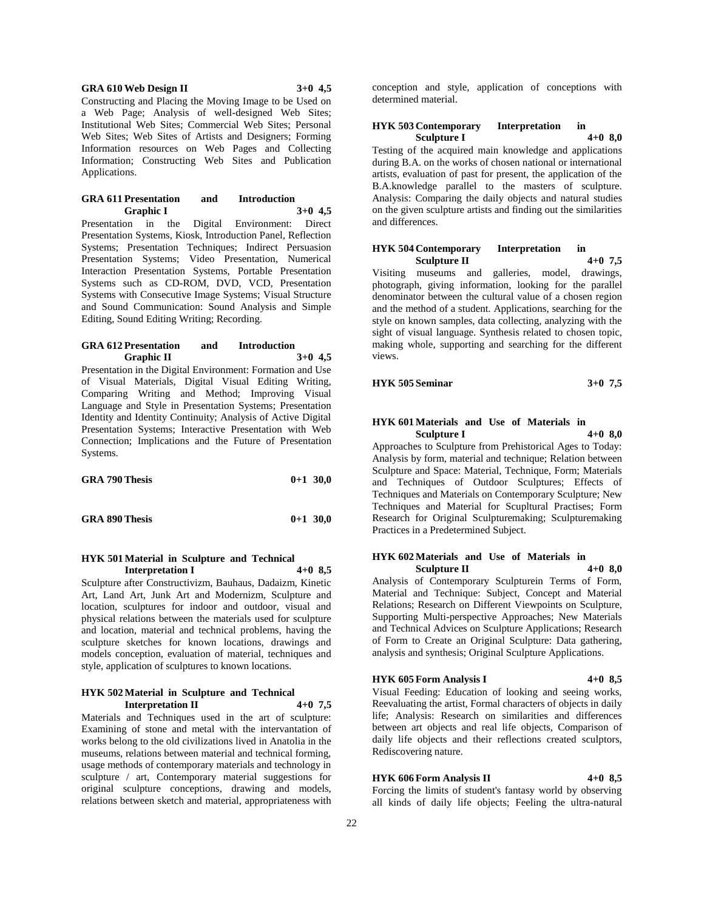#### **GRA 610 Web Design II 3+0 4,5**

Constructing and Placing the Moving Image to be Used on a Web Page; Analysis of well-designed Web Sites; Institutional Web Sites; Commercial Web Sites; Personal Web Sites; Web Sites of Artists and Designers; Forming Information resources on Web Pages and Collecting Information; Constructing Web Sites and Publication Applications.

#### **GRA 611 Presentation and Introduction Graphic I 3+0 4,5**

Presentation in the Digital Environment: Direct Presentation Systems, Kiosk, Introduction Panel, Reflection Systems; Presentation Techniques; Indirect Persuasion Presentation Systems; Video Presentation, Numerical Interaction Presentation Systems, Portable Presentation Systems such as CD-ROM, DVD, VCD, Presentation Systems with Consecutive Image Systems; Visual Structure and Sound Communication: Sound Analysis and Simple Editing, Sound Editing Writing; Recording.

#### **GRA 612 Presentation and Introduction Graphic II 3+0 4,5**

Presentation in the Digital Environment: Formation and Use of Visual Materials, Digital Visual Editing Writing, Comparing Writing and Method; Improving Visual Language and Style in Presentation Systems; Presentation Identity and Identity Continuity; Analysis of Active Digital Presentation Systems; Interactive Presentation with Web Connection; Implications and the Future of Presentation Systems.

| <b>GRA 790 Thesis</b> | $0+1$ 30,0 |  |
|-----------------------|------------|--|
| <b>GRA 890 Thesis</b> | $0+1$ 30,0 |  |

#### **HYK 501 Material in Sculpture and Technical Interpretation I 4+0 8,5**

Sculpture after Constructivizm, Bauhaus, Dadaizm, Kinetic Art, Land Art, Junk Art and Modernizm, Sculpture and location, sculptures for indoor and outdoor, visual and physical relations between the materials used for sculpture and location, material and technical problems, having the sculpture sketches for known locations, drawings and models conception, evaluation of material, techniques and style, application of sculptures to known locations.

#### **HYK 502 Material in Sculpture and Technical Interpretation II**

Materials and Techniques used in the art of sculpture: Examining of stone and metal with the intervantation of works belong to the old civilizations lived in Anatolia in the museums, relations between material and technical forming, usage methods of contemporary materials and technology in sculpture / art, Contemporary material suggestions for original sculpture conceptions, drawing and models, relations between sketch and material, appropriateness with

conception and style, application of conceptions with determined material.

#### **HYK 503 Contemporary Interpretation in Sculpture I 4+0 8,0**

Testing of the acquired main knowledge and applications during B.A. on the works of chosen national or international artists, evaluation of past for present, the application of the B.A.knowledge parallel to the masters of sculpture. Analysis: Comparing the daily objects and natural studies on the given sculpture artists and finding out the similarities and differences.

#### **HYK 504 Contemporary Interpretation in Sculpture II 4+0 7,5**

Visiting museums and galleries, model, drawings, photograph, giving information, looking for the parallel denominator between the cultural value of a chosen region and the method of a student. Applications, searching for the style on known samples, data collecting, analyzing with the sight of visual language. Synthesis related to chosen topic, making whole, supporting and searching for the different views.

| HYK 505 Seminar | $3+0$ 7,5 |  |
|-----------------|-----------|--|
|                 |           |  |

## **HYK 601 Materials and Use of Materials in Sculpture I 4+0 8,0**

Approaches to Sculpture from Prehistorical Ages to Today: Analysis by form, material and technique; Relation between Sculpture and Space: Material, Technique, Form; Materials and Techniques of Outdoor Sculptures; Effects of Techniques and Materials on Contemporary Sculpture; New Techniques and Material for Scupltural Practises; Form Research for Original Sculpturemaking; Sculpturemaking Practices in a Predetermined Subject.

#### **HYK 602 Materials and Use of Materials in Sculpture II 4+0 8,0**

Analysis of Contemporary Sculpturein Terms of Form, Material and Technique: Subject, Concept and Material Relations; Research on Different Viewpoints on Sculpture, Supporting Multi-perspective Approaches; New Materials and Technical Advices on Sculpture Applications; Research of Form to Create an Original Sculpture: Data gathering, analysis and synthesis; Original Sculpture Applications.

## **HYK 605 Form Analysis I 4+0 8,5**

Visual Feeding: Education of looking and seeing works, Reevaluating the artist, Formal characters of objects in daily life; Analysis: Research on similarities and differences between art objects and real life objects, Comparison of daily life objects and their reflections created sculptors, Rediscovering nature.

## **HYK 606 Form Analysis II 4+0 8,5**

Forcing the limits of student's fantasy world by observing all kinds of daily life objects; Feeling the ultra-natural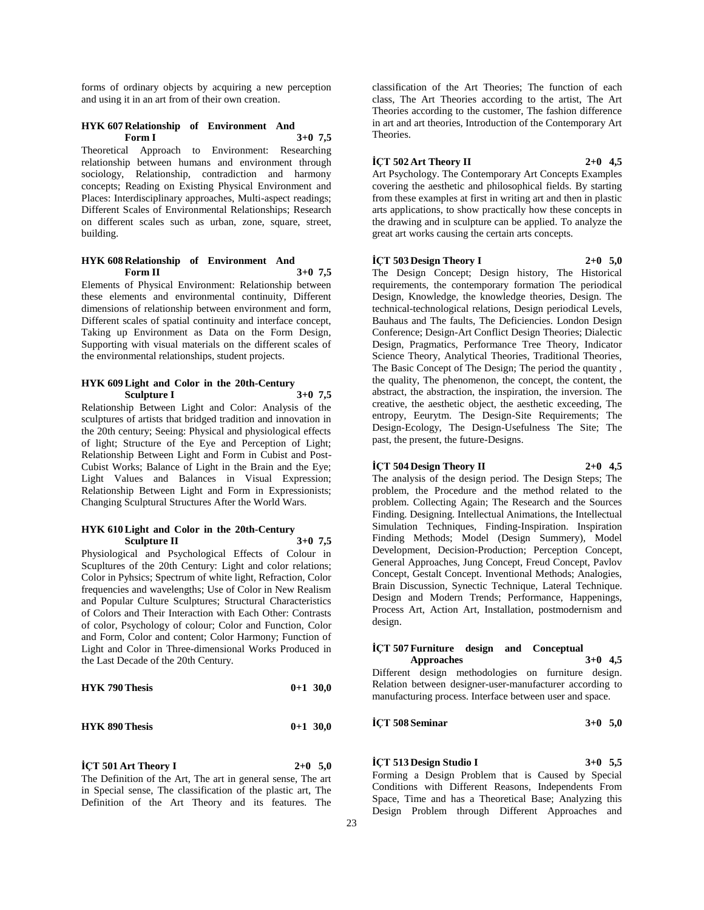forms of ordinary objects by acquiring a new perception and using it in an art from of their own creation.

#### **HYK 607 Relationship of Environment And Form I 3+0 7,5**

Theoretical Approach to Environment: Researching relationship between humans and environment through sociology, Relationship, contradiction and harmony concepts; Reading on Existing Physical Environment and Places: Interdisciplinary approaches, Multi-aspect readings; Different Scales of Environmental Relationships; Research on different scales such as urban, zone, square, street, building.

#### **HYK 608 Relationship of Environment And Form II 3+0 7,5**

Elements of Physical Environment: Relationship between these elements and environmental continuity, Different dimensions of relationship between environment and form, Different scales of spatial continuity and interface concept, Taking up Environment as Data on the Form Design, Supporting with visual materials on the different scales of the environmental relationships, student projects.

#### **HYK 609 Light and Color in the 20th-Century Sculpture I 3+0 7,5**

Relationship Between Light and Color: Analysis of the sculptures of artists that bridged tradition and innovation in the 20th century; Seeing: Physical and physiological effects of light; Structure of the Eye and Perception of Light; Relationship Between Light and Form in Cubist and Post-Cubist Works; Balance of Light in the Brain and the Eye; Light Values and Balances in Visual Expression; Relationship Between Light and Form in Expressionists; Changing Sculptural Structures After the World Wars.

#### **HYK 610 Light and Color in the 20th-Century Sculpture II 3+0 7,5**

Physiological and Psychological Effects of Colour in Scupltures of the 20th Century: Light and color relations; Color in Pyhsics; Spectrum of white light, Refraction, Color frequencies and wavelengths; Use of Color in New Realism and Popular Culture Sculptures; Structural Characteristics of Colors and Their Interaction with Each Other: Contrasts of color, Psychology of colour; Color and Function, Color and Form, Color and content; Color Harmony; Function of Light and Color in Three-dimensional Works Produced in the Last Decade of the 20th Century.

| <b>HYK 790 Thesis</b> |  | $0+1$ 30,0 |
|-----------------------|--|------------|
|-----------------------|--|------------|

| <b>HYK 890 Thesis</b> |  | $0+1$ 30.0 |
|-----------------------|--|------------|
|-----------------------|--|------------|

**İÇT 501 Art Theory I 2+0 5,0**

The Definition of the Art, The art in general sense, The art in Special sense, The classification of the plastic art, The Definition of the Art Theory and its features. The

classification of the Art Theories; The function of each class, The Art Theories according to the artist, The Art Theories according to the customer, The fashion difference in art and art theories, Introduction of the Contemporary Art Theories.

# **İÇT 502 Art Theory II 2+0 4,5**

Art Psychology. The Contemporary Art Concepts Examples covering the aesthetic and philosophical fields. By starting from these examples at first in writing art and then in plastic arts applications, to show practically how these concepts in the drawing and in sculpture can be applied. To analyze the great art works causing the certain arts concepts.

#### **İÇT 503 Design Theory I 2+0 5,0**

The Design Concept; Design history, The Historical requirements, the contemporary formation The periodical Design, Knowledge, the knowledge theories, Design. The technical-technological relations, Design periodical Levels, Bauhaus and The faults, The Deficiencies. London Design Conference; Design-Art Conflict Design Theories; Dialectic Design, Pragmatics, Performance Tree Theory, Indicator Science Theory, Analytical Theories, Traditional Theories, The Basic Concept of The Design; The period the quantity , the quality, The phenomenon, the concept, the content, the abstract, the abstraction, the inspiration, the inversion. The creative, the aesthetic object, the aesthetic exceeding, The entropy, Eeurytm. The Design-Site Requirements; The Design-Ecology, The Design-Usefulness The Site; The past, the present, the future-Designs.

#### **İÇT 504 Design Theory II 2+0 4,5**

The analysis of the design period. The Design Steps; The problem, the Procedure and the method related to the problem. Collecting Again; The Research and the Sources Finding. Designing. Intellectual Animations, the Intellectual Simulation Techniques, Finding-Inspiration. Inspiration Finding Methods; Model (Design Summery), Model Development, Decision-Production; Perception Concept, General Approaches, Jung Concept, Freud Concept, Pavlov Concept, Gestalt Concept. Inventional Methods; Analogies, Brain Discussion, Synectic Technique, Lateral Technique. Design and Modern Trends; Performance, Happenings, Process Art, Action Art, Installation, postmodernism and design.

#### **İÇT 507 Furniture design and Conceptual Approaches 3+0 4,5**

Different design methodologies on furniture design. Relation between designer-user-manufacturer according to manufacturing process. Interface between user and space.

**İÇT 508 Seminar 3+0 5,0**

#### **İÇT 513 Design Studio I 3+0 5,5**

Forming a Design Problem that is Caused by Special Conditions with Different Reasons, Independents From Space, Time and has a Theoretical Base; Analyzing this Design Problem through Different Approaches and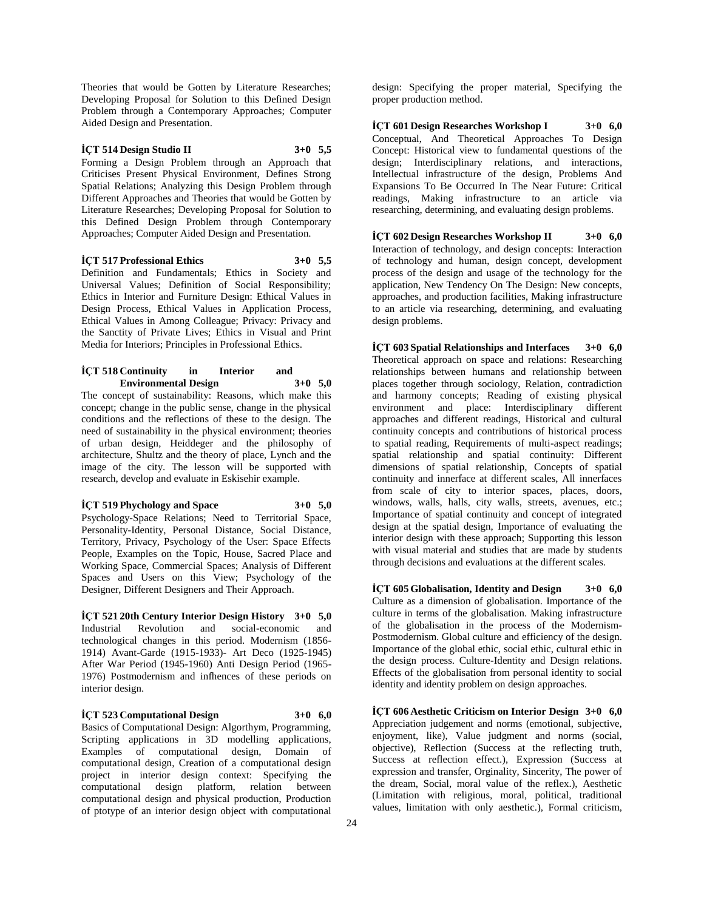Theories that would be Gotten by Literature Researches; Developing Proposal for Solution to this Defined Design Problem through a Contemporary Approaches; Computer Aided Design and Presentation.

## **İÇT 514 Design Studio II 3+0 5,5**

Forming a Design Problem through an Approach that Criticises Present Physical Environment, Defines Strong Spatial Relations; Analyzing this Design Problem through Different Approaches and Theories that would be Gotten by Literature Researches; Developing Proposal for Solution to this Defined Design Problem through Contemporary Approaches; Computer Aided Design and Presentation.

**İÇT 517 Professional Ethics 3+0 5,5**

Definition and Fundamentals; Ethics in Society and Universal Values; Definition of Social Responsibility; Ethics in Interior and Furniture Design: Ethical Values in Design Process, Ethical Values in Application Process, Ethical Values in Among Colleague; Privacy: Privacy and the Sanctity of Private Lives; Ethics in Visual and Print Media for Interiors; Principles in Professional Ethics.

#### **İÇT 518 Continuity in Interior and Environmental Design 3+0 5,0**

The concept of sustainability: Reasons, which make this concept; change in the public sense, change in the physical conditions and the reflections of these to the design. The need of sustainability in the physical environment; theories of urban design, Heiddeger and the philosophy of architecture, Shultz and the theory of place, Lynch and the image of the city. The lesson will be supported with research, develop and evaluate in Eskisehir example.

**İÇT 519 Phychology and Space 3+0 5,0** Psychology-Space Relations; Need to Territorial Space, Personality-Identity, Personal Distance, Social Distance, Territory, Privacy, Psychology of the User: Space Effects People, Examples on the Topic, House, Sacred Place and Working Space, Commercial Spaces; Analysis of Different Spaces and Users on this View; Psychology of the Designer, Different Designers and Their Approach.

**İÇT 521 20th Century Interior Design History 3+0 5,0** Industrial Revolution and social-economic and technological changes in this period. Modernism (1856- 1914) Avant-Garde (1915-1933)- Art Deco (1925-1945) After War Period (1945-1960) Anti Design Period (1965- 1976) Postmodernism and infhences of these periods on interior design.

**İÇT 523 Computational Design 3+0 6,0** Basics of Computational Design: Algorthym, Programming, Scripting applications in  $\overline{3}D$  modelling applications, Examples of computational design, Domain of computational design, Creation of a computational design project in interior design context: Specifying the computational design platform, relation between computational design and physical production, Production of ptotype of an interior design object with computational

design: Specifying the proper material, Specifying the proper production method.

**İÇT 601 Design Researches Workshop I 3+0 6,0** Conceptual, And Theoretical Approaches To Design Concept: Historical view to fundamental questions of the design; Interdisciplinary relations, and interactions, Intellectual infrastructure of the design, Problems And Expansions To Be Occurred In The Near Future: Critical readings, Making infrastructure to an article via researching, determining, and evaluating design problems.

**İÇT 602 Design Researches Workshop II 3+0 6,0** Interaction of technology, and design concepts: Interaction of technology and human, design concept, development process of the design and usage of the technology for the application, New Tendency On The Design: New concepts, approaches, and production facilities, Making infrastructure to an article via researching, determining, and evaluating design problems.

**İÇT 603 Spatial Relationships and Interfaces 3+0 6,0** Theoretical approach on space and relations: Researching relationships between humans and relationship between places together through sociology, Relation, contradiction and harmony concepts; Reading of existing physical environment and place: Interdisciplinary different approaches and different readings, Historical and cultural continuity concepts and contributions of historical process to spatial reading, Requirements of multi-aspect readings; spatial relationship and spatial continuity: Different dimensions of spatial relationship, Concepts of spatial continuity and innerface at different scales, All innerfaces from scale of city to interior spaces, places, doors, windows, walls, halls, city walls, streets, avenues, etc.; Importance of spatial continuity and concept of integrated design at the spatial design, Importance of evaluating the interior design with these approach; Supporting this lesson with visual material and studies that are made by students through decisions and evaluations at the different scales.

**İÇT 605 Globalisation, Identity and Design 3+0 6,0** Culture as a dimension of globalisation. Importance of the culture in terms of the globalisation. Making infrastructure of the globalisation in the process of the Modernism-Postmodernism. Global culture and efficiency of the design. Importance of the global ethic, social ethic, cultural ethic in the design process. Culture-Identity and Design relations. Effects of the globalisation from personal identity to social identity and identity problem on design approaches.

**İÇT 606 Aesthetic Criticism on Interior Design 3+0 6,0** Appreciation judgement and norms (emotional, subjective, enjoyment, like), Value judgment and norms (social, objective), Reflection (Success at the reflecting truth, Success at reflection effect.), Expression (Success at expression and transfer, Orginality, Sincerity, The power of the dream, Social, moral value of the reflex.), Aesthetic (Limitation with religious, moral, political, traditional values, limitation with only aesthetic.), Formal criticism,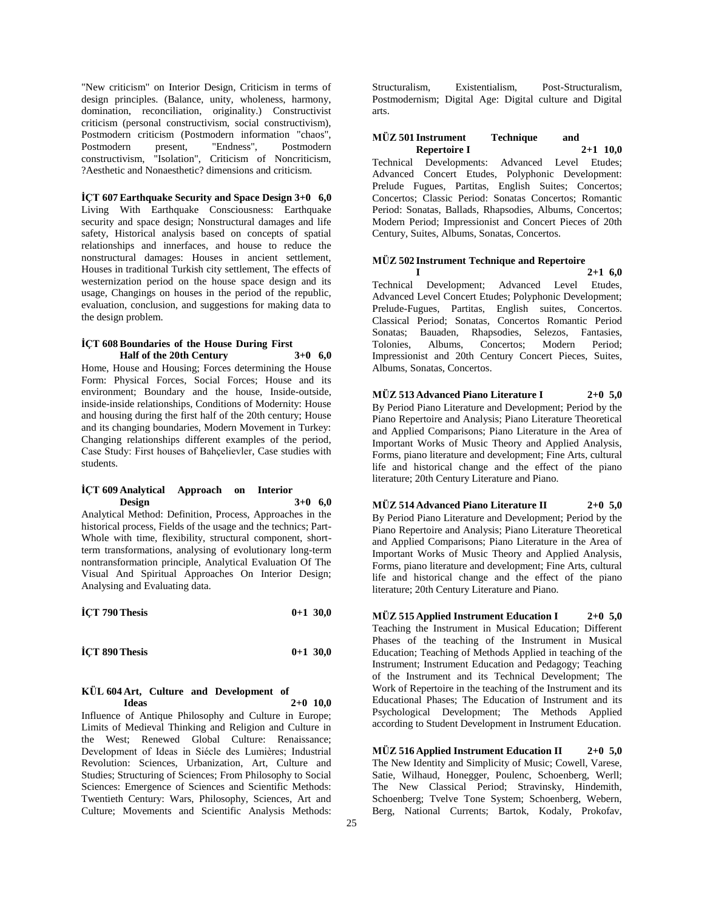"New criticism" on Interior Design, Criticism in terms of design principles. (Balance, unity, wholeness, harmony, domination, reconciliation, originality.) Constructivist criticism (personal constructivism, social constructivism), Postmodern criticism (Postmodern information "chaos", Postmodern present, "Endness", Postmodern constructivism, "Isolation", Criticism of Noncriticism, ?Aesthetic and Nonaesthetic? dimensions and criticism.

#### **İÇT 607 Earthquake Security and Space Design 3+0 6,0**

Living With Earthquake Consciousness: Earthquake security and space design; Nonstructural damages and life safety, Historical analysis based on concepts of spatial relationships and innerfaces, and house to reduce the nonstructural damages: Houses in ancient settlement, Houses in traditional Turkish city settlement, The effects of westernization period on the house space design and its usage, Changings on houses in the period of the republic, evaluation, conclusion, and suggestions for making data to the design problem.

#### **İÇT 608 Boundaries of the House During First Half of the 20th Century 3+0 6,0**

Home, House and Housing; Forces determining the House Form: Physical Forces, Social Forces; House and its environment; Boundary and the house, Inside-outside, inside-inside relationships, Conditions of Modernity: House and housing during the first half of the 20th century; House and its changing boundaries, Modern Movement in Turkey: Changing relationships different examples of the period, Case Study: First houses of Bahçelievler, Case studies with students.

#### **İÇT 609 Analytical Approach on Interior Design 3+0 6,0**

Analytical Method: Definition, Process, Approaches in the historical process, Fields of the usage and the technics; Part-Whole with time, flexibility, structural component, shortterm transformations, analysing of evolutionary long-term nontransformation principle, Analytical Evaluation Of The Visual And Spiritual Approaches On Interior Design; Analysing and Evaluating data.

| İÇT 790 Thesis | $0+1$ 30,0 |  |
|----------------|------------|--|
|                |            |  |
|                |            |  |

**İÇT 890 Thesis 0+1 30,0**

**KÜL 604 Art, Culture and Development of Ideas 2+0 10,0**

Influence of Antique Philosophy and Culture in Europe; Limits of Medieval Thinking and Religion and Culture in the West; Renewed Global Culture: Renaissance; Development of Ideas in Siécle des Lumières; Industrial Revolution: Sciences, Urbanization, Art, Culture and Studies; Structuring of Sciences; From Philosophy to Social Sciences: Emergence of Sciences and Scientific Methods: Twentieth Century: Wars, Philosophy, Sciences, Art and Culture; Movements and Scientific Analysis Methods:

Structuralism, Existentialism, Post-Structuralism, Postmodernism; Digital Age: Digital culture and Digital arts.

#### **MÜZ 501 Instrument Technique and Repertoire I 2+1 10,0**

Technical Developments: Advanced Level Etudes; Advanced Concert Etudes, Polyphonic Development: Prelude Fugues, Partitas, English Suites; Concertos; Concertos; Classic Period: Sonatas Concertos; Romantic Period: Sonatas, Ballads, Rhapsodies, Albums, Concertos; Modern Period; Impressionist and Concert Pieces of 20th Century, Suites, Albums, Sonatas, Concertos.

#### **MÜZ 502 Instrument Technique and Repertoire**

**I 2+1 6,0** Technical Development; Advanced Level Etudes, Advanced Level Concert Etudes; Polyphonic Development; Prelude-Fugues, Partitas, English suites, Concertos. Classical Period; Sonatas, Concertos Romantic Period Sonatas; Bauaden, Rhapsodies, Selezos, Fantasies, Tolonies, Albums, Concertos; Modern Period; Impressionist and 20th Century Concert Pieces, Suites, Albums, Sonatas, Concertos.

**MÜZ 513 Advanced Piano Literature I 2+0 5,0** By Period Piano Literature and Development; Period by the Piano Repertoire and Analysis; Piano Literature Theoretical and Applied Comparisons; Piano Literature in the Area of Important Works of Music Theory and Applied Analysis, Forms, piano literature and development; Fine Arts, cultural life and historical change and the effect of the piano literature; 20th Century Literature and Piano.

**MÜZ 514 Advanced Piano Literature II 2+0 5,0** By Period Piano Literature and Development; Period by the Piano Repertoire and Analysis; Piano Literature Theoretical and Applied Comparisons; Piano Literature in the Area of Important Works of Music Theory and Applied Analysis, Forms, piano literature and development; Fine Arts, cultural life and historical change and the effect of the piano literature; 20th Century Literature and Piano.

**MÜZ 515 Applied Instrument Education I 2+0 5,0** Teaching the Instrument in Musical Education; Different Phases of the teaching of the Instrument in Musical Education; Teaching of Methods Applied in teaching of the Instrument; Instrument Education and Pedagogy; Teaching of the Instrument and its Technical Development; The Work of Repertoire in the teaching of the Instrument and its Educational Phases; The Education of Instrument and its Psychological Development; The Methods Applied according to Student Development in Instrument Education.

**MÜZ 516 Applied Instrument Education II 2+0 5,0** The New Identity and Simplicity of Music; Cowell, Varese, Satie, Wilhaud, Honegger, Poulenc, Schoenberg, Werll; The New Classical Period; Stravinsky, Hindemith, Schoenberg; Tvelve Tone System; Schoenberg, Webern, Berg, National Currents; Bartok, Kodaly, Prokofav,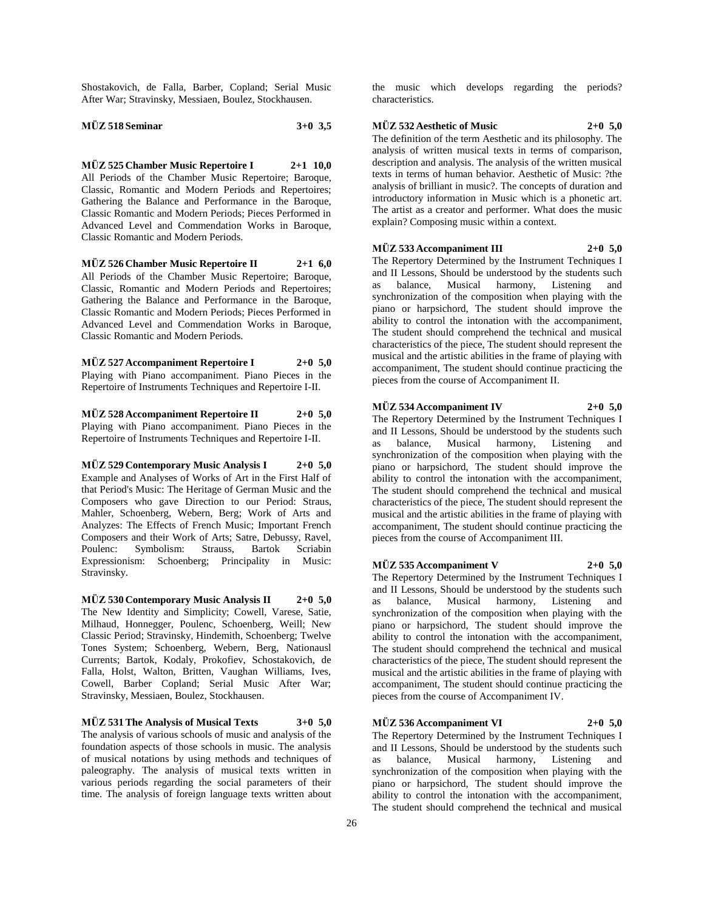Shostakovich, de Falla, Barber, Copland; Serial Music After War; Stravinsky, Messiaen, Boulez, Stockhausen.

**MÜZ 518 Seminar 3+0 3,5**

**MÜZ 525 Chamber Music Repertoire I 2+1 10,0** All Periods of the Chamber Music Repertoire; Baroque, Classic, Romantic and Modern Periods and Repertoires; Gathering the Balance and Performance in the Baroque, Classic Romantic and Modern Periods; Pieces Performed in Advanced Level and Commendation Works in Baroque, Classic Romantic and Modern Periods.

**MÜZ 526 Chamber Music Repertoire II 2+1 6,0** All Periods of the Chamber Music Repertoire; Baroque, Classic, Romantic and Modern Periods and Repertoires; Gathering the Balance and Performance in the Baroque, Classic Romantic and Modern Periods; Pieces Performed in Advanced Level and Commendation Works in Baroque, Classic Romantic and Modern Periods.

**MÜZ 527 Accompaniment Repertoire I 2+0 5,0** Playing with Piano accompaniment. Piano Pieces in the Repertoire of Instruments Techniques and Repertoire I-II.

**MÜZ 528 Accompaniment Repertoire II 2+0 5,0** Playing with Piano accompaniment. Piano Pieces in the Repertoire of Instruments Techniques and Repertoire I-II.

**MÜZ 529 Contemporary Music Analysis I 2+0 5,0** Example and Analyses of Works of Art in the First Half of that Period's Music: The Heritage of German Music and the Composers who gave Direction to our Period: Straus, Mahler, Schoenberg, Webern, Berg; Work of Arts and Analyzes: The Effects of French Music; Important French Composers and their Work of Arts; Satre, Debussy, Ravel, Poulenc: Symbolism: Strauss, Bartok Scriabin Expressionism: Schoenberg; Principality in Music: Stravinsky.

**MÜZ 530 Contemporary Music Analysis II 2+0 5,0** The New Identity and Simplicity; Cowell, Varese, Satie, Milhaud, Honnegger, Poulenc, Schoenberg, Weill; New Classic Period; Stravinsky, Hindemith, Schoenberg; Twelve Tones System; Schoenberg, Webern, Berg, Nationausl Currents; Bartok, Kodaly, Prokofiev, Schostakovich, de Falla, Holst, Walton, Britten, Vaughan Williams, Ives, Cowell, Barber Copland; Serial Music After War; Stravinsky, Messiaen, Boulez, Stockhausen.

**MÜZ 531 The Analysis of Musical Texts 3+0 5,0** The analysis of various schools of music and analysis of the foundation aspects of those schools in music. The analysis of musical notations by using methods and techniques of paleography. The analysis of musical texts written in various periods regarding the social parameters of their time. The analysis of foreign language texts written about

the music which develops regarding the periods? characteristics.

### **MÜZ 532 Aesthetic of Music 2+0 5,0**

The definition of the term Aesthetic and its philosophy. The analysis of written musical texts in terms of comparison, description and analysis. The analysis of the written musical texts in terms of human behavior. Aesthetic of Music: ?the analysis of brilliant in music?. The concepts of duration and introductory information in Music which is a phonetic art. The artist as a creator and performer. What does the music explain? Composing music within a context.

#### **MÜZ 533 Accompaniment III 2+0 5,0**

The Repertory Determined by the Instrument Techniques I and II Lessons, Should be understood by the students such as balance, Musical harmony, Listening and synchronization of the composition when playing with the piano or harpsichord, The student should improve the ability to control the intonation with the accompaniment, The student should comprehend the technical and musical characteristics of the piece, The student should represent the musical and the artistic abilities in the frame of playing with accompaniment, The student should continue practicing the pieces from the course of Accompaniment II.

#### **MÜZ 534 Accompaniment IV 2+0 5,0**

The Repertory Determined by the Instrument Techniques I and II Lessons, Should be understood by the students such as balance, Musical harmony, Listening and synchronization of the composition when playing with the piano or harpsichord, The student should improve the ability to control the intonation with the accompaniment, The student should comprehend the technical and musical characteristics of the piece, The student should represent the musical and the artistic abilities in the frame of playing with accompaniment, The student should continue practicing the pieces from the course of Accompaniment III.

#### **MÜZ 535 Accompaniment V 2+0 5,0**

The Repertory Determined by the Instrument Techniques I and II Lessons, Should be understood by the students such as balance, Musical harmony, Listening and as balance, Musical harmony, Listening and synchronization of the composition when playing with the piano or harpsichord, The student should improve the ability to control the intonation with the accompaniment, The student should comprehend the technical and musical characteristics of the piece, The student should represent the musical and the artistic abilities in the frame of playing with accompaniment, The student should continue practicing the pieces from the course of Accompaniment IV.

#### **MÜZ 536 Accompaniment VI 2+0 5,0**

The Repertory Determined by the Instrument Techniques I and II Lessons, Should be understood by the students such as balance, Musical harmony, Listening and as balance, Musical harmony, Listening synchronization of the composition when playing with the piano or harpsichord, The student should improve the ability to control the intonation with the accompaniment, The student should comprehend the technical and musical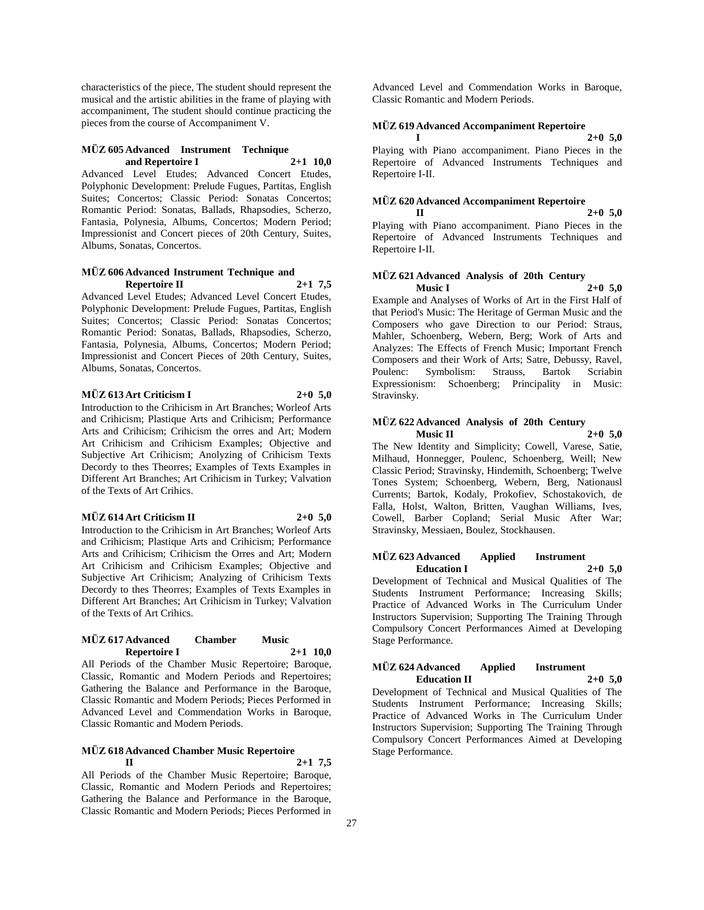characteristics of the piece, The student should represent the musical and the artistic abilities in the frame of playing with accompaniment, The student should continue practicing the pieces from the course of Accompaniment V.

#### **MÜZ 605 Advanced Instrument Technique and Repertoire I 2+1 10,0**

Advanced Level Etudes; Advanced Concert Etudes, Polyphonic Development: Prelude Fugues, Partitas, English Suites; Concertos; Classic Period: Sonatas Concertos; Romantic Period: Sonatas, Ballads, Rhapsodies, Scherzo, Fantasia, Polynesia, Albums, Concertos; Modern Period; Impressionist and Concert pieces of 20th Century, Suites, Albums, Sonatas, Concertos.

#### **MÜZ 606 Advanced Instrument Technique and Repertoire II 2+1 7,5**

Advanced Level Etudes; Advanced Level Concert Etudes, Polyphonic Development: Prelude Fugues, Partitas, English Suites; Concertos; Classic Period: Sonatas Concertos; Romantic Period: Sonatas, Ballads, Rhapsodies, Scherzo, Fantasia, Polynesia, Albums, Concertos; Modern Period; Impressionist and Concert Pieces of 20th Century, Suites, Albums, Sonatas, Concertos.

#### **MÜZ 613 Art Criticism I 2+0 5,0**

Introduction to the Crihicism in Art Branches; Worleof Arts and Crihicism; Plastique Arts and Crihicism; Performance Arts and Crihicism; Crihicism the orres and Art; Modern Art Crihicism and Crihicism Examples; Objective and

Subjective Art Crihicism; Anolyzing of Crihicism Texts Decordy to thes Theorres; Examples of Texts Examples in Different Art Branches; Art Crihicism in Turkey; Valvation of the Texts of Art Crihics.

#### **MÜZ 614 Art Criticism II 2+0 5,0**

Introduction to the Crihicism in Art Branches; Worleof Arts and Crihicism; Plastique Arts and Crihicism; Performance Arts and Crihicism; Crihicism the Orres and Art; Modern Art Crihicism and Crihicism Examples; Objective and Subjective Art Crihicism; Analyzing of Crihicism Texts Decordy to thes Theorres; Examples of Texts Examples in Different Art Branches; Art Crihicism in Turkey; Valvation of the Texts of Art Crihics.

#### **MÜZ 617 Advanced Chamber Music Repertoire I 2+1 10,0**

All Periods of the Chamber Music Repertoire; Baroque, Classic, Romantic and Modern Periods and Repertoires; Gathering the Balance and Performance in the Baroque, Classic Romantic and Modern Periods; Pieces Performed in Advanced Level and Commendation Works in Baroque, Classic Romantic and Modern Periods.

#### **MÜZ 618 Advanced Chamber Music Repertoire II 2+1 7,5**

All Periods of the Chamber Music Repertoire; Baroque, Classic, Romantic and Modern Periods and Repertoires; Gathering the Balance and Performance in the Baroque, Classic Romantic and Modern Periods; Pieces Performed in

Advanced Level and Commendation Works in Baroque, Classic Romantic and Modern Periods.

## **MÜZ 619 Advanced Accompaniment Repertoire**

#### **I 2+0 5,0**

Playing with Piano accompaniment. Piano Pieces in the Repertoire of Advanced Instruments Techniques and Repertoire I-II.

## **MÜZ 620 Advanced Accompaniment Repertoire**

**II 2+0 5,0** Playing with Piano accompaniment. Piano Pieces in the Repertoire of Advanced Instruments Techniques and Repertoire I-II.

#### **MÜZ 621 Advanced Analysis of 20th Century Music I 2+0 5,0**

Example and Analyses of Works of Art in the First Half of that Period's Music: The Heritage of German Music and the Composers who gave Direction to our Period: Straus, Mahler, Schoenberg, Webern, Berg; Work of Arts and Analyzes: The Effects of French Music; Important French Composers and their Work of Arts; Satre, Debussy, Ravel, Symbolism: Expressionism: Schoenberg; Principality in Music: Stravinsky.

## **MÜZ 622 Advanced Analysis of 20th Century**

**Music II 2+0 5,0** The New Identity and Simplicity; Cowell, Varese, Satie, Milhaud, Honnegger, Poulenc, Schoenberg, Weill; New Classic Period; Stravinsky, Hindemith, Schoenberg; Twelve Tones System; Schoenberg, Webern, Berg, Nationausl Currents; Bartok, Kodaly, Prokofiev, Schostakovich, de Falla, Holst, Walton, Britten, Vaughan Williams, Ives, Cowell, Barber Copland; Serial Music After War; Stravinsky, Messiaen, Boulez, Stockhausen.

#### **MÜZ 623 Advanced Applied Instrument Education I 2+0 5,0**

Development of Technical and Musical Qualities of The Students Instrument Performance; Increasing Skills; Practice of Advanced Works in The Curriculum Under Instructors Supervision; Supporting The Training Through Compulsory Concert Performances Aimed at Developing Stage Performance.

#### **MÜZ 624 Advanced Applied Instrument Education II 2+0 5,0**

Development of Technical and Musical Qualities of The Students Instrument Performance; Increasing Skills; Practice of Advanced Works in The Curriculum Under Instructors Supervision; Supporting The Training Through Compulsory Concert Performances Aimed at Developing Stage Performance.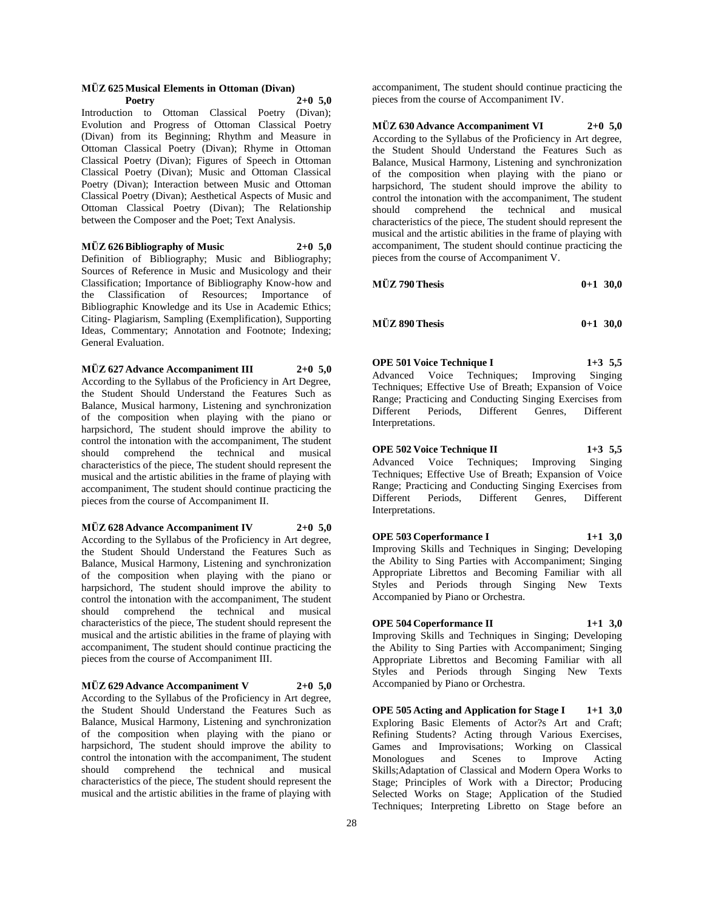#### **MÜZ 625 Musical Elements in Ottoman (Divan) Poetry 2+0 5,0**

Introduction to Ottoman Classical Poetry (Divan); Evolution and Progress of Ottoman Classical Poetry (Divan) from its Beginning; Rhythm and Measure in Ottoman Classical Poetry (Divan); Rhyme in Ottoman Classical Poetry (Divan); Figures of Speech in Ottoman Classical Poetry (Divan); Music and Ottoman Classical Poetry (Divan); Interaction between Music and Ottoman Classical Poetry (Divan); Aesthetical Aspects of Music and Ottoman Classical Poetry (Divan); The Relationship between the Composer and the Poet; Text Analysis.

#### **MÜZ 626 Bibliography of Music 2+0 5,0**

Definition of Bibliography; Music and Bibliography; Sources of Reference in Music and Musicology and their Classification; Importance of Bibliography Know-how and the Classification of Resources; Importance of Bibliographic Knowledge and its Use in Academic Ethics; Citing- Plagiarism, Sampling (Exemplification), Supporting Ideas, Commentary; Annotation and Footnote; Indexing; General Evaluation.

**MÜZ 627 Advance Accompaniment III 2+0 5,0**

According to the Syllabus of the Proficiency in Art Degree, the Student Should Understand the Features Such as Balance, Musical harmony, Listening and synchronization of the composition when playing with the piano or harpsichord, The student should improve the ability to control the intonation with the accompaniment, The student should comprehend the technical and musical characteristics of the piece, The student should represent the musical and the artistic abilities in the frame of playing with accompaniment, The student should continue practicing the pieces from the course of Accompaniment II.

#### **MÜZ 628 Advance Accompaniment IV 2+0 5,0**

According to the Syllabus of the Proficiency in Art degree, the Student Should Understand the Features Such as Balance, Musical Harmony, Listening and synchronization of the composition when playing with the piano or harpsichord, The student should improve the ability to control the intonation with the accompaniment, The student should comprehend the technical and musical characteristics of the piece, The student should represent the musical and the artistic abilities in the frame of playing with accompaniment, The student should continue practicing the pieces from the course of Accompaniment III.

#### **MÜZ 629 Advance Accompaniment V 2+0 5,0**

According to the Syllabus of the Proficiency in Art degree, the Student Should Understand the Features Such as Balance, Musical Harmony, Listening and synchronization of the composition when playing with the piano or harpsichord, The student should improve the ability to control the intonation with the accompaniment, The student should comprehend the technical and musical characteristics of the piece, The student should represent the musical and the artistic abilities in the frame of playing with

accompaniment, The student should continue practicing the pieces from the course of Accompaniment IV.

**MÜZ 630 Advance Accompaniment VI 2+0 5,0** According to the Syllabus of the Proficiency in Art degree, the Student Should Understand the Features Such as Balance, Musical Harmony, Listening and synchronization of the composition when playing with the piano or harpsichord, The student should improve the ability to control the intonation with the accompaniment, The student should comprehend the technical and musical characteristics of the piece, The student should represent the musical and the artistic abilities in the frame of playing with accompaniment, The student should continue practicing the pieces from the course of Accompaniment V.

| <b>MÜZ 790 Thesis</b> | $0+1$ 30.0 |  |
|-----------------------|------------|--|
|                       |            |  |

| <b>MÜZ 890 Thesis</b><br>$0+1$ 30,0 |
|-------------------------------------|
|-------------------------------------|

**OPE 501 Voice Technique I 1+3 5,5**

Advanced Voice Techniques; Improving Singing Techniques; Effective Use of Breath; Expansion of Voice Range; Practicing and Conducting Singing Exercises from<br>Different Periods. Different Genres. Different Different Periods, Different Genres, Different Interpretations.

**OPE 502 Voice Technique II 1+3 5,5** Advanced Voice Techniques; Improving Singing Techniques; Effective Use of Breath; Expansion of Voice Range; Practicing and Conducting Singing Exercises from Different Periods, Different Genres, Different Interpretations.

**OPE 503 Coperformance I 1+1 3,0** Improving Skills and Techniques in Singing; Developing the Ability to Sing Parties with Accompaniment; Singing Appropriate Librettos and Becoming Familiar with all Styles and Periods through Singing New Texts Accompanied by Piano or Orchestra.

# **OPE 504 Coperformance II 1+1 3,0**

Improving Skills and Techniques in Singing; Developing the Ability to Sing Parties with Accompaniment; Singing Appropriate Librettos and Becoming Familiar with all Styles and Periods through Singing New Texts Accompanied by Piano or Orchestra.

**OPE 505 Acting and Application for Stage I 1+1 3,0** Exploring Basic Elements of Actor?s Art and Craft; Refining Students? Acting through Various Exercises, Games and Improvisations; Working on Classical Monologues and Scenes to Improve Acting Skills;Adaptation of Classical and Modern Opera Works to Stage; Principles of Work with a Director; Producing Selected Works on Stage; Application of the Studied Techniques; Interpreting Libretto on Stage before an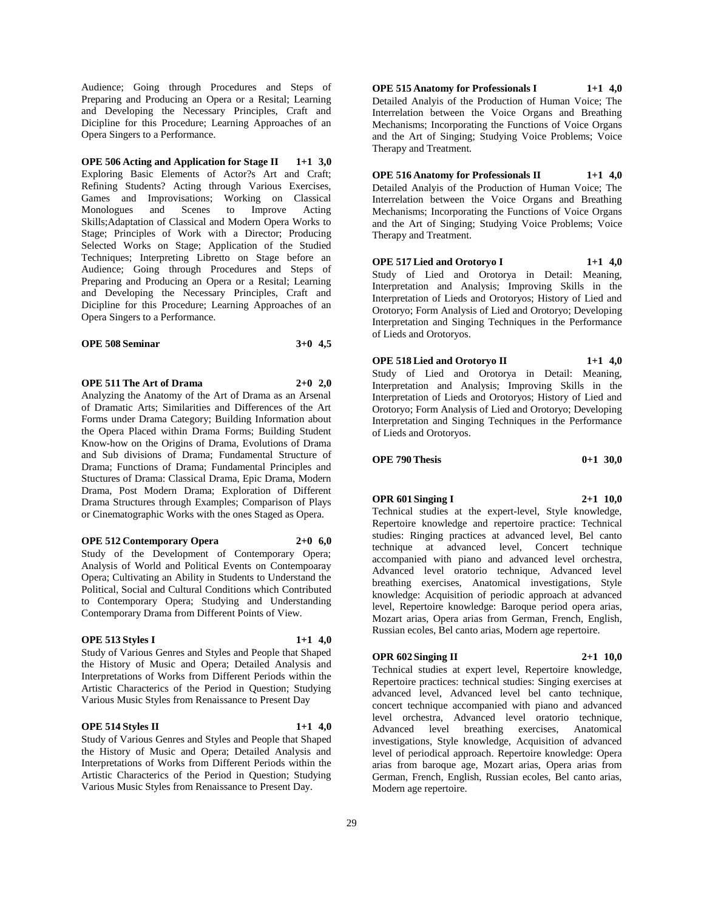Audience; Going through Procedures and Steps of Preparing and Producing an Opera or a Resital; Learning and Developing the Necessary Principles, Craft and Dicipline for this Procedure; Learning Approaches of an Opera Singers to a Performance.

**OPE 506 Acting and Application for Stage II 1+1 3,0** Exploring Basic Elements of Actor?s Art and Craft; Refining Students? Acting through Various Exercises, Games and Improvisations; Working on Classical Monologues and Scenes to Improve Acting Skills;Adaptation of Classical and Modern Opera Works to Stage; Principles of Work with a Director; Producing Selected Works on Stage; Application of the Studied Techniques; Interpreting Libretto on Stage before an Audience; Going through Procedures and Steps of Preparing and Producing an Opera or a Resital; Learning and Developing the Necessary Principles, Craft and Dicipline for this Procedure; Learning Approaches of an Opera Singers to a Performance.

| <b>OPE 508 Seminar</b> | $3+0$ 4.5 |
|------------------------|-----------|
|------------------------|-----------|

**OPE 511 The Art of Drama 2+0 2,0**

Analyzing the Anatomy of the Art of Drama as an Arsenal of Dramatic Arts; Similarities and Differences of the Art Forms under Drama Category; Building Information about the Opera Placed within Drama Forms; Building Student Know-how on the Origins of Drama, Evolutions of Drama and Sub divisions of Drama; Fundamental Structure of Drama; Functions of Drama; Fundamental Principles and Stuctures of Drama: Classical Drama, Epic Drama, Modern Drama, Post Modern Drama; Exploration of Different Drama Structures through Examples; Comparison of Plays or Cinematographic Works with the ones Staged as Opera.

**OPE 512 Contemporary Opera 2+0 6,0** Study of the Development of Contemporary Opera; Analysis of World and Political Events on Contempoaray Opera; Cultivating an Ability in Students to Understand the Political, Social and Cultural Conditions which Contributed to Contemporary Opera; Studying and Understanding Contemporary Drama from Different Points of View.

#### **OPE 513 Styles I 1+1 4,0**

Study of Various Genres and Styles and People that Shaped the History of Music and Opera; Detailed Analysis and Interpretations of Works from Different Periods within the Artistic Characterics of the Period in Question; Studying Various Music Styles from Renaissance to Present Day

#### **OPE 514 Styles II 1+1 4,0**

Study of Various Genres and Styles and People that Shaped the History of Music and Opera; Detailed Analysis and Interpretations of Works from Different Periods within the Artistic Characterics of the Period in Question; Studying Various Music Styles from Renaissance to Present Day.

**OPE 515 Anatomy for Professionals I 1+1 4,0** Detailed Analyis of the Production of Human Voice; The Interrelation between the Voice Organs and Breathing Mechanisms; Incorporating the Functions of Voice Organs and the Art of Singing; Studying Voice Problems; Voice Therapy and Treatment.

**OPE 516 Anatomy for Professionals II 1+1 4,0** Detailed Analyis of the Production of Human Voice; The Interrelation between the Voice Organs and Breathing Mechanisms; Incorporating the Functions of Voice Organs and the Art of Singing; Studying Voice Problems; Voice Therapy and Treatment.

**OPE 517 Lied and Orotoryo I 1+1 4,0** Study of Lied and Orotorya in Detail: Meaning, Interpretation and Analysis; Improving Skills in the Interpretation of Lieds and Orotoryos; History of Lied and Orotoryo; Form Analysis of Lied and Orotoryo; Developing Interpretation and Singing Techniques in the Performance of Lieds and Orotoryos.

**OPE 518 Lied and Orotoryo II 1+1 4,0** Study of Lied and Orotorya in Detail: Meaning, Interpretation and Analysis; Improving Skills in the Interpretation of Lieds and Orotoryos; History of Lied and Orotoryo; Form Analysis of Lied and Orotoryo; Developing Interpretation and Singing Techniques in the Performance of Lieds and Orotoryos.

#### **OPE 790 Thesis 0+1 30,0**

**OPR 601 Singing I 2+1 10,0**

Technical studies at the expert-level, Style knowledge, Repertoire knowledge and repertoire practice: Technical studies: Ringing practices at advanced level, Bel canto technique at advanced level, Concert technique accompanied with piano and advanced level orchestra, Advanced level oratorio technique, Advanced level breathing exercises, Anatomical investigations, Style knowledge: Acquisition of periodic approach at advanced level, Repertoire knowledge: Baroque period opera arias, Mozart arias, Opera arias from German, French, English, Russian ecoles, Bel canto arias, Modern age repertoire.

#### **OPR 602 Singing II 2+1 10,0**

Technical studies at expert level, Repertoire knowledge, Repertoire practices: technical studies: Singing exercises at advanced level, Advanced level bel canto technique, concert technique accompanied with piano and advanced level orchestra, Advanced level oratorio technique, Advanced level breathing exercises, Anatomical investigations, Style knowledge, Acquisition of advanced level of periodical approach. Repertoire knowledge: Opera arias from baroque age, Mozart arias, Opera arias from German, French, English, Russian ecoles, Bel canto arias, Modern age repertoire.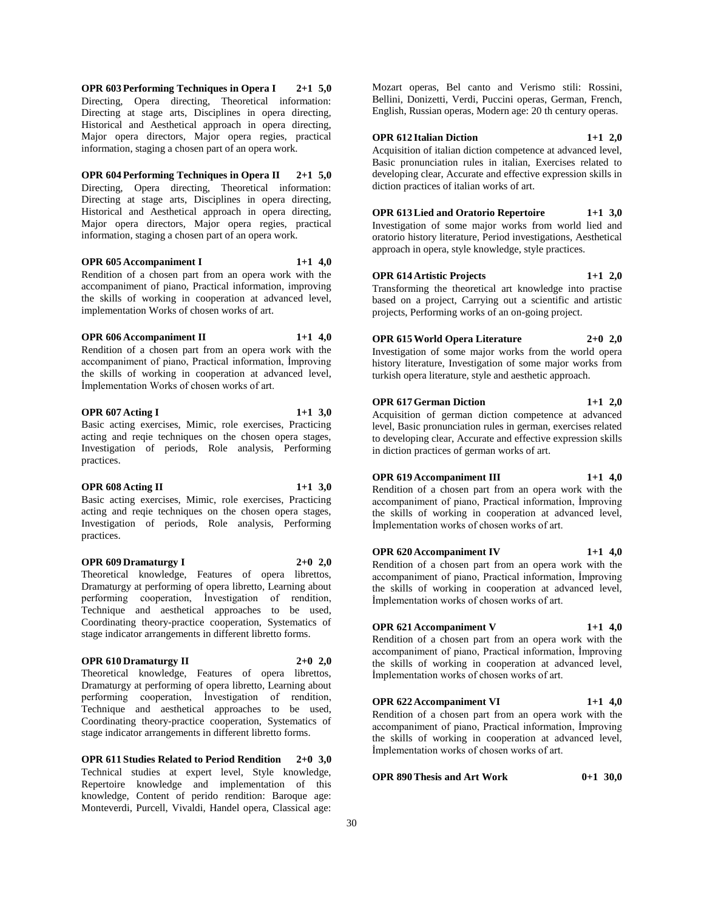**OPR 603 Performing Techniques in Opera I 2+1 5,0** Directing, Opera directing, Theoretical information: Directing at stage arts, Disciplines in opera directing, Historical and Aesthetical approach in opera directing, Major opera directors, Major opera regies, practical information, staging a chosen part of an opera work.

**OPR 604 Performing Techniques in Opera II 2+1 5,0** Directing, Opera directing, Theoretical information: Directing at stage arts, Disciplines in opera directing, Historical and Aesthetical approach in opera directing, Major opera directors, Major opera regies, practical information, staging a chosen part of an opera work.

## **OPR 605 Accompaniment I 1+1 4,0**

Rendition of a chosen part from an opera work with the accompaniment of piano, Practical information, improving the skills of working in cooperation at advanced level, implementation Works of chosen works of art.

#### **OPR 606 Accompaniment II 1+1 4,0**

Rendition of a chosen part from an opera work with the accompaniment of piano, Practical information, İmproving the skills of working in cooperation at advanced level, İmplementation Works of chosen works of art.

## **OPR 607 Acting I 1+1 3,0**

Basic acting exercises, Mimic, role exercises, Practicing acting and reqie techniques on the chosen opera stages, Investigation of periods, Role analysis, Performing practices.

#### **OPR 608 Acting II 1+1 3,0**

practices.

Basic acting exercises, Mimic, role exercises, Practicing acting and reqie techniques on the chosen opera stages, Investigation of periods, Role analysis, Performing

#### **OPR 609 Dramaturgy I 2+0 2,0**

Theoretical knowledge, Features of opera librettos, Dramaturgy at performing of opera libretto, Learning about performing cooperation, İnvestigation of rendition, Technique and aesthetical approaches to be used, Coordinating theory-practice cooperation, Systematics of stage indicator arrangements in different libretto forms.

#### **OPR 610 Dramaturgy II 2+0 2,0**

Theoretical knowledge, Features of opera librettos, Dramaturgy at performing of opera libretto, Learning about performing cooperation, İnvestigation of rendition, Technique and aesthetical approaches to be used, Coordinating theory-practice cooperation, Systematics of stage indicator arrangements in different libretto forms.

**OPR 611 Studies Related to Period Rendition 2+0 3,0** Technical studies at expert level, Style knowledge, Repertoire knowledge and implementation of this knowledge, Content of perido rendition: Baroque age: Monteverdi, Purcell, Vivaldi, Handel opera, Classical age:

Mozart operas, Bel canto and Verismo stili: Rossini, Bellini, Donizetti, Verdi, Puccini operas, German, French, English, Russian operas, Modern age: 20 th century operas.

## **OPR 612 Italian Diction 1+1 2,0**

Acquisition of italian diction competence at advanced level, Basic pronunciation rules in italian, Exercises related to developing clear, Accurate and effective expression skills in diction practices of italian works of art.

#### **OPR 613 Lied and Oratorio Repertoire 1+1 3,0**

Investigation of some major works from world lied and oratorio history literature, Period investigations, Aesthetical approach in opera, style knowledge, style practices.

#### **OPR 614 Artistic Projects 1+1 2,0**

Transforming the theoretical art knowledge into practise based on a project, Carrying out a scientific and artistic projects, Performing works of an on-going project.

#### **OPR 615 World Opera Literature 2+0 2,0**

Investigation of some major works from the world opera history literature, Investigation of some major works from turkish opera literature, style and aesthetic approach.

#### **OPR 617 German Diction 1+1 2,0**

Acquisition of german diction competence at advanced level, Basic pronunciation rules in german, exercises related to developing clear, Accurate and effective expression skills in diction practices of german works of art.

#### **OPR 619 Accompaniment III 1+1 4,0**

Rendition of a chosen part from an opera work with the accompaniment of piano, Practical information, İmproving the skills of working in cooperation at advanced level, İmplementation works of chosen works of art.

#### **OPR 620 Accompaniment IV 1+1 4,0**

Rendition of a chosen part from an opera work with the accompaniment of piano, Practical information, İmproving the skills of working in cooperation at advanced level, İmplementation works of chosen works of art.

#### **OPR 621 Accompaniment V 1+1 4,0**

İmplementation works of chosen works of art.

Rendition of a chosen part from an opera work with the accompaniment of piano, Practical information, İmproving the skills of working in cooperation at advanced level, İmplementation works of chosen works of art.

#### **OPR 622 Accompaniment VI 1+1 4,0** Rendition of a chosen part from an opera work with the accompaniment of piano, Practical information, İmproving the skills of working in cooperation at advanced level,

**OPR 890 Thesis and Art Work 0+1 30,0**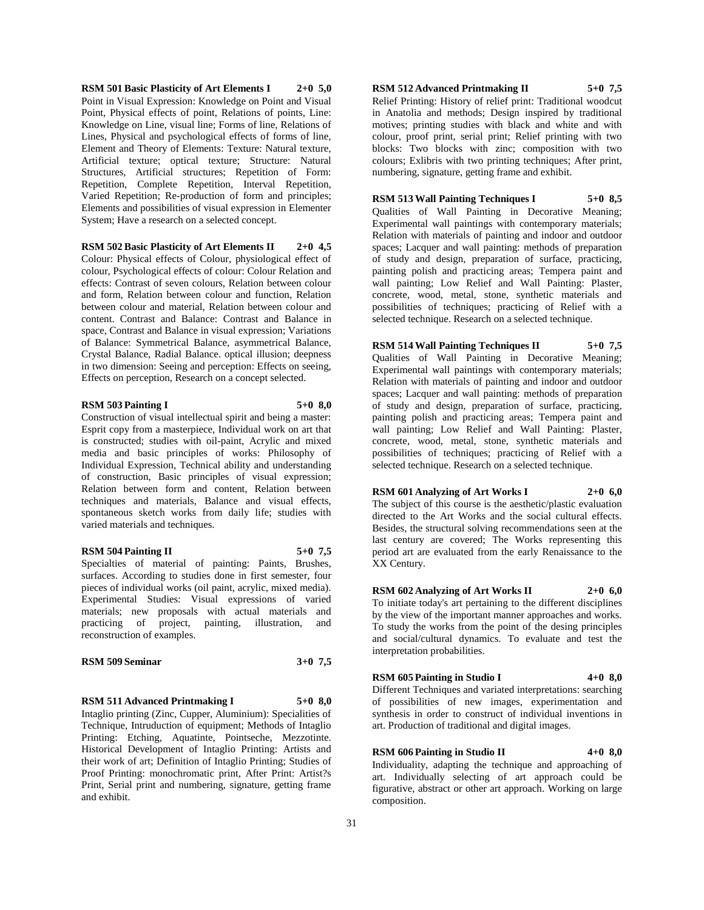**RSM 501 Basic Plasticity of Art Elements I 2+0 5,0** Point in Visual Expression: Knowledge on Point and Visual Point, Physical effects of point, Relations of points, Line: Knowledge on Line, visual line; Forms of line, Relations of Lines, Physical and psychological effects of forms of line, Element and Theory of Elements: Texture: Natural texture, Artificial texture; optical texture; Structure: Natural Structures, Artificial structures; Repetition of Form: Repetition, Complete Repetition, Interval Repetition, Varied Repetition; Re-production of form and principles; Elements and possibilities of visual expression in Elementer System; Have a research on a selected concept.

**RSM 502 Basic Plasticity of Art Elements II 2+0 4,5** Colour: Physical effects of Colour, physiological effect of colour, Psychological effects of colour: Colour Relation and effects: Contrast of seven colours, Relation between colour and form, Relation between colour and function, Relation between colour and material, Relation between colour and content. Contrast and Balance: Contrast and Balance in space, Contrast and Balance in visual expression; Variations of Balance: Symmetrical Balance, asymmetrical Balance, Crystal Balance, Radial Balance. optical illusion; deepness in two dimension: Seeing and perception: Effects on seeing, Effects on perception, Research on a concept selected.

#### **RSM 503 Painting I 5+0 8,0**

Construction of visual intellectual spirit and being a master: Esprit copy from a masterpiece, Individual work on art that is constructed; studies with oil-paint, Acrylic and mixed media and basic principles of works: Philosophy of Individual Expression, Technical ability and understanding of construction, Basic principles of visual expression; Relation between form and content, Relation between techniques and materials, Balance and visual effects, spontaneous sketch works from daily life; studies with varied materials and techniques.

#### **RSM 504 Painting II 5+0 7,5**

Specialties of material of painting: Paints, Brushes, surfaces. According to studies done in first semester, four pieces of individual works (oil paint, acrylic, mixed media). Experimental Studies: Visual expressions of varied materials; new proposals with actual materials and practicing of project, painting, illustration, and reconstruction of examples.

#### **RSM 509 Seminar 3+0 7,5**

**RSM 511 Advanced Printmaking I 5+0 8,0** Intaglio printing (Zinc, Cupper, Aluminium): Specialities of Technique, Intruduction of equipment; Methods of Intaglio Printing: Etching, Aquatinte, Pointseche, Mezzotinte. Historical Development of Intaglio Printing: Artists and their work of art; Definition of Intaglio Printing; Studies of Proof Printing: monochromatic print, After Print: Artist?s Print, Serial print and numbering, signature, getting frame and exhibit.

#### **RSM 512 Advanced Printmaking II 5+0 7,5**

Relief Printing: History of relief print: Traditional woodcut in Anatolia and methods; Design inspired by traditional motives; printing studies with black and white and with colour, proof print, serial print; Relief printing with two blocks: Two blocks with zinc; composition with two colours; Exlibris with two printing techniques; After print, numbering, signature, getting frame and exhibit.

#### **RSM 513 Wall Painting Techniques I 5+0 8,5**

Qualities of Wall Painting in Decorative Meaning; Experimental wall paintings with contemporary materials; Relation with materials of painting and indoor and outdoor spaces; Lacquer and wall painting: methods of preparation of study and design, preparation of surface, practicing, painting polish and practicing areas; Tempera paint and wall painting; Low Relief and Wall Painting: Plaster, concrete, wood, metal, stone, synthetic materials and possibilities of techniques; practicing of Relief with a selected technique. Research on a selected technique.

**RSM 514 Wall Painting Techniques II 5+0 7,5**

Qualities of Wall Painting in Decorative Meaning; Experimental wall paintings with contemporary materials; Relation with materials of painting and indoor and outdoor spaces; Lacquer and wall painting: methods of preparation of study and design, preparation of surface, practicing, painting polish and practicing areas; Tempera paint and wall painting; Low Relief and Wall Painting: Plaster, concrete, wood, metal, stone, synthetic materials and possibilities of techniques; practicing of Relief with a selected technique. Research on a selected technique.

#### **RSM 601 Analyzing of Art Works I 2+0 6,0**

The subject of this course is the aesthetic/plastic evaluation directed to the Art Works and the social cultural effects. Besides, the structural solving recommendations seen at the last century are covered; The Works representing this period art are evaluated from the early Renaissance to the XX Century.

#### **RSM 602 Analyzing of Art Works II 2+0 6,0**

To initiate today's art pertaining to the different disciplines by the view of the important manner approaches and works. To study the works from the point of the desing principles and social/cultural dynamics. To evaluate and test the interpretation probabilities.

#### **RSM 605 Painting in Studio I 4+0 8,0**

Different Techniques and variated interpretations: searching of possibilities of new images, experimentation and synthesis in order to construct of individual inventions in art. Production of traditional and digital images.

#### **RSM 606 Painting in Studio II 4+0 8,0**

Individuality, adapting the technique and approaching of art. Individually selecting of art approach could be figurative, abstract or other art approach. Working on large composition.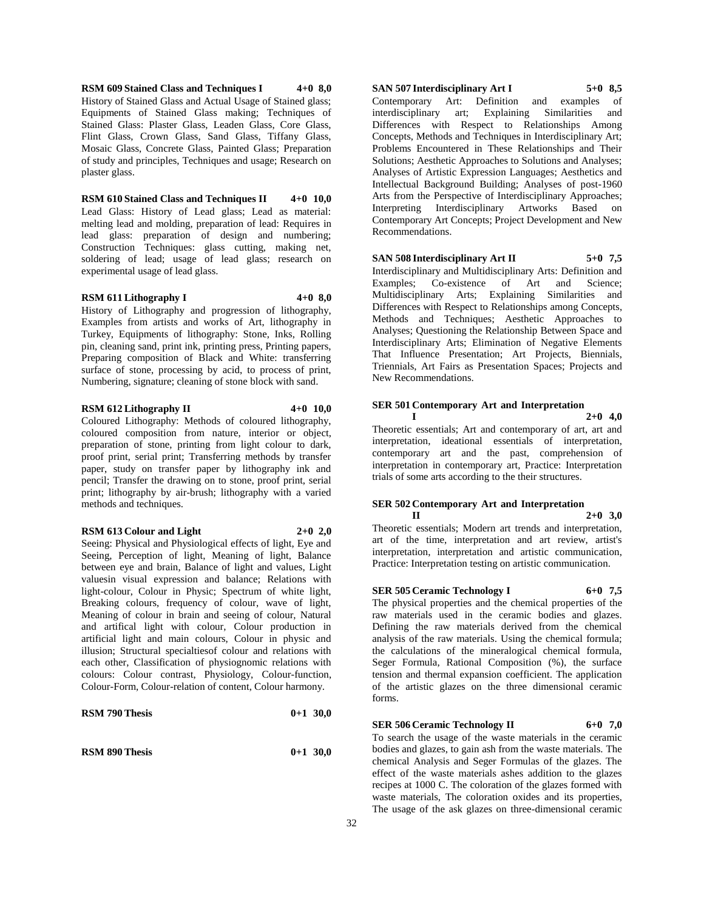**RSM 609 Stained Class and Techniques I 4+0 8,0** History of Stained Glass and Actual Usage of Stained glass; Equipments of Stained Glass making; Techniques of Stained Glass: Plaster Glass, Leaden Glass, Core Glass, Flint Glass, Crown Glass, Sand Glass, Tiffany Glass, Mosaic Glass, Concrete Glass, Painted Glass; Preparation of study and principles, Techniques and usage; Research on plaster glass.

**RSM 610 Stained Class and Techniques II 4+0 10,0** Lead Glass: History of Lead glass; Lead as material: melting lead and molding, preparation of lead: Requires in lead glass: preparation of design and numbering; Construction Techniques: glass cutting, making net, soldering of lead; usage of lead glass; research on experimental usage of lead glass.

#### **RSM 611 Lithography I 4+0 8,0**

History of Lithography and progression of lithography, Examples from artists and works of Art, lithography in Turkey, Equipments of lithography: Stone, Inks, Rolling pin, cleaning sand, print ink, printing press, Printing papers, Preparing composition of Black and White: transferring surface of stone, processing by acid, to process of print, Numbering, signature; cleaning of stone block with sand.

#### **RSM 612 Lithography II 4+0 10,0**

Coloured Lithography: Methods of coloured lithography, coloured composition from nature, interior or object, preparation of stone, printing from light colour to dark, proof print, serial print; Transferring methods by transfer paper, study on transfer paper by lithography ink and pencil; Transfer the drawing on to stone, proof print, serial print; lithography by air-brush; lithography with a varied methods and techniques.

#### **RSM 613 Colour and Light 2+0 2,0**

Seeing: Physical and Physiological effects of light, Eye and Seeing, Perception of light, Meaning of light, Balance between eye and brain, Balance of light and values, Light valuesin visual expression and balance; Relations with light-colour, Colour in Physic; Spectrum of white light, Breaking colours, frequency of colour, wave of light, Meaning of colour in brain and seeing of colour, Natural and artifical light with colour, Colour production in artificial light and main colours, Colour in physic and illusion; Structural specialtiesof colour and relations with each other, Classification of physiognomic relations with colours: Colour contrast, Physiology, Colour-function, Colour-Form, Colour-relation of content, Colour harmony.

| <b>RSM 790 Thesis</b> | $0+1$ 30,0 |  |
|-----------------------|------------|--|
|                       |            |  |

**RSM 890 Thesis 0+1 30,0**

**SAN 507 Interdisciplinary Art I 5+0 8,5** Contemporary Art: Definition and examples of interdisciplinary art; Explaining Differences with Respect to Relationships Among Concepts, Methods and Techniques in Interdisciplinary Art; Problems Encountered in These Relationships and Their Solutions; Aesthetic Approaches to Solutions and Analyses; Analyses of Artistic Expression Languages; Aesthetics and Intellectual Background Building; Analyses of post-1960 Arts from the Perspective of Interdisciplinary Approaches; Interpreting Interdisciplinary Artworks Based on Contemporary Art Concepts; Project Development and New Recommendations.

#### **SAN 508 Interdisciplinary Art II 5+0 7,5**

Interdisciplinary and Multidisciplinary Arts: Definition and Examples; Co-existence of Art and Science; Multidisciplinary Arts; Explaining Similarities and Differences with Respect to Relationships among Concepts, Methods and Techniques; Aesthetic Approaches to Analyses; Questioning the Relationship Between Space and Interdisciplinary Arts; Elimination of Negative Elements That Influence Presentation; Art Projects, Biennials, Triennials, Art Fairs as Presentation Spaces; Projects and New Recommendations.

#### **SER 501 Contemporary Art and Interpretation**

**I 2+0 4,0** Theoretic essentials; Art and contemporary of art, art and interpretation, ideational essentials of interpretation, contemporary art and the past, comprehension of interpretation in contemporary art, Practice: Interpretation trials of some arts according to the their structures.

#### **SER 502 Contemporary Art and Interpretation II 2+0 3,0**

Theoretic essentials; Modern art trends and interpretation, art of the time, interpretation and art review, artist's interpretation, interpretation and artistic communication, Practice: Interpretation testing on artistic communication.

#### **SER 505 Ceramic Technology I 6+0 7,5**

The physical properties and the chemical properties of the raw materials used in the ceramic bodies and glazes. Defining the raw materials derived from the chemical analysis of the raw materials. Using the chemical formula; the calculations of the mineralogical chemical formula, Seger Formula, Rational Composition (%), the surface tension and thermal expansion coefficient. The application of the artistic glazes on the three dimensional ceramic forms.

#### **SER 506 Ceramic Technology II 6+0 7,0**

To search the usage of the waste materials in the ceramic bodies and glazes, to gain ash from the waste materials. The chemical Analysis and Seger Formulas of the glazes. The effect of the waste materials ashes addition to the glazes recipes at 1000 C. The coloration of the glazes formed with waste materials, The coloration oxides and its properties, The usage of the ask glazes on three-dimensional ceramic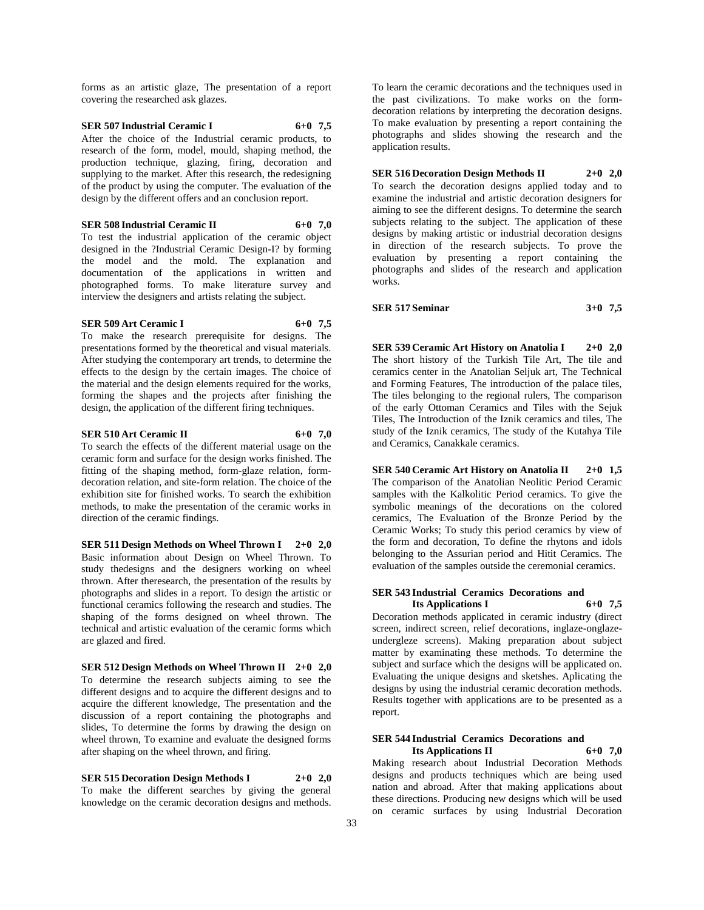forms as an artistic glaze, The presentation of a report covering the researched ask glazes.

**SER 507 Industrial Ceramic I 6+0 7,5** After the choice of the Industrial ceramic products, to research of the form, model, mould, shaping method, the production technique, glazing, firing, decoration and supplying to the market. After this research, the redesigning of the product by using the computer. The evaluation of the design by the different offers and an conclusion report.

**SER 508 Industrial Ceramic II 6+0 7,0** To test the industrial application of the ceramic object designed in the ?Industrial Ceramic Design-I? by forming the model and the mold. The explanation and documentation of the applications in written and photographed forms. To make literature survey and interview the designers and artists relating the subject.

#### **SER 509 Art Ceramic I 6+0 7,5**

To make the research prerequisite for designs. The presentations formed by the theoretical and visual materials. After studying the contemporary art trends, to determine the effects to the design by the certain images. The choice of the material and the design elements required for the works, forming the shapes and the projects after finishing the design, the application of the different firing techniques.

**SER 510 Art Ceramic II 6+0 7,0** To search the effects of the different material usage on the ceramic form and surface for the design works finished. The fitting of the shaping method, form-glaze relation, formdecoration relation, and site-form relation. The choice of the exhibition site for finished works. To search the exhibition methods, to make the presentation of the ceramic works in direction of the ceramic findings.

**SER 511 Design Methods on Wheel Thrown I 2+0 2,0** Basic information about Design on Wheel Thrown. To study thedesigns and the designers working on wheel thrown. After theresearch, the presentation of the results by photographs and slides in a report. To design the artistic or functional ceramics following the research and studies. The shaping of the forms designed on wheel thrown. The technical and artistic evaluation of the ceramic forms which are glazed and fired.

**SER 512 Design Methods on Wheel Thrown II 2+0 2,0** To determine the research subjects aiming to see the different designs and to acquire the different designs and to acquire the different knowledge, The presentation and the discussion of a report containing the photographs and slides, To determine the forms by drawing the design on wheel thrown, To examine and evaluate the designed forms after shaping on the wheel thrown, and firing.

**SER 515 Decoration Design Methods I 2+0 2,0** To make the different searches by giving the general knowledge on the ceramic decoration designs and methods. To learn the ceramic decorations and the techniques used in the past civilizations. To make works on the formdecoration relations by interpreting the decoration designs. To make evaluation by presenting a report containing the photographs and slides showing the research and the application results.

**SER 516 Decoration Design Methods II 2+0 2,0** To search the decoration designs applied today and to examine the industrial and artistic decoration designers for aiming to see the different designs. To determine the search subjects relating to the subject. The application of these designs by making artistic or industrial decoration designs in direction of the research subjects. To prove the evaluation by presenting a report containing the photographs and slides of the research and application works.

#### **SER 517 Seminar 3+0 7,5**

**SER 539 Ceramic Art History on Anatolia I 2+0 2,0** The short history of the Turkish Tile Art, The tile and ceramics center in the Anatolian Seljuk art, The Technical and Forming Features, The introduction of the palace tiles, The tiles belonging to the regional rulers, The comparison of the early Ottoman Ceramics and Tiles with the Sejuk Tiles, The Introduction of the Iznik ceramics and tiles, The study of the Iznik ceramics, The study of the Kutahya Tile and Ceramics, Canakkale ceramics.

**SER 540 Ceramic Art History on Anatolia II 2+0 1,5** The comparison of the Anatolian Neolitic Period Ceramic samples with the Kalkolitic Period ceramics. To give the symbolic meanings of the decorations on the colored ceramics, The Evaluation of the Bronze Period by the Ceramic Works; To study this period ceramics by view of the form and decoration, To define the rhytons and idols belonging to the Assurian period and Hitit Ceramics. The evaluation of the samples outside the ceremonial ceramics.

#### **SER 543 Industrial Ceramics Decorations and Its Applications I 6+0 7,5**

Decoration methods applicated in ceramic industry (direct screen, indirect screen, relief decorations, inglaze-onglazeundergleze screens). Making preparation about subject matter by examinating these methods. To determine the subject and surface which the designs will be applicated on. Evaluating the unique designs and sketshes. Aplicating the designs by using the industrial ceramic decoration methods. Results together with applications are to be presented as a report.

#### **SER 544 Industrial Ceramics Decorations and Its Applications II 6+0 7,0**

Making research about Industrial Decoration Methods designs and products techniques which are being used nation and abroad. After that making applications about these directions. Producing new designs which will be used on ceramic surfaces by using Industrial Decoration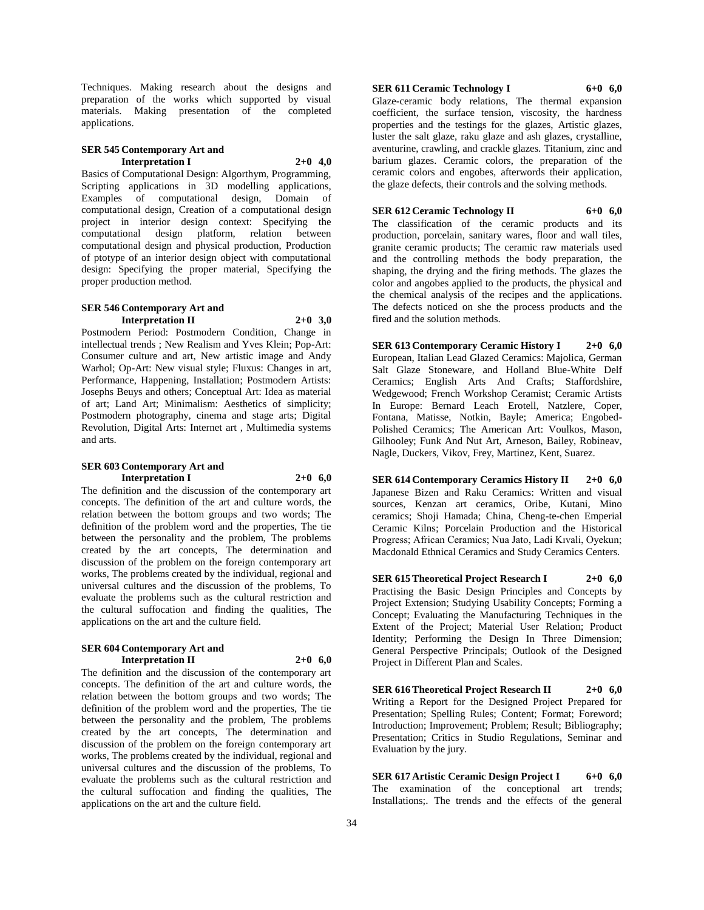Techniques. Making research about the designs and preparation of the works which supported by visual materials. Making presentation of the completed applications.

#### **SER 545 Contemporary Art and Interpretation I 2+0 4,0**

Basics of Computational Design: Algorthym, Programming, Scripting applications in 3D modelling applications, Examples of computational design, Domain of computational design, Creation of a computational design project in interior design context: Specifying the computational design platform, relation between computational design and physical production, Production of ptotype of an interior design object with computational design: Specifying the proper material, Specifying the proper production method.

#### **SER 546 Contemporary Art and Interpretation II 2+0 3,0**

Postmodern Period: Postmodern Condition, Change in intellectual trends ; New Realism and Yves Klein; Pop-Art: Consumer culture and art, New artistic image and Andy Warhol; Op-Art: New visual style; Fluxus: Changes in art, Performance, Happening, Installation; Postmodern Artists: Josephs Beuys and others; Conceptual Art: Idea as material of art; Land Art; Minimalism: Aesthetics of simplicity; Postmodern photography, cinema and stage arts; Digital Revolution, Digital Arts: Internet art , Multimedia systems and arts.

#### **SER 603 Contemporary Art and Interpretation I 2+0 6,0**

The definition and the discussion of the contemporary art concepts. The definition of the art and culture words, the relation between the bottom groups and two words; The definition of the problem word and the properties, The tie between the personality and the problem, The problems created by the art concepts, The determination and discussion of the problem on the foreign contemporary art works, The problems created by the individual, regional and universal cultures and the discussion of the problems, To evaluate the problems such as the cultural restriction and the cultural suffocation and finding the qualities, The applications on the art and the culture field.

#### **SER 604 Contemporary Art and Interpretation II 2+0 6,0**

The definition and the discussion of the contemporary art concepts. The definition of the art and culture words, the relation between the bottom groups and two words; The definition of the problem word and the properties, The tie between the personality and the problem, The problems created by the art concepts, The determination and discussion of the problem on the foreign contemporary art works, The problems created by the individual, regional and universal cultures and the discussion of the problems, To evaluate the problems such as the cultural restriction and the cultural suffocation and finding the qualities, The applications on the art and the culture field.

## **SER 611 Ceramic Technology I 6+0 6,0**

Glaze-ceramic body relations, The thermal expansion coefficient, the surface tension, viscosity, the hardness properties and the testings for the glazes, Artistic glazes, luster the salt glaze, raku glaze and ash glazes, crystalline, aventurine, crawling, and crackle glazes. Titanium, zinc and barium glazes. Ceramic colors, the preparation of the ceramic colors and engobes, afterwords their application, the glaze defects, their controls and the solving methods.

**SER 612 Ceramic Technology II 6+0 6,0** The classification of the ceramic products and its production, porcelain, sanitary wares, floor and wall tiles, granite ceramic products; The ceramic raw materials used and the controlling methods the body preparation, the shaping, the drying and the firing methods. The glazes the color and angobes applied to the products, the physical and the chemical analysis of the recipes and the applications. The defects noticed on she the process products and the fired and the solution methods.

**SER 613 Contemporary Ceramic History I 2+0 6,0** European, Italian Lead Glazed Ceramics: Majolica, German Salt Glaze Stoneware, and Holland Blue-White Delf Ceramics; English Arts And Crafts; Staffordshire, Wedgewood; French Workshop Ceramist; Ceramic Artists In Europe: Bernard Leach Erotell, Natzlere, Coper, Fontana, Matisse, Notkin, Bayle; America; Engobed-Polished Ceramics; The American Art: Voulkos, Mason, Gilhooley; Funk And Nut Art, Arneson, Bailey, Robineav, Nagle, Duckers, Vikov, Frey, Martinez, Kent, Suarez.

**SER 614 Contemporary Ceramics History II 2+0 6,0** Japanese Bizen and Raku Ceramics: Written and visual sources, Kenzan art ceramics, Oribe, Kutani, Mino ceramics; Shoji Hamada; China, Cheng-te-chen Emperial Ceramic Kilns; Porcelain Production and the Historical Progress; African Ceramics; Nua Jato, Ladi Kıvali, Oyekun; Macdonald Ethnical Ceramics and Study Ceramics Centers.

**SER 615 Theoretical Project Research I 2+0 6,0** Practising the Basic Design Principles and Concepts by Project Extension; Studying Usability Concepts; Forming a Concept; Evaluating the Manufacturing Techniques in the Extent of the Project; Material User Relation; Product Identity; Performing the Design In Three Dimension; General Perspective Principals; Outlook of the Designed Project in Different Plan and Scales.

**SER 616 Theoretical Project Research II 2+0 6,0** Writing a Report for the Designed Project Prepared for Presentation; Spelling Rules; Content; Format; Foreword; Introduction; Improvement; Problem; Result; Bibliography; Presentation; Critics in Studio Regulations, Seminar and Evaluation by the jury.

**SER 617 Artistic Ceramic Design Project I 6+0 6,0** The examination of the conceptional art trends; Installations;. The trends and the effects of the general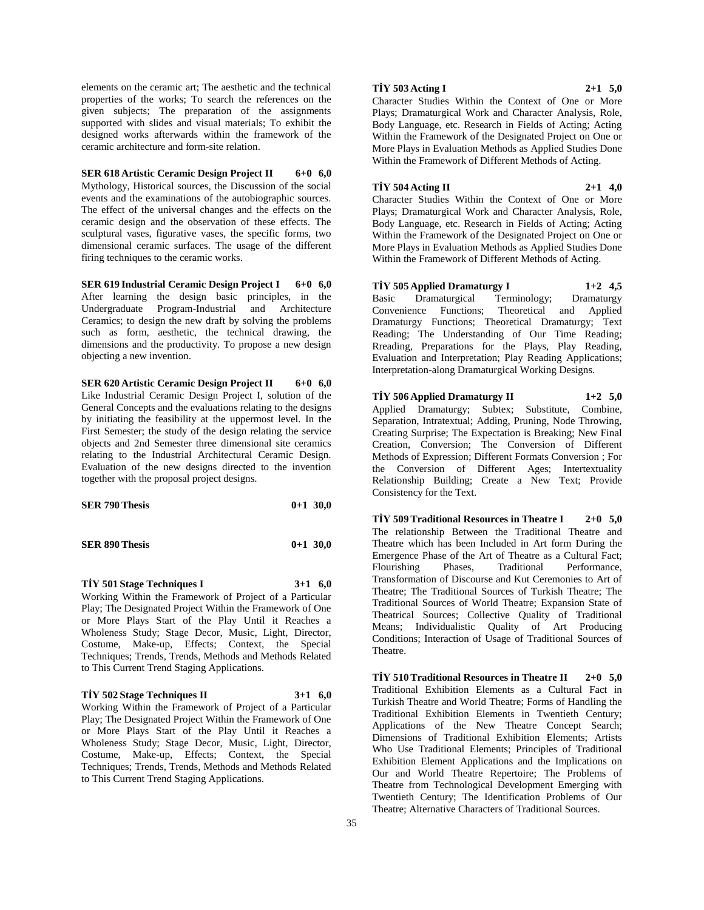elements on the ceramic art; The aesthetic and the technical properties of the works; To search the references on the given subjects; The preparation of the assignments supported with slides and visual materials; To exhibit the designed works afterwards within the framework of the ceramic architecture and form-site relation.

**SER 618 Artistic Ceramic Design Project II 6+0 6,0** Mythology, Historical sources, the Discussion of the social events and the examinations of the autobiographic sources. The effect of the universal changes and the effects on the ceramic design and the observation of these effects. The sculptural vases, figurative vases, the specific forms, two dimensional ceramic surfaces. The usage of the different firing techniques to the ceramic works.

**SER 619 Industrial Ceramic Design Project I 6+0 6,0** After learning the design basic principles, in the Undergraduate Program-Industrial and Architecture Ceramics; to design the new draft by solving the problems such as form, aesthetic, the technical drawing, the dimensions and the productivity. To propose a new design objecting a new invention.

**SER 620 Artistic Ceramic Design Project II 6+0 6,0** Like Industrial Ceramic Design Project I, solution of the General Concepts and the evaluations relating to the designs by initiating the feasibility at the uppermost level. In the First Semester; the study of the design relating the service objects and 2nd Semester three dimensional site ceramics relating to the Industrial Architectural Ceramic Design. Evaluation of the new designs directed to the invention together with the proposal project designs.

| <b>SER 790 Thesis</b> | $0+1$ 30,0 |
|-----------------------|------------|
| <b>SER 890 Thesis</b> | $0+1$ 30.0 |

**TİY 501 Stage Techniques I 3+1 6,0** Working Within the Framework of Project of a Particular Play; The Designated Project Within the Framework of One or More Plays Start of the Play Until it Reaches a Wholeness Study; Stage Decor, Music, Light, Director, Costume, Make-up, Effects; Context, the Special Techniques; Trends, Trends, Methods and Methods Related to This Current Trend Staging Applications.

## **TİY 502 Stage Techniques II 3+1 6,0** Working Within the Framework of Project of a Particular Play; The Designated Project Within the Framework of One or More Plays Start of the Play Until it Reaches a Wholeness Study; Stage Decor, Music, Light, Director,

Costume, Make-up, Effects; Context, the Special Techniques; Trends, Trends, Methods and Methods Related to This Current Trend Staging Applications.

#### **TİY 503 Acting I 2+1 5,0**

Character Studies Within the Context of One or More Plays; Dramaturgical Work and Character Analysis, Role, Body Language, etc. Research in Fields of Acting; Acting Within the Framework of the Designated Project on One or More Plays in Evaluation Methods as Applied Studies Done Within the Framework of Different Methods of Acting.

#### **TİY 504 Acting II 2+1 4,0**

Character Studies Within the Context of One or More Plays; Dramaturgical Work and Character Analysis, Role, Body Language, etc. Research in Fields of Acting; Acting Within the Framework of the Designated Project on One or More Plays in Evaluation Methods as Applied Studies Done Within the Framework of Different Methods of Acting.

**TİY 505 Applied Dramaturgy I 1+2 4,5** Basic Dramaturgical Terminology; Dramaturgy Convenience Functions; Theoretical and Applied Dramaturgy Functions; Theoretical Dramaturgy; Text Reading; The Understanding of Our Time Reading; Rreading, Preparations for the Plays, Play Reading, Evaluation and Interpretation; Play Reading Applications; Interpretation-along Dramaturgical Working Designs.

**TİY 506 Applied Dramaturgy II 1+2 5,0** Applied Dramaturgy; Subtex; Substitute, Combine, Separation, Intratextual; Adding, Pruning, Node Throwing, Creating Surprise; The Expectation is Breaking; New Final Creation, Conversion; The Conversion of Different Methods of Expression; Different Formats Conversion ; For the Conversion of Different Ages; Intertextuality Relationship Building; Create a New Text; Provide Consistency for the Text.

**TİY 509 Traditional Resources in Theatre I 2+0 5,0** The relationship Between the Traditional Theatre and Theatre which has been Included in Art form During the Emergence Phase of the Art of Theatre as a Cultural Fact; Flourishing Phases, Traditional Performance, Transformation of Discourse and Kut Ceremonies to Art of Theatre; The Traditional Sources of Turkish Theatre; The Traditional Sources of World Theatre; Expansion State of Theatrical Sources; Collective Quality of Traditional Means; Individualistic Quality of Art Producing Conditions; Interaction of Usage of Traditional Sources of Theatre.

**TİY 510 Traditional Resources in Theatre II 2+0 5,0** Traditional Exhibition Elements as a Cultural Fact in Turkish Theatre and World Theatre; Forms of Handling the Traditional Exhibition Elements in Twentieth Century; Applications of the New Theatre Concept Search; Dimensions of Traditional Exhibition Elements; Artists Who Use Traditional Elements; Principles of Traditional Exhibition Element Applications and the Implications on Our and World Theatre Repertoire; The Problems of Theatre from Technological Development Emerging with Twentieth Century; The Identification Problems of Our Theatre; Alternative Characters of Traditional Sources.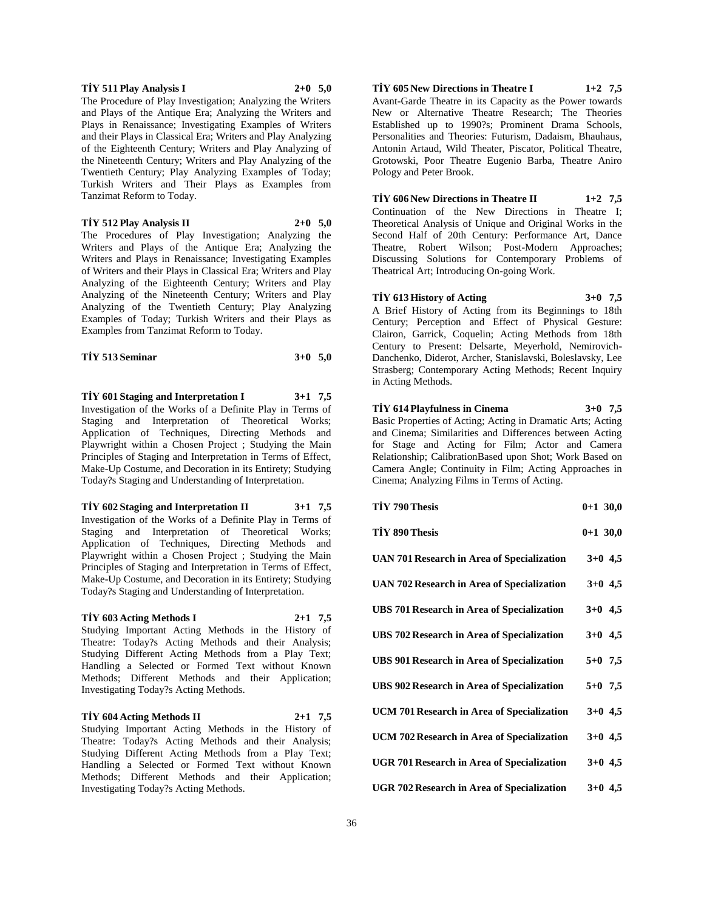#### **TİY 511 Play Analysis I 2+0 5,0**

The Procedure of Play Investigation; Analyzing the Writers and Plays of the Antique Era; Analyzing the Writers and Plays in Renaissance; Investigating Examples of Writers and their Plays in Classical Era; Writers and Play Analyzing of the Eighteenth Century; Writers and Play Analyzing of the Nineteenth Century; Writers and Play Analyzing of the Twentieth Century; Play Analyzing Examples of Today; Turkish Writers and Their Plays as Examples from Tanzimat Reform to Today.

**TİY 512 Play Analysis II 2+0 5,0**

The Procedures of Play Investigation; Analyzing the Writers and Plays of the Antique Era; Analyzing the Writers and Plays in Renaissance; Investigating Examples of Writers and their Plays in Classical Era; Writers and Play Analyzing of the Eighteenth Century; Writers and Play Analyzing of the Nineteenth Century; Writers and Play Analyzing of the Twentieth Century; Play Analyzing Examples of Today; Turkish Writers and their Plays as Examples from Tanzimat Reform to Today.

| TIY 513 Seminar | $3+0$ 5,0 |  |
|-----------------|-----------|--|
|-----------------|-----------|--|

**TİY 601 Staging and Interpretation I 3+1 7,5** Investigation of the Works of a Definite Play in Terms of Staging and Interpretation of Theoretical Works; Application of Techniques, Directing Methods and Playwright within a Chosen Project ; Studying the Main Principles of Staging and Interpretation in Terms of Effect, Make-Up Costume, and Decoration in its Entirety; Studying Today?s Staging and Understanding of Interpretation.

**TİY 602 Staging and Interpretation II 3+1 7,5** Investigation of the Works of a Definite Play in Terms of Staging and Interpretation of Theoretical Works; Application of Techniques, Directing Methods and Playwright within a Chosen Project ; Studying the Main Principles of Staging and Interpretation in Terms of Effect, Make-Up Costume, and Decoration in its Entirety; Studying Today?s Staging and Understanding of Interpretation.

#### **TİY 603 Acting Methods I 2+1 7,5**

Studying Important Acting Methods in the History of Theatre: Today?s Acting Methods and their Analysis; Studying Different Acting Methods from a Play Text; Handling a Selected or Formed Text without Known Methods; Different Methods and their Application; Investigating Today?s Acting Methods.

#### **TİY 604 Acting Methods II 2+1 7,5**

Studying Important Acting Methods in the History of Theatre: Today?s Acting Methods and their Analysis; Studying Different Acting Methods from a Play Text; Handling a Selected or Formed Text without Known Methods; Different Methods and their Application; Investigating Today?s Acting Methods.

**TİY 605 New Directions in Theatre I 1+2 7,5** Avant-Garde Theatre in its Capacity as the Power towards New or Alternative Theatre Research; The Theories Established up to 1990?s; Prominent Drama Schools, Personalities and Theories: Futurism, Dadaism, Bhauhaus, Antonin Artaud, Wild Theater, Piscator, Political Theatre, Grotowski, Poor Theatre Eugenio Barba, Theatre Aniro Pology and Peter Brook.

**TİY 606 New Directions in Theatre II 1+2 7,5**

Continuation of the New Directions in Theatre I; Theoretical Analysis of Unique and Original Works in the Second Half of 20th Century: Performance Art, Dance Theatre, Robert Wilson; Post-Modern Approaches; Discussing Solutions for Contemporary Problems of Theatrical Art; Introducing On-going Work.

**TİY 613 History of Acting 3+0 7,5** A Brief History of Acting from its Beginnings to 18th Century; Perception and Effect of Physical Gesture: Clairon, Garrick, Coquelin; Acting Methods from 18th Century to Present: Delsarte, Meyerhold, Nemirovich-Danchenko, Diderot, Archer, Stanislavski, Boleslavsky, Lee Strasberg; Contemporary Acting Methods; Recent Inquiry in Acting Methods.

#### **TİY 614 Playfulness in Cinema 3+0 7,5**

Basic Properties of Acting; Acting in Dramatic Arts; Acting and Cinema; Similarities and Differences between Acting for Stage and Acting for Film; Actor and Camera Relationship; CalibrationBased upon Shot; Work Based on Camera Angle; Continuity in Film; Acting Approaches in Cinema; Analyzing Films in Terms of Acting.

| TİY 790 Thesis                                       | $0+1$ 30,0 |
|------------------------------------------------------|------------|
| TİY 890 Thesis                                       | $0+1$ 30,0 |
| UAN 701 Research in Area of Specialization           | $3+0$ 4,5  |
| UAN 702 Research in Area of Specialization           | $3+0$ 4,5  |
| UBS 701 Research in Area of Specialization           | $3+0$ 4,5  |
| UBS 702 Research in Area of Specialization           | $3+0$ 4,5  |
| UBS 901 Research in Area of Specialization           | $5+0$ 7,5  |
| UBS 902 Research in Area of Specialization           | $5+0$ 7,5  |
| UCM 701 Research in Area of Specialization           | $3+0$ 4,5  |
| UCM 702 Research in Area of Specialization           | $3+0$ 4,5  |
| <b>UGR 701 Research in Area of Specialization</b>    | $3+0$ 4,5  |
| UGR 702 Research in Area of Specialization $3+0$ 4,5 |            |